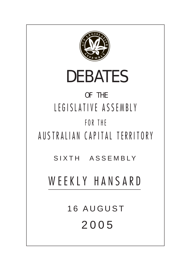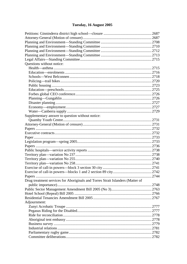# Tuesday, 16 August 2005

| Questions without notice:                                                      |  |
|--------------------------------------------------------------------------------|--|
|                                                                                |  |
|                                                                                |  |
|                                                                                |  |
|                                                                                |  |
|                                                                                |  |
|                                                                                |  |
|                                                                                |  |
|                                                                                |  |
|                                                                                |  |
|                                                                                |  |
|                                                                                |  |
| Supplementary answer to question without notice:                               |  |
|                                                                                |  |
|                                                                                |  |
|                                                                                |  |
|                                                                                |  |
|                                                                                |  |
|                                                                                |  |
|                                                                                |  |
|                                                                                |  |
|                                                                                |  |
|                                                                                |  |
|                                                                                |  |
|                                                                                |  |
|                                                                                |  |
|                                                                                |  |
| Drug treatment services for Aboriginals and Torres Strait Islanders (Matter of |  |
|                                                                                |  |
|                                                                                |  |
|                                                                                |  |
|                                                                                |  |
| Adjournment:                                                                   |  |
|                                                                                |  |
|                                                                                |  |
|                                                                                |  |
|                                                                                |  |
|                                                                                |  |
|                                                                                |  |
|                                                                                |  |
|                                                                                |  |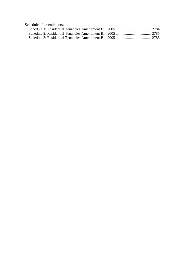| Schedule of amendments: |  |
|-------------------------|--|
|                         |  |
|                         |  |
|                         |  |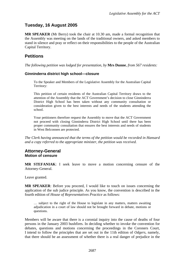# <span id="page-3-0"></span>**Tuesday, 16 August 2005**

**MR SPEAKER** (Mr Berry) took the chair at 10.30 am, made a formal recognition that the Assembly was meeting on the lands of the traditional owners, and asked members to stand in silence and pray or reflect on their responsibilities to the people of the Australian Capital Territory.

# **Petitions**

*The following petition was lodged for presentation, by* **Mrs Dunne**, *from 567 residents:* 

### **Ginninderra district high school—closure**

To the Speaker and Members of the Legislative Assembly for the Australian Capital Territory:

This petition of certain residents of the Australian Capital Territory draws to the attention of the Assembly that the ACT Government's decision to close Ginninderra District High School has been taken without any community consultation or consideration given to the best interests and needs of the students attending the school.

Your petitioners therefore request the Assembly to move that the ACT Government not proceed with closing Ginninderra District High School until there has been proper community consultation that ensures the best interests and needs of students in West Belconnen are protected.

*The Clerk having announced that the terms of the petition would be recorded in Hansard and a copy referred to the appropriate minister, the petition was received.* 

### **Attorney-General Motion of censure**

**MR STEFANIAK**: I seek leave to move a motion concerning censure of the Attorney-General.

Leave granted.

**MR SPEAKER**: Before you proceed, I would like to touch on issues concerning the application of the sub judice principle. As you know, the convention is described in the fourth edition of *House of Representatives Practice* as follows:

… subject to the right of the House to legislate in any matters, matters awaiting adjudication in a court of law should not be brought forward in debate, motions or questions.

Members will be aware that there is a coronial inquiry into the cause of deaths of four persons in the January 2003 bushfires. In deciding whether to invoke the convention for debates, questions and motions concerning the proceedings in the Coroners Court, I intend to follow the principles that are set out in the 11th edition of *Odgers*, namely, that there should be an assessment of whether there is a real danger of prejudice in the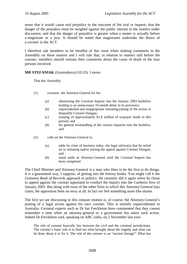sense that it would cause real prejudice to the outcome of the trial or inquest; that the danger of the prejudice must be weighed against the public interest in the matters under discussion; and that the danger of prejudice is greater when a matter is actually before a magistrate or a jury. It should be noted that magistrates undertake the duties of a coroner in the ACT.

I therefore ask members to be mindful of this issue when making comments in the Assembly on these matters and I will rule that, in relation to matters still before the coroner, members should restrain their comments about the cause of death of the four persons involved.

**MR STEFANIAK** (Ginninderra) (10.33): I move:

That this Assembly:

- (1) censures the Attorney-General for his:
	- (a) obstructing the Coronial Inquest into the January 2003 bushfires leading to an unnecessary 10-month delay in its processes;
	- (b) unprecedented and inappropriate initiating/joining of the action to disqualify Coroner Doogan;
	- (c) wasting of approximately \$1.8 million of taxpayer funds in this pursuit; and
	- (d) his general mishandling of the various inquiries into the bushfire; and
- (2) calls on the Attorney-General to:
	- (a) table by close of business today, the legal advice(s) that he relied on in initiating and/or joining the appeal against Coroner Doogan; and
	- (b) stand aside as Attorney-General until the Coronial Inquest has been completed.

The Chief Minister and Attorney-General is a man who likes to be the first to do things. It is a guaranteed way, I suppose, of getting into the history books. You might call it the *Guinness Book of Records* approach to politics. He certainly did it again when he chose to appeal against the coroner appointed to conduct the inquiry into the Canberra fires of January 2003. But along with most of the other firsts to which this Attorney-General lays claim, the opposition feels no envy at all. In fact we feel something more like shame.

The first we are discussing in this censure motion is, of course, the Attorney-General's joining of a legal action against his own coroner. This is entirely unprecedented in Australia. Coronial experts such as Dr Ian Freckleton have commented that they cannot remember a time when an attorney-general or a government has taken such action. Indeed Dr Freckleton said, speaking on ABC radio, on 2 November last year:

The role of coroner basically lies between the civil and the criminal jurisdictions. The coroner's basic role is to find out what brought about the tragedy and what can be done about it to fix it. The role of the coroner is an "ancient lineage". What has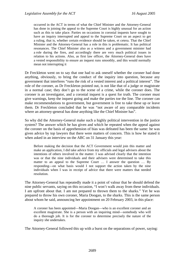occurred in the ACT in terms of what the Chief Minister and the Attorney-General has done in joining the appeal to the Supreme Court is highly unusual for an action such as this to take place. Parties on occasions in coronial inquests have sought to have an inquiry interrupted and appeal to the Supreme Court on an aspect to get a ruling, that is, whether certain evidence should be taken, et cetera. That the Chief Minister and the Attorney-General has a role in this is problematic. It has political resonances. The Chief Minister also as a witness and a government minister had a role during the fires, and accordingly there are very much political issues in relation to his actions. Also, as first law officer, the Attorney-General does have a vested responsibility to ensure an inquest runs smoothly, and this would normally mean not interrupting it

Dr Freckleton went on to say that one had to ask oneself whether the coroner had done anything, obviously, to bring the conduct of the inquiry into question, because any government that interferes "runs the risk of a vested interest and a political interest". The role of the coroner, as Dr Freckleton pointed out, is not like that of a judge or magistrate in a normal case; they don't go to the scene of a crime, while the coroner does. The coroner is an investigator, and a coronial inquest is a quest for truth. The coroner must give warnings, keep the inquest going and make the parties toe the line. The coroner can make recommendations to government, but government is free to take these up or leave them. Dr Freckleton concluded that he was "not aware of any comparable incidents where an attorney-general has done anything like the Chief Minister has".

So why did the Attorney-General make such a highly political intervention in the justice system? The answer which he has given and which he repeated when the appeal against the coroner on the basis of apprehension of bias was defeated has been the same: he was given advice by top lawyers that there were matters of concern. This is how he stated it when asked in an interview on the ABC on 31 January this year:

Before making the decision that the ACT Government would join this matter and make an application, I did take advice from my officials and legal advisers about the intentions of others involved in the matter. I was advised clearly that the intention was or that the nine individuals and their advisers were determined to take this matter to an appeal to the Supreme Court … I answer the question … By responding—on what basis would I not support the action taken by the nine individuals when I was in receipt of advice that there were matters that needed resolution.

The Attorney-General has repeatedly made it a point of valour that he should defend the nine public servants, saying on this occasion, "I won't walk away from these individuals. I am upfront about that. I am not prepared to thrown them to the sharks." Yet he was prepared to throw his own coroner, Maria Doogan, to the sharks. This is the same person about whom he said, announcing her appointment on 20 February 2003, in this place:

A coroner has been appointed—Maria Doogan—who is an excellent coroner and an excellent magistrate. She is a person with an inquiring mind—somebody who will do a thorough job. It is for the coroner to determine precisely the nature of the inquiry she undertakes.

The Attorney-General followed this up with a burst on the separations of power, saying: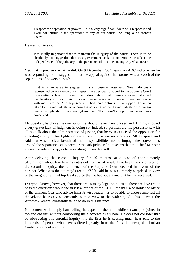I respect the separation of powers—it is a very significant doctrine. I respect it and I will not intrude in the operations of any of our courts, including our Coroners Court.

He went on to say:

It is vitally important that we maintain the integrity of the courts. There is to be absolutely no suggestion that this government seeks to undermine or affect the independence of the judiciary in the pursuance of its duties in any way whatsoever.

Yet, that is precisely what he did. On 9 December 2004, again on ABC radio, when he was responding to the suggestion that the appeal against the coroner was a breach of the separations of powers he said:

That is a nonsense to suggest. It is a nonsense argument. Nine individuals represented before the coronial inquest have decided to appeal to the Supreme Court on a matter of law … I defend them absolutely in that. There are issues that affect the Territory in the coronial process. The same issues of concern have been made with me. I am the Attorney-General. I had three options ... To support the action taken by the individuals, to oppose the action taken by the individuals or to remain neutral, simply shut up and not get involved. That wasn't an option as far as I was concerned.

Mr Speaker, he chose the one option he should never have chosen and, I think, showed a very grave lack of judgment in doing so. Indeed, so partisan are his persuasions, with all his talk about the administration of justice, that he even criticised the opposition for attending a rally of fire fighters outside the court, where no opposition MLAs spoke, and said that was in clear breach of their responsibilities not to impugn the conventions around the separations of powers or the sub judice rule. It seems that the Chief Minister makes the rulebook up, as he goes along, to suit himself.

After delaying the coronial inquiry for 10 months, at a cost of approximately \$1.8 million, about five hearing dates out from what would have been the conclusion of the coronial inquiry, the full bench of the Supreme Court decided in favour of the coroner. What was the attorney's reaction? He said he was extremely surprised in view of the weight of all that top legal advice that he had sought and that he had received.

Everyone knows, however, that there are as many legal opinions as there are lawyers. It begs the question: who is the first law officer of the ACT—the man who holds the office or the eminent QCs who advise him? A wise leader has to be able to choose amongst all the advice he receives constantly with a view to the wider good. This is what the Attorney-General constantly failed to do in this instance.

Not content with simply bankrolling the appeal of the nine public servants, he joined in too and did this without considering the electorate as a whole. He does not consider that by obstructing this coronial inquiry into the fires he is causing much heartache to the hundreds of people who have suffered greatly from the fires that ravaged suburban Canberra without warning.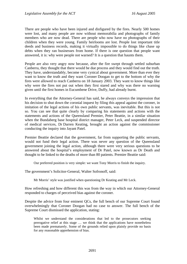There are people who have been injured and disfigured by the fires. Nearly 500 homes were lost, and many people are now without memorabilia and photographs of family members who are now dead. There are people who now have no photographs of their children when they were young. Family heirlooms are lost. People lost important title deeds and business records, making it virtually impossible to do things like chase up debts when they ran businesses from home. If there is one question that people want answered, it is: why were people not warned? It is a question that haunts them.

People are also very angry now because, after the fire swept through settled suburban Canberra, they thought that there would be due process and they would find out the truth. They have, understandably, become very cynical about government. More than ever they want to know the truth and they want Coroner Doogan to get to the bottom of why the fires were allowed to reach Canberra on 18 January 2003. They want to know things like why were the fires not put out when they first stared and why was there no warning given until the first homes in Eucumbene Drive, Duffy, had already burnt.

In everything that the Attorney-General has said, he always conveys the impression that his decision to shut down the coronial inquest by filing this appeal against the coroner, in imitation of the legal actions of his own public servants, was inevitable. But this is not so. You can see that quite clearly by comparing his statements and actions with the statements and actions of the Queensland Premier, Peter Beattie, in a similar situation when the Bundaberg base hospital district manager, Peter Leck, and suspended director of medical services, Dr Darren Keating, brought an action against the commissioner conducting the inquiry into Jayant Patel.

Premier Beattie declared that the government, far from supporting the public servants, would not fund their legal action. There was never any question of the Queensland government joining the legal action, although there were very serious questions to be answered about the hospital's employment of Dr Patel, now known as Dr Death and thought to be linked to the deaths of more than 80 patients. Premier Beattie said:

Our preferred position is very simple: we want Tony Morris to finish the inquiry.

The government's Solicitor-General, Walter Sofronoff, said:

Mr Morris' style was justified when questioning Dr Keating and Mr Leck.

How refreshing and how different this was from the way in which our Attorney-General responded to charges of perceived bias against the coroner.

Despite the advice from four eminent QCs, the full bench of our Supreme Court found overwhelmingly that Coroner Doogan had no case to answer. The full bench of the Supreme Court dismissed the application, stating:

Whilst we understand the considerations that led to the prosecutors seeking prerogative relief at this stage … we think that the applications have nonetheless been made prematurely. Some of the grounds relied upon plainly provide no basis for any reasonable apprehension of bias.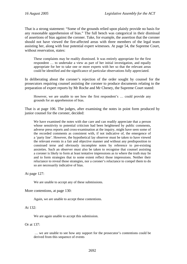That is a strong statement: "Some of the grounds relied upon plainly provide no basis for any reasonable apprehension of bias." The full bench was categorical in their dismissal of assertions of bias against the coroner. Take, for example, the assertion that the coroner should not have viewed the fire-affected areas with three members of the legal team assisting her, along with four potential expert witnesses. At page 54, the Supreme Court, without reservation, states:

These complaints may be readily dismissed. It was entirely appropriate for the first respondent … to undertake a view as part of her initial investigation, and equally appropriate for her to take one or more experts with her so that the relevant areas could be identified and the significance of particular observations fully appreciated.

In deliberating about the coroner's rejection of the order sought by counsel for the prosecutors requiring counsel assisting the coroner to produce documents relating to the preparation of expert reports by Mr Roche and Mr Cheney, the Supreme Court stated:

However, we are unable to see how the first respondent's … could provide any grounds for an apprehension of bias.

That is at page 106. The judges, after examining the notes in point form produced by junior counsel for the coroner, decided:

We have examined the notes with due care and can readily appreciate that a person whose sensitivity to potential criticism had been heightened by public comments, adverse press reports and cross-examination at the inquiry, might have seen some of the recorded comments as consistent with, if not indicative of, the emergence of a 'party line'. However, the hypothetical lay observer must be taken to have viewed the relevant events in a fair and objective manner and without any predisposition to construed terse and obviously incomplete notes by reference to pre-existing anxieties. Such an observer must also be taken to recognise that counsel assisting a coroner is likely to form at least tentative impressions as to where the truth may lie and to form strategies that to some extent reflect those impressions. Neither their reluctance to reveal those strategies, nor a coroner's reluctance to compel them to do so are necessarily indicative of bias.

At page 127:

We are unable to accept any of these submissions.

More contentions, at page 130:

Again, we are unable to accept these contentions.

#### At 132:

We are again unable to accept this submission.

Or at 137:

 … we are unable to see how any support for the prosecutor's contentions could be derived from this sequence of events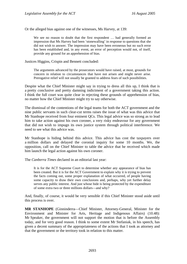Or the alleged bias against one of the witnesses, Ms Harvey, at 139:

We see no reason to doubt that the first respondent ... had generally formed an impression that Ms Harvey had been 'stonewalling' in response to questions that she did not wish to answer. The impression may have been erroneous but no such error has been established and, in any event, an error of perception would not, of itself, provide any ground for an apprehension of bias.

Justices Higgins, Crispin and Bennett concluded:

The arguments advanced by the prosecutors would have raised, at most, grounds for concern in relation to circumstances that have not arisen and might never arise. Prerogative relief will not usually be granted to address fears of such possibilities.

Despite what the Chief Minister might say in trying to dress all this up, I think that is a pretty conclusive and pretty damning indictment of a government taking this action. I think the full court was quite clear in rejecting these grounds of apprehension of bias, no matter how the Chief Minister might try to say otherwise.

The dismissal of the contentions of the legal teams for both the ACT government and the nine public servants in such clear-cut terms raises the issue of what was this advice that Mr Stanhope received from four eminent QCs. This legal advice was so strong as to lead him to take action against his own coroner, a very risky endeavour for any government that did not wish to impugn its own justice system through political interference. We need to see what this advice was.

Mr Stanhope is hiding behind this advice. This advice has cost the taxpayers over a million dollars and delayed the coronial inquiry for some 10 months. We, the opposition, call on the Chief Minister to table the advice that he received which made him launch the legal action against his own coroner.

The *Canberra Times* declared in an editorial last year:

It is for the ACT Supreme Court to determine whether any appearance of bias has been created. But it is for the ACT Government to explain why it is trying to prevent the facts coming out, some proper explanation of what occurred, of people having some capacity to draw their own conclusions and, perhaps, why yet further delay serves any public interest. And just whose hide is being protected by the expenditure of some extra two or three millions dollars—and why?

And, finally, of course, it would be very sensible if this Chief Minister stood aside until this process is over.

**MR STANHOPE** (Ginninderra—Chief Minister, Attorney-General, Minister for the Environment and Minister for Arts, Heritage and Indigenous Affairs) (10.48): Mr Speaker, the government will not support the motion that is before the Assembly today, and for very good reason. I think to some extent Mr Stefaniak, in his speech, has given a decent summary of the appropriateness of the actions that I took as attorney and that the government or the territory took in relation to this matter.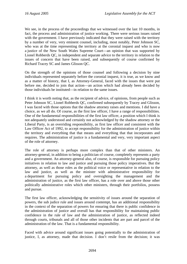We see, in the process of the proceedings that we witnessed over the last 10 months, in fact, the process and administration of justice working. There were serious issues raised with the government. I have previously indicated that they were raised with the territory by a number of very, very eminent counsel, including, most notably, Peter Johnson SC, who was at the time representing the territory at the coronial inquest and who is now a justice of the New South Wales Supreme Court—an opinion that was supported by Lionel Robberds QC, in independent and separate advice to the territory in relation to the issues of concern that have been raised, and subsequently of course confirmed by Richard Tracey SC and James Glisson QC.

On the strength of the opinions of those counsel and following a decision by nine individuals represented separately before the coronial inquest, it is true, as we know and as a matter of history, that I, as Attorney-General, faced with the issues that were put before me, decided to join that action—an action which had already been decided by those individuals be instituted—in relation to the same issues.

I think it is worth noting that, as the recipient of advice, of opinions, from people such as Peter Johnson SC, Lionel Robberds QC, confirmed subsequently by Tracey and Glisson, I was faced with those options that the shadow attorney raises and mentions. I did have a choice, as we all do. Of course, as the first law officer, I have a range of responsibilities. One of the fundamental responsibilities of the first law officer, a position which I think is not adequately understood and certainly not acknowledged by the shadow attorney or the Liberal Party, is an overriding responsibility, as first law officer and consistent with the Law Officer Act of 1992, to accept responsibility for the administration of justice within the territory and everything that that means and everything that that incorporates and requires. The administration of justice is a fundamental and very, very important aspect of the role of attorney.

The role of attorney is perhaps more complex than that of other ministers. An attorney-general, in addition to being a politician of course, completely represents a party and a government. An attorney-general also, of course, is responsible for pursuing policy initiatives in relation to law and justice and pursuing those policy imperatives. But the attorney, as well as those roles as the political voice or representative in relation to the law and justice, as well as the minister with administrative responsibility for a department for pursuing policy and oversighting the management and the administration of justice, as the first law officer, has a role over and above those other politically administrative roles which other ministers, through their portfolios, possess and pursue.

The first law officer, acknowledging the sensitivity of issues around the separation of powers, the sub judice rule and issues around contempt, has an additional responsibility in the context of the separation of powers for ensuring that there is public confidence in the administration of justice and overall has that responsibility for maintaining public confidence in the rule of law and the administration of justice, as reflected indeed through courts, tribunals and all of those other incidents that are part and parcel of the administration of the law. That is a fundamental responsibility.

Faced with advice around significant issues going potentially to the administration of justice, I, as attorney, made that decision. I don't resile from the decision; it was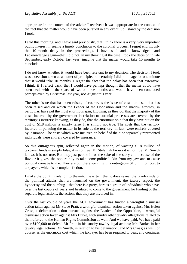appropriate in the context of the advice I received; it was appropriate in the context of the fact that the matter would have been pursued in any event. So I stand by the decision I took.

I said this morning, and I have said previously, that I think there is a very, very important public interest in seeing a timely conclusion to the coronial process. I regret enormously the 10-month delay in the proceedings. I have said and acknowledged—and I acknowledge again—that I did not, in my thinking at the time I took the decision in late September, early October last year, imagine that the matter would take 10 months to conclude.

I do not know whether it would have been relevant to my decision. The decision I took was a decision taken as a matter of principle, but certainly I did not image for one minute that it would take 10 months. I regret the fact that the delay has been that extensive. I think, if I reflect back, that I would have perhaps thought that the matter could have been dealt with in the space of two or three months and would have been concluded perhaps even by Christmas last year, not August this year.

The other issue that has been raised, of course, is the issue of cost—an issue that has been raised and on which the Leader of the Opposition and the shadow attorney, in particular, have put the most enormous spin, knowing, as they do, that the majority of the costs incurred by the government in relation to coronial processes are covered by the territory's insurers; knowing, as they do, that the enormous spin that they have put on the cost of \$1.8 million is simply false. It is simply not true. The costs that the territory incurred in pursuing the matter in its role as the territory, in fact, were entirely covered by insurance. The costs which were incurred on behalf of the nine separately represented individuals were entirely covered by insurance.

So this outrageous spin, reflected again in the motion, of wasting \$1.8 million of taxpayer funds is simply false; it is not true. Mr Stefaniak knows it is not true; Mr Smyth knows it is not true. But they just peddle it for the sake of the story and because of the flavour it gives, the opportunity to take some political skin from my jaw and to cause political damage to me. They are out there spinning this outrageous \$1.8 million cost to taxpayers, which is a complete fiction.

I make the point in relation to that—to the extent that it does reveal the tawdry side of the political attacks that are launched on the government, the tawdry aspect, the hypocrisy and the humbug—that here is a party, here is a group of individuals who have, over the last couple of years, not hesitated to come to the government for funding of their separate legal actions, the actions that they are involved in.

Over the last couple of years the ACT government has funded a wrongful dismissal action taken against Mr Steve Pratt, a wrongful dismissal action taken against Mrs Helen Cross, a defamation action pursued against the Leader of the Opposition, a wrongful dismissal action taken against Mrs Burke, with sundry other tawdry allegations related to that referred to the Human Rights Commission as well. And we have paid. We have paid over \$100,000 to defend Mr Pratt in his sundry tawdry legal actions; Mrs Burke, in her tawdry legal actions; Mr Smyth, in relation to his defamation; and Mrs Cross; as well, of course, as the enormous cost which the taxpayer has been required to bear, and continues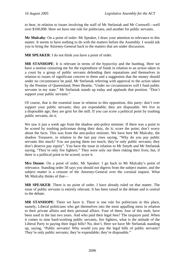to bear, in relation to issues involving the staff of Mr Stefaniak and Mr Cornwell—well over \$100,000. Here we have one rule for politicians, and another for public servants.

**Mr Mulcahy**: On a point of order: Mr Speaker, I draw your attention to relevance to this matter. It seems to have nothing to do with the matters before the Assembly. I would ask you to bring the Attorney-General back to the matters that are under discussion.

**MR SPEAKER**: I do not think you have a point of order.

**MR STANHOPE**: It is relevant in terms of the hypocrisy and the humbug. Here we have a motion censuring me for the expenditure of funds in relation to an action taken in a court by a group of public servants defending their reputations and themselves in relation to issues of significant concern to them and a suggestion that the money should under no circumstance be paid, Mr Stefaniak referring with approval to the action taken by the Premier of Queensland, Peter Beattie, "Under no circumstances will I fund public servants in my state." Mr Stefaniak stands up today and applauds that position. "Don't support your public servants."

Of course, that is the essential issue in relation to this opposition, this party: don't ever support your public servants; they are expendable; they are disposable. We live in a disposable age; they are grist for the mill. If you can score a political point by trashing public servants, do it.

We saw it just a week ago from the shadow anti-police minister. If there was a point to be scored by trashing policeman doing their duty, do it; score the point; don't worry about the facts. This was from the anti-police minister. We have here Mr Mulcahy, the shadow Treasurer, in relation to the last pay rises saying, "Why do you pay public servants this much? You are paying them too much; they're only public servants; they don't deserve pay equity". You have the issue in relation to Mr Smyth and Mr Stefaniak saying, "They're only fire fighters." They were only out there risking their lives, but, if there is a political point to be scored, score it.

**Mrs Dunne**: On a point of order, Mr Speaker: I go back to Mr Mulcahy's point of relevance. Standing order 58 says you should not digress from the subject matter, and the subject matter is a censure of the Attorney-General over the coronial inquest. What Mr Mulcahy thinks of that—

**MR SPEAKER**: There is no point of order. I have already ruled on that matter. The issue of public servants is entirely relevant. It has been raised in the debate and is central to the debate.

**MR STANHOPE**: There we have it. There is one rule for politicians in this place, namely, Liberal politicians who get themselves into the most appalling mess in relation to their private affairs and their personal affairs. Four of them, four of this mob, have been sued in the last two years. And who paid their legal fees? The taxpayer paid. When it comes to nine hard-working public servants, fire fighters, what is the attitude of the Liberal Party to paying their legal bills? No, don't. Here we have Mr Stefaniak standing up, saying, "Public servants! Why would you pay the legal bills of public servants? They're only public servants; they're expendable; they're disposable."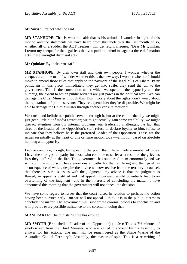**Mr Smyth**: It's not what he said.

**MR STANHOPE**: That is what he said; that is his attitude. I wonder, in light of this motion and the statements we have heard from this mob over the last month or so, whether all of a sudden the ACT Treasury will get return cheques. "Dear Mr Quinlan, I return my cheque for the legal fees that you paid to defend me against these defamation acts, these wrongful dismissal acts."

**Mr Quinlan**: By their own staff.

**MR STANHOPE**: By their own staff and their own people. I wonder whether the cheques are in the mail. I wonder whether this is the new way. I wonder whether I should move to amend those rules that apply to the payment of the legal bills of Liberal Party politicians in this place. Immediately they get into strife, they send the bill to the government. This is the convention under which we operate—the hypocrisy and the humbug, the extent to which public servants are just pawns in the political war. "We can damage the Chief Minister through this. Don't worry about the rights; don't worry about the reputations of public servants. They're expendable; they're disposable. We might be able to damage the Chief Minister through another censure motion."

We crush and belittle our public servants through it, but at the end of the day we might just get a little bit of media attraction; we might actually gain some credibility; we might distract attention from our internal problems, our leadership challenges, the fact that three of the Leader of the Opposition's staff refuse to declare loyalty to him, refuse to indicate that they believe he is the preferred Leader of the Opposition. These are the issues essentially at the heart of this censure motion today—a motion based on absolute humbug and hypocrisy.

Let me conclude, though, by repeating the point that I have made a number of times. I have the strongest empathy for those who continue to suffer as a result of the grievous loss they suffered in the fire. The government has supported them enormously and we will continue to do so. I have enormous empathy for their suffering and their grief, as a consequence of which, despite the advice we now receive from the territory's counsel, that there are serious issues with the judgment—my advice is that the judgment is flawed, an appeal is justified and that appeal, if pursued, would potentially lead to an overturning of the judgment—and in the interests of concluding the matter, I have announced this morning that the government will not appeal the decision.

We have some regard to issues that the court raised in relation to perhaps the action having been pursued early. But we will not appeal. I think it is in the public interest to conclude the matter. The government will support the coronial process to conclusion and will provide every possible assistance to the coroner in doing that.

**MR SPEAKER**: The minister's time has expired.

**MR SMYTH** (Brindabella—Leader of the Opposition) (11.04): This is 7½ minutes of smokescreen from the Chief Minister, who was called to account by his Assembly to answer for his actions. The man will be remembered as the Shane Warne of the Australian Capital Territory's Assembly, the master of spin. This is a re-writing of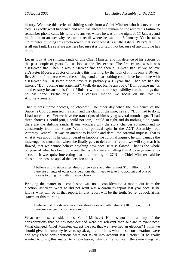history. We have this series of shifting sands from a Chief Minister who has never once told us exactly what happened and who has allowed to remain on the record his failure to remember phone calls, his failure to answer where he was on the night of 17 January and his failure to answer why he cannot recall where he was on 18 January. Yet he takes 7½ minutes building this smokescreen that somehow it is all the Liberal Party's fault, it is all our fault. He says we are here because it is our fault, not because of anything he has done.

Let us look at the shifting sands of this Chief Minister and his defence of his actions of the past couple of years. Let us look at the first excuse. The first excuse was it was a 100-year fire. Then it was a 50-year fire and then a 20-year fire. If we believe a Dr Peter Moore, a doctor of forestry, this morning, by the look of it, it is only a 10-year fire. So the first excuse was the shifting sands, that nothing could have been done with a 100-year fire. Dr Peter Moore says it is probably a 10-year fire. Then we had the historic "Don't blame me statement". Well, do not blame anybody. "Don't blame me" is another story because this Chief Minister will not take responsibility for the things that he has done. Particularly in this censure motion we focus on his role as Attorney-General.

Then it was "three choices, no choices". The other day when the full bench of the Supreme Court dismissed his claim and the claim of the nine, he said; "But I had to do it, I had no choice." Yet we have the transcripts of him saying several months ago, "I had three choices. I could join, I could not join, I could sit tight and do nothing." So again, there are the shifting sands. If one wonders why the story changes so much and so consistently from the Shane Warne of political spin in the ACT Assembly—our Attorney-General—it was an attempt to knobble and derail the coronial inquest. That is what it was about. If he cannot derail or knobble the coronial inquiry, he will damage the messenger so much that when she finally gets to deliver her report, we will say that it is flawed, that we cannot believe anything now because it is flawed. That is the whole purpose of what has been done and that is why we are calling this Attorney-General to account. It was quite interesting that this morning on 2CN the Chief Minister said he does not propose to appeal the decision and said:

I believe at this stage after almost three years and after almost \$10 million, I think there are a range of other considerations that I need to take into account and one of those is to bring the matter to a conclusion.

Bringing the matter to a conclusion was not a consideration a month out from the election last year. What he did not want was a coroner's report last year because he knows what will be in that report. In that report will be the truth. So let us look at his statement this morning;

I believe that this stage after almost three years and after almost \$10 million, I think there are a range of considerations …

What are those considerations, Chief Minister? He has not told us any of the considerations that he has now decided were not relevant then but are relevant now. What changed, Chief Minister, except the fact that we have had an election? I think we should give the Attorney leave to speak again, to tell us what these considerations were and why these considerations were not taken into account last October. If he really wanted to bring this matter to a conclusion, why did he not want the same thing last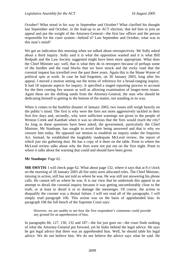October? What stood in his way in September and October? What clarified his thought last September and October, in the lead-up to an ACT election, that led him to join an appeal and put the weight of the Attorney-General—the first law officer and the person responsible for the court system—behind it? Last September and October, what was in this man's mind?

We got an indication this morning when we talked about retrospectivity. Mr Solly asked about a third inquiry. Solly said it is what the opposition wanted and it is what Bill Redpath and the Law Society suggested might have been more appropriate. What does the Chief Minister say: well, that is what they do in retrospect because of perhaps some of the hurdles and the road blocks that we have struck and the rocky road that the coronial inquest has travelled over the past three years. Again this is the Shane Warne of political spin at work. In case he had forgotten, on 30 January 2003, long after his appeal, I moved a motion setting out the terms of reference for a broad-ranging inquiry. It had 18 separate aspects for inquiry. It specified a staged reporting process to account for the then coming fire season as well as allowing examination of longer-term issues. Again these are the shifting sands from the Attorney-General, the man who should be dedicating himself to getting to the bottom of the matter, not standing in its way.

When it comes to the bushfire disaster of January 2003, two issues still weigh heavily on the public's mind. The first is why were the fires not more aggressively tackled in their first few days and, secondly, why were sufficient warnings not given to the people of Weston Creek and Kambah when it was so obvious that the fires would reach the city? As long as these questions have been asked, the government, particularly the Chief Minister, Mr Stanhope, has sought to avoid their being answered and that is why we censure him today. He opposed our motion to establish an inquiry under the Inquiries Act. Instead, he established the laughably inadequate McLeod review, the report of which just sits gathering dust. He has a copy of it there on the table. Point to where the McLeod review talks about why the fires were not put out on the first night. Point to where it talks about the warning that could and should have been given.

### **Mr Stanhope**: Page 62.

**MR SMYTH**: I will check page 62. What about page 132, where it says that at 8 o'clock on the morning of 18 January 2003 all fire units were allocated roles. The Chief Minister, missing in action, still has not told us where he was. He was still not answering his phone calls. He cannot tell us where he was. It is our view that he undertook this appeal in an attempt to derail the coronial inquiry because it was getting uncomfortably close to the truth, or at least to derail it or to damage the messenger. Of course, the action to disqualify the coroner was a dismal failure. I will not read all of the paragraphs. I will simply read paragraph 106. This action was on the basis of apprehended bias. In paragraph 106 the full bench of the Supreme Court says:

However, we are unable to see how the first respondent's comments could provide any ground for an apprehension of bias.

In paragraphs 84, 127, 130, 132 and 187—the list just goes on—the court finds nothing of what the Attorney-General put forward, yet he hides behind the legal advice. He says he got legal advice that there was an apprehended bias. Well, he should table his legal advice. We do not believe him. We do not believe the advice says what he said. He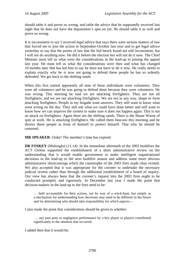should table it and prove us wrong, and table the advice that he supposedly received last night that he does not have the department's spin on yet. He should table it as well and prove us wrong.

It is inconsistent to say I received legal advice that says there were serious matters of law that forced me to join the action in September-October last year and to get legal advice yesterday to say that the points of law that the full bench found are still inconsistent, but I will not do anything now. He did it before the election but will not do it now. The Chief Minister must tell us what were the considerations in the lead-up to joining the appeal last year. He must tell us what the considerations were then and what has changed 10 months later that has led him to say he does not have to do it now. He really needs to explain exactly why he is now not going to defend these people he has so ardently defended. We get back to the shifting sands.

When this first started apparently all nine of these individuals were volunteers. They were all volunteers and he was going to defend them because they were volunteers. He was wrong. This morning he said we are attacking firefighters. They are not all firefighters, and we are not attacking firefighters. We are not in any way, shape or form attacking firefighters. People in my brigade want answers. They still want to know what went wrong on the day. They still ask what we could have done better and still want to know how we can improve the system to make sure it does not happen again. This is not an attack on firefighters. Again there are the shifting sands. There is the Shane Warne of spin at work. He is attacking firefighters. He called them beacons this morning and he throws these people in front of himself to protect himself. That why he should be censured.

**MR SPEAKER**: Order! The member's time has expired.

**DR FOSKEY** (Molonglo) (11.14): In the immediate aftermath of the 2003 bushfires the ACT Greens supported the establishment of a short administrative review on the understanding that it would enable government to make intelligent organisational decisions in the lead-up to the next bushfire season and address some more obvious administrative shortcomings which the catastrophe of the 2003 fires made clear existed. We also accepted that it was appropriate for the coroner to undertake the necessary judicial review rather than through the additional establishment of a board of inquiry. Our view has always been that the coroner's inquest into the 2003 fires ought to be conducted promptly and rigorously. In December last year I made the point that decision-makers in the lead-up to the fires need to be:

… held accountable for their actions, not by way of a witch-hunt, but simply as a mechanism for understanding how decisions may need to be different in the future and for determining who should take responsibility for which aspects—

I also made the point that consideration should be given to whether:

 … any past poor or negligence performance by a key player or players contributed significantly to the situation that occurred.

I added then that it would be: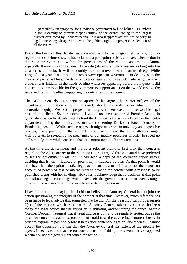… particularly inappropriate for a majority government to hide behind its numbers in the Assembly to prevent proper scrutiny of the events leading to the largest disaster ever faced by Canberra people. It is also inappropriate for it to be party to legal proceedings designed to thwart the public's right to a proper consideration of all the issues.

But at the heart of this debate lies a commitment to the integrity of the law, both in regard to those witnesses who have claimed a perception of bias and have taken action in the Supreme Court and within the perceptions of the wider Canberra population, especially the victims of the fires. If the integrity of the justice system looking into the disaster is in doubt, it will be doubly hard to move forward constructively. While I argued last year that other approaches were open to government in dealing with the claims of perceived bias, the decision to take legal action was not made by government alone. It was initially in the hands of nine witnesses appearing before the inquest. I did not see it as unreasonable for the government to support an action that would resolve the issue and tie it in, in effect supporting the outcomes of the inquiry.

The ACT Greens do not support an approach that argues that senior officers of the department are on their own in the courts should a disaster occur which requires a coronial inquiry. We hold it proper that the government covers the reasonable legal cost of its officers. So, for example, I would not have supported Premier Beattie in Queensland when he decided not to fund the legal costs for senior officers in his health department facing the inquiry into matters concerning Dr Jayant Patel, formerly of Bundaberg hospital. While such an approach might make for an unwieldy and expensive process, it is a just one. In that context I would recommend that some attention might well be given to reviewing the mechanics of our inquiry processes in order to speed up and simplify them whilst ensuring that the commitment to fairness remains.

At the time the government and the other relevant plaintiffs first took their concerns regarding the ACT coroner to the Supreme Court, I argued that we would have preferred to see the government wait until it had seen a copy of the coroner's report before deciding that it was influenced or potentially influenced by bias. At that point it would still have had the option to take legal action to prevent publication of the report on account of perceived bias or alternatively to provide the coroner with a response to be published along with her findings. However, I acknowledge that a decision at that point to institute legal proceedings would have left the government open to even stronger claims of a cover-up or of undue interference than it faces now.

I have no problem in saying that I did not believe the Attorney-General had to join the action questioning the integrity of the coroner at that time. However, much reference has been made to legal advice that suggested that he did. For that reason, I support paragraph 2(a) of the motion, which asks that the Attorney-General tables by close of business today the legal advice that he relied on in initiating and/or joining the appeal against Coroner Doogan. I suggest that if legal advice is going to be regularly trotted out as the basis for contentious actions, government could treat the advice itself more robustly in order to explain its position before it takes such contentious action. Nonetheless, I cannot accept the opposition's claim that the Attorney-General has extended the process by a year. It seems to me that the tortuous extension of this process would have happened whether or not the government joined the action.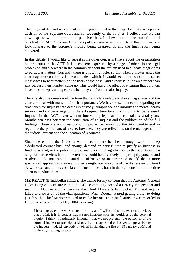The only real demand we can make of the government in this respect is that it accepts the decision of the Supreme Court and consequently of the coroner. I believe that we can now dispense with the question of perceived bias. I believe that the decision of the full bench of the ACT Supreme Court has put the issue at rest and I trust that we can now look forward to the coroner's inquiry being wrapped up and the final report being delivered.

In this debate, I would like to repeat some other concerns I have about the organisation of the courts in the ACT. It is a concern expressed by a range of others in the legal profession and elsewhere in the community about the system used to allocate magistrates to particular matters. Currently there is a rotating roster so that when a matter arises the next magistrate on the list is the one to deal with it. It would seem more sensible to select magistrates to hear matters on the basis of their skill and expertise in the area rather than just because their number came up. This would have the effect of ensuring that coroners have a less steep learning curve when they confront a major inquiry.

There is also the question of the time that is made available to those magistrates and the courts to deal with matters of such importance. We have raised concerns regarding the time taken for inquests into deaths in custody, compliance of disability and mental health services and concerns regarding the subsequent time taken for findings to be released. Inquests in the ACT, even without intervening legal action, can take several years. Months can pass between the conclusion of an inquest and the publication of the full findings. These are not questions of improper behaviour by the Attorney-General in regard to the particulars of a case; however, they are reflections on the management of the judicial system and the allocation of resources.

Since the end of the 1990s it would seem there has been enough work to keep a dedicated coroner busy and enough demand on courts' time to justify an increase in funding so that, in the public interest, matters of real significance to the operations of a range of our services here in the territory could be effectively and promptly pursued and resolved. I do not think it would be offensive or inappropriate to add that a more specialised approach to coronial inquests might obviate some of the distress encountered by witnesses and others associated in such inquests both in their conduct and in the time taken to conduct them.

**MR PRATT** (Brindabella) (11.23): The theme for my concern that the Attorney-General is deserving of a censure is that the ACT community needed a fiercely independent and searching Doogan inquiry because the Chief Minister's handpicked McLeod inquiry failed to answer all of the vital questions. When Doogan started getting closer to doing just this, the Chief Minister moved to choke her off. The Chief Minister was recorded in *Hansard* on April Fool's Day 2004 as saying:

I have expressed the view many times … and I will continue to express the view, that I think it is important that we not interfere with the workings of the coronial inquiry. I think it particularly important that we not pre-empt the outcomes of the coronial inquest or prejudge anybody that has appeared or has yet to appear before the inquest—indeed, anybody involved in fighting the fire on 18 January 2003 and in the days leading up to that.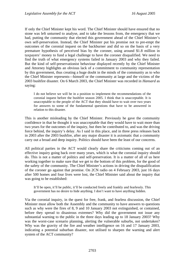If only the Chief Minister kept his word. The Chief Minister should have ensured that no stone was left unturned to analyse, and to take the lessons from, the emergency that we had, putting the community that elected this government ahead of the Chief Minister's own self-preservation. Instead, the Chief Minister put his promise not to pre-empt the outcomes of the coronial inquest on the backburner and did so on the basis of a very premature hypothesis of perceived bias by the coroner, using around \$1.8 million in taxpayers' money to fund a legal challenge to have the coroner disqualified. We need to find the truth of what emergency systems failed in January 2003 and why they failed. But the kind of self-preservationist behaviour displayed recently by the Chief Minister and Attorney highlights an obvious lack of a commitment to community representation by this government, thus creating a huge doubt in the minds of the community as to who the Chief Minister represents—himself or the community at large and the victims of the 2003 bushfire disaster. On 6 March 2003, the Chief Minister was recorded in *Hansard* as saying:

I do not believe we will be in a position to implement the recommendations of the coronial inquest before the bushfire season 2005. I think that is unacceptable. It is unacceptable to the people of the ACT that they should have to wait over two years for answers to some of the fundamental questions that have to be answered in relation to this disaster.

This is another misleading by the Chief Minister. Previously he gave the community confidence in that he thought it was unacceptable that they would have to wait more than two years for the outcomes of the inquiry, but then he contributed to, and was the driving force behind, the inquiry's delay. As I said in this place, and in three press releases back in 2003 after the 2003 bushfire, after any major disaster it is axiomatic that a community carry out a broad and deep inquiry. Politics should have been the least of our concerns.

All political parties in the ACT would clearly share the criticisms coming out of an effective inquiry going back over many years, which is what the coronial inquiry should do. This is not a matter of politics and self-preservation. It is a matter of all of us here working together to make sure that we get to the bottom of this problem, for the good of the safety of the community. The Chief Minister's actions in driving the disqualification of the coroner go against that promise. On 2CN radio on 4 February 2003, just 16 days after 500 homes and four lives were lost, the Chief Minister said about the inquiry that was going to be established:

It'll be open, it'll be public, it'll be conducted freely and frankly and fearlessly. This government has no desire to hide anything. I don't want to have anything hidden.

Via the coronial inquiry, in the quest for free, frank, and fearless discussion, the Chief Minister must allow both the Assembly and the community to have answers to questions such as why were the fires of 8, 9 and 10 January 2003 not extinguished, or contained, before they spread to disastrous extremes? Why did the government not issue any substantial warning to the public in the three days leading up to 18 January 2003? Why was the worst-case scenario planning, alerting the vulnerable suburbs, not undertaken? Why was the gravity of the fire and weather intelligence on 16 and 17 January 2003, indicating a potential suburban disaster, not utilised to sharpen the warning and alert system of the ACT community?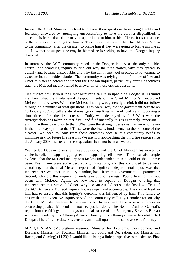Instead, the Chief Minister has tried to prevent these questions from being frankly and fearlessly answered by attempting unsuccessfully to have the coroner disqualified. It appears his fear is that blame may be apportioned to him, or his officers, for some aspect of the failings surrounding the disaster. This flies in the face of the Chief Minister's plea to the community, after the disaster, to blame him if they were going to blame anyone at all. Now that he suspects he may be blamed he is seeking to have the Doogan inquiry thwarted.

In summary, the ACT community relied on the Doogan inquiry as the only reliable. neutral, and searching inquiry to find out why the fires started, why they spread so quickly and became unstoppable, and why the community got precious little warning to evacuate its vulnerable suburbs. The community was relying on the first law officer and Chief Minister to defend and uphold the Doogan inquiry, particularly after his toothless tiger, the McLeod inquiry, failed to answer all of those critical questions.

To illustrate how serious the Chief Minister's failure in upholding Doogan is, I remind members what the fundamental disappointments of the Chief Minister's handpicked McLeod inquiry were. While the McLeod inquiry was generally useful, it did not follow through on a number of vital questions. They were: why did the government hesitate on 18 January 2003 to call a state of emergency, resulting in the official warning coming a short time before the first houses in Duffy were destroyed by fire? What were the strategic decisions taken on that day—and fundamentally this is extremely important and in the three days prior to that? What were the strategic decisions that were not taken in the three days prior to that? These were the issues fundamental to the outcome of the disaster. We need to learn from those outcomes because this community needs to minimise risk for future fire seasons. We are now approaching the third fire season since the January 2003 disaster and these questions have not been answered.

We needed Doogan to answer these questions, and the Chief Minister has moved to choke her off. It is appalling judgment and appalling self-interest. There was also ample evidence that the McLeod inquiry was far less independent than it could or should have been. First, there were some very strong indications, and this continued to be very disturbing, that the final McLeod report had significant departmental input. Was that independent? Was that an inquiry standing back from this government's departments? Second, why did this inquiry not undertake public hearings? Public hearings did not occur with McLeod. Again, we now need to depend on Doogan to bring that independence that McLeod did not. Why? Because it did not suit the first law officer of the ACT to have a McLeod inquiry that was open and accountable. The control freak in him had to ensure that this inquiry's outcome was influenced by him. This failure to ensure that an expensive inquiry served the community well is yet another reason why the Chief Minister deserves to be sanctioned. In any case, he is a serial offender in obstructing justice. McLeod did not see justice done. The Benton Auditor-General's report into the failings and the dysfunctional nature of the Emergency Services Bureau was swept aside by this Attorney-General. Finally, this Attorney-General has obstructed Doogan. Therefore, he deserves censure, and I call upon him to stand aside as Attorney.

**MR QUINLAN** (Molonglo—Treasurer, Minister for Economic Development and Business, Minister for Tourism, Minister for Sport and Recreation, and Minister for Racing and Gaming) (11.33): I would like to bring a little perspective to this debate. First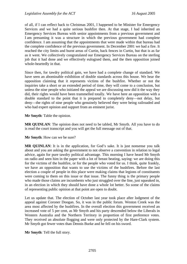of all, if I can reflect back to Christmas 2001, I happened to be Minister for Emergency Services and we had a quite serious bushfire then. At that stage, I had inherited an Emergency Services Bureau with senior appointments from a previous government and I am presuming it was a structure in which the previous government had complete confidence. I am assuming that the appointments that were made within that bureau had the complete confidence of the previous government. In December 2001 we had a fire. It reached the city limits and burnt areas of Curtin, back fences in Curtin, but that is as far as it went. We collectively congratulated our Emergency Services Bureau on the sterling job that it had done and we effectively eulogised them, and the then opposition joined whole-heartedly in that.

Since then, for tawdry political gain, we have had a complete change of standard. We have seen an abominable exhibition of double standards across this house. We hear the opposition claiming that it represents victims of the bushfire. Whether or not the inquiries take a short or an extended period of time, they will come to a conclusion, but unless the nine people who initiated the appeal we are discussing now did it the way they did, their rights would have been trammelled totally. We have here an opposition with a double standard to the point that it is prepared to completely deny—not delay, but deny—the rights of nine people who genuinely believed they were being railroaded and who had expert opinion and support from an eminent jurist.

**Mr Smyth**: Table the opinion.

**MR QUINLAN**: The opinion does not need to be tabled, Mr Smyth. All you have to do is read the court transcript and you will get the full message out of that.

**Mr Smyth**: How can we be sure?

**MR QUINLAN**: It is in the application, for God's sake. It is just nonsense you talk about and you are asking the government to not observe a convention in relation to legal advice, again for pure tawdry political advantage. This morning I have heard Mr Smyth on radio and seen him in the paper with a lot of breast beating, saying: we are doing this for the victims of the bushfire, or for the people who voted for us. I think, quite frankly, we have an opposition that wants to use the victims of the bushfires. Before the last election a couple of people in this place were making claims that legions of constituents were coming to them on this issue or that issue. The funny thing is the primary people who made those claims are incumbents who just struggled over the line, just squeaked in, in an election in which they should have done a whole lot better. So some of the claims of representing public opinion at that point are open to doubt.

Let us update that. The election of October last year took place after lodgment of the appeal against Coroner Doogan. So, it was in the public forum. Weston Creek was the area most affected by the bushfires. In the overall election this government received an increased vote of 5 per cent, as Mr Smyth and his party descended below the Liberals in Western Australia and the Northern Territory in proportion of first preference votes. They received an absolute flogging and were only protected by the Hare-Clark system. Mr Smyth got fewer votes than Dennis Burke and he fell on his sword.

**Mr Smyth**: Tell the full story.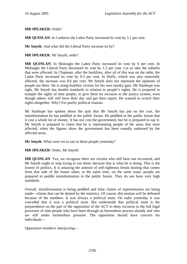### **MR SPEAKER**: Order!

**MR QUINLAN**: In Canberra the Labor Party increased its vote by 5.1 per cent.

**Mr Smyth**: And what did the Liberal Party increase its by?

**MR SPEAKER**: Mr Smyth, order!

**MR QUINLAN**: In Molonglo the Labor Party increased its vote by 6 per cent. In Molonglo the Liberal Party decreased its vote by 1.5 per cent. Let us take the suburbs that were affected. In Chapman, after the bushfires, after all of this was on the table, the Labor Party increased its vote by 9.3 per cent. In Duffy, which was also materially affected, the increase was 8.6 per cent. Mr Smyth does not represent the opinions of people out there. He is using bushfire victims for his own tawdry gain. Mr Stanhope was right. Mr Smyth has double standards in relation to people's rights. He is prepared to trample the rights of nine people, to give them no recourse to the justice system, even though others will still have their day and get their report. He wanted to scotch their rights altogether. Why? For purely political reasons.

Mr Stanhope has spoken about the spin that Mr Smyth has put on the cost, the misinformation he has peddled in the public forum. He peddled in the public forum that it cost a whole lot of money. It has not cost the government, but he is prepared to say it. Mr Smyth is prepared to claim that he is representing people of the areas that were affected, when the figures show the government has been roundly endorsed by the affected areas.

**Mr Smyth**: What were we to say to these people yesterday?

**MR SPEAKER**: Order, Mr Smyth!

**MR QUINLAN**: Yes, we recognise there are victims who still have not recovered, and Mr Smyth ought to stop trying to use them, because that is what he is doing. This is the lowest of politics. It is amazing the amount of self-righteous breast beating that comes from that side of the house when, at the same time, on the same issue, people are prepared to peddle misinformation in the public forum. They do not have very high standards.

Overall, misinformation is being peddled and false claims of representation are being made—claims that can be denied by the statistics. Of course, this motion will be defeated because of the numbers. It was always a political stunt. On radio yesterday it was conceded that it was a political stunt. But underneath that political stunt is the preparedness on the part of the opposition of the ACT to deny recourse to the full legal processes of nine people who have been through an horrendous process already and who are still under tremendous pressure. The opposition should have concern for individuals—

*Opposition members interjecting*—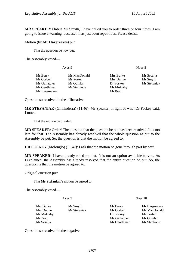**MR SPEAKER**: Order! Mr Smyth, I have called you to order three or four times. I am going to issue a warning, because it has just been repetitious. Please desist.

#### Motion (by **Mr Hargreaves**) put:

That the question be now put.

The Assembly voted—

Ayes 9 Noes 8

| Mr Berry      | Ms MacDonald | Mrs Burke  | Mr Seselja   |
|---------------|--------------|------------|--------------|
| Mr Corbell    | Ms Porter    | Mrs Dunne  | Mr Smyth     |
| Ms Gallagher  | Mr Quinlan   | Dr Foskey  | Mr Stefaniak |
| Mr Gentleman  | Mr Stanhope  | Mr Mulcahy |              |
| Mr Hargreaves |              | Mr Pratt   |              |

Question so resolved in the affirmative.

**MR STEFANIAK** (Ginninderra) (11.46): Mr Speaker, in light of what Dr Foskey said, I move:

That the motion be divided.

**MR SPEAKER**: Order! The question that the question be put has been resolved. It is too late for that. The Assembly has already resolved that the whole question as put to the Assembly be put. So, the question is that the motion be agreed to.

**DR FOSKEY** (Molonglo) (11.47): I ask that the motion be gone through part by part.

**MR SPEAKER**: I have already ruled on that. It is not an option available to you. As I explained, the Assembly has already resolved that the entire question be put. So, the question is that the motion be agreed to.

Original question put:

That **Mr Stefaniak's** motion be agreed to.

The Assembly voted—

Ayes 7 Noes 10

Mrs Burke Mr Smyth Mr Berry Mr Hargreaves Mrs Dunne Mr Stefaniak Mr Corbell Ms MacDonald Mr Mulcahy **Dr Foskey** Ms Porter Mr Pratt Mr Gallagher Mr Ouinlan Mr Seselja Mr Gentleman Mr Stanhope

Question so resolved in the negative.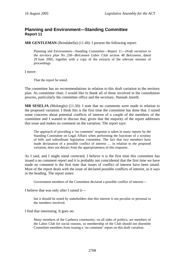# <span id="page-24-0"></span>**Planning and Environment—Standing Committee Report 11**

**MR GENTLEMAN** (Brindabella) (11.49): I present the following report:

Planning and Environment—Standing Committee—Report 11—*Draft variation to the territory plan No 258—Belconnen Labor Club section 48 Belconnen,* dated 29 June 2005, together with a copy of the extracts of the relevant minutes of proceedings.

I move:

That the report be noted.

The committee has no recommendations in relation to this draft variation to the territory plan. As committee chair, I would like to thank all of those involved in the consultation process, particularly the committee office and the secretary, Hannah Jaireth.

**MR SESELJA** (Molonglo) (11.50): I note that no comments were made in relation to the proposed variation. I think this is the first time the committee has done that. I raised some concerns about potential conflicts of interest of a couple of the members of the committee and I wanted to discuss that, given that the majority of the report addresses that issue and makes no comment on the variation. The report says:

The approach of providing a 'no comment' response is taken in many reports by the Standing Committee on Legal Affairs when performing the functions of a scrutiny of bills and subordinate legislation committee. The fact that two members have made declaration of a possible conflict of interest … in relation to the proposed variation, does not detract from the appropriateness of this response.

As I said, and I might stand corrected, I believe it is the first time this committee has issued a no comment report and it is probably not coincidental that the first time we have made no comment is the first time that issues of conflict of interest have been raised. Most of the report deals with the issue of declared possible conflicts of interest, as it says in the heading. The report states:

Government members of the Committee declared a possible conflict of interest—

I believe that was only after I raised it—

but it should be noted by stakeholders that this interest is not peculiar or personal to the members involved.

I find that interesting. It goes on:

Many members of the Canberra community, on all sides of politics, are members of the Labor Club for social reasons, so membership of the Club should not disentitle Committee members from issuing a 'no comment' report on this draft variation.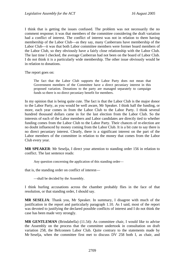I think that is getting the issues confused. The problem was not necessarily the no comment response; it was that members of the committee considering the draft variation had a conflict of interest. The conflict of interest was not in relation to them having membership of the Labor Club—as they say, many Canberrans have membership of the Labor Club—it was that both Labor committee members were former board members of the Labor Club, so they obviously have a fairly close relationship with the Labor Club. The last time I checked, the average Canberran had not been on the board of Labor Club. I do not think it is a particularly wide membership. The other issue obviously would be in relation to donations.

The report goes on:

The fact that the Labor Club supports the Labor Party does not mean that Government members of the Committee have a direct pecuniary interest in this proposed variation. Donations to the party are managed separately to campaign funds so there is no direct pecuniary benefit for members.

In my opinion that is being quite cute. The fact is that the Labor Club is the major donor to the Labor Party, as you would be well aware, Mr Speaker. I think half the funding, or more, each year comes in from the Labor Club to the Labor Party. I think several hundred thousand dollars came in for the last election from the Labor Club. So the interests of each of the Labor members and Labor candidates are directly tied to whether funding comes from the Labor Club to the Labor Party. Their chances of re-election are no doubt influenced by money coming from the Labor Club. It is a bit cute to say there is no direct pecuniary interest. Clearly, there is a significant interest on the part of the Labor members of the committee in relation to the money that comes from the Labor Club every year.

**MR SPEAKER**: Mr Seselja, I direct your attention to standing order 156 in relation to conflict. The last sentence reads:

Any question concerning the application of this standing order—

that is, the standing order on conflict of interest—

—shall be decided by the Assembly.

I think hurling accusations across the chamber probably flies in the face of that resolution, or that standing order, I should say.

**MR SESELJA**: Thank you, Mr Speaker. In summary, I disagree with much of the justification in the report and particularly paragraph 1.10. As I said, most of the report was devoted to justifying the declared possible conflicts of interest and I do not think the case has been made very strongly.

**MR GENTLEMAN** (Brindabella) (11.54): As committee chair, I would like to advise the Assembly on the process that the committee undertook in consultation on draft variation 258, the Belconnen Labor Club. Quite contrary to the statements made by Mr Seselja, when the committee first met to discuss DV 258 both I, as chair, and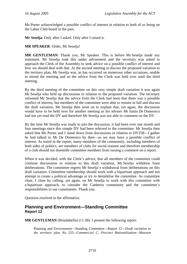<span id="page-26-0"></span>Ms Porter acknowledged a possible conflict of interest in relation to both of us being on the Labor Club board in the past.

**Mr Seselja**: Only after I asked. Only after I raised it.

**MR SPEAKER**: Order, Mr Seselja!

**MR GENTLEMAN**: Thank you, Mr Speaker. This is before Mr Seselja made any statement. Mr Seselja took this under advisement and the secretary was asked to approach the Clerk of the Assembly to seek advice on a possible conflict of interest and how we should deal with that. At the second meeting to discuss the proposed variation to the territory plan, Mr Seselja was, as has occurred on numerous other occasions, unable to attend the meeting and so the advice from the Clerk was held over until the third meeting.

By the third meeting of the committee on this very simple draft variation it was again Mr Seselja who held up discussions in relation to the proposed variation. The secretary informed Mr Seselja that the advice from the Clerk had been that there was a possible conflict of interest, but members of the committee were able to remain in full and discuss the draft variation. Mr Seselja then went on to explain that, yet again, the discussion would have to be held over for another meeting as his adviser Mr Justin De Domenico had not yet read the DV and therefore Mr Seselja was not able to comment on the DV.

By the time Mr Seselja was ready to join the discussion, it had been over one month and four meetings since this simple DV had been referred to the committee. Mr Seselja then asked that Ms Porter and I stand down from discussions in relation to DV258—I gather he had talked to Mr De Domenico by then—as we may have a possible conflict of interest. As noted in the report, many members of the community, including members of both sides of politics, are members of clubs for social reasons and therefore membership of a club should not disentitle committee members from issuing a comment on a report.

When it was decided, with the Clerk's advice, that all members of the committee could continue discussions in relation to this draft variation, Mr Seselja withdrew from deliberations. The committee regrets Mr Seselja's withdrawal from deliberations on this draft variation. Committee membership should work with a bipartisan approach and not attempt to create a political advantage or try to destabilise the committee. As committee chair, I close by calling, yet again, on Mr Seselja to work with this committee with a bipartisan approach, to consider the Canberra community and the committee's responsibilities to our constituents. Thank you.

Question resolved in the affirmative.

# **Planning and Environment—Standing Committee Report 12**

**MR GENTLEMAN** (Brindabella) (11.58): I present the following report:

Planning and Environment—Standing Committee—Report 12—*Draft variation to the territory plan No 255—Commercial C, Precinct Rationalisation—Mawson*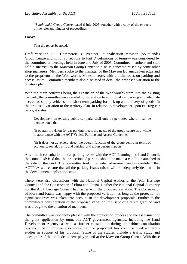*(Southlands) Group Centre,* dated 6 July 2005, together with a copy of the extracts of the relevant minutes of proceedings.

I move:

That the report be noted.

Draft variation 255—Commercial C Precinct Rationalisation Mawson (Southlands) Group Centre and minor corrections to Part D definitions of terms—was considered by the committee at meetings held in June and July of 2005. Committee members and staff held a site visit to the Mawson Group Centre to discuss concerns raised by some other shop managers. Members spoke to the manager of the Mawson Botanicus Perfectus and to the proprietor of the Woolworths Mawson store, with a main focus on parking and access issues. Committee members also discussed in detail the proposed variation to the territory plan.

With the main concerns being the expansion of the Woolworths store into the existing car park, the committee gave careful consideration to additional car parking and adequate access for supply vehicles, and short-term parking for pick up and delivery of goods. In the proposed variation to the territory plan, in relation to development upon existing car parks, it states:

Development on existing public car parks shall only be permitted where it can be demonstrated that:

(i) overall provision for car parking meets the needs of the group centre as a whole in accordance with the ACT Vehicle Parking and Access Guidelines

(ii) it does not adversely affect the overall function of the group centre in terms of economic, social, traffic and parking, and urban design impacts.

After much consultation on car parking issues with the ACT Planning and Land Council, the council advised that the protection of parking should be made a condition attached to the sale of the land. The committee took this under advisement and is confident that ACTPLA will ensure that all the parking issues raised will be adequately dealt with in the development application stage.

There were also discussions with the National Capital Authority, the ACT Heritage Council and the Conservator of Flora and Fauna. Neither the National Capital Authority nor the ACT Heritage Council had issues with the proposed variation. The Conservator of Flora and Fauna was happy with the proposed variation, as long as the protection of significant trees was taken into account in the development proposals. Further to the committee's consideration of the proposed variation, the issue of a direct grant of land was brought to the attention of members.

The committee was decidedly pleased with the application process and the assessment of the grant application by numerous ACT government agencies, including the Land Development Agency, as well as further consultation during the cabinet consultation process. The committee also notes that the proponent has commissioned numerous studies in support of his proposal. Some of the studies include a traffic study and a design brief that includes a new playground at the Mawson Group Centre. With these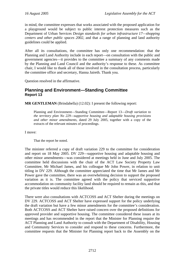<span id="page-28-0"></span>in mind, the committee expresses that works associated with the proposed application for a playground would be subject to public interest protection measures such as the Department of Urban Services *Design standards for urban infrastructure 17—shopping centers and other public spaces 2002*, and that a range of planning and land authority guidelines could be applied.

After all its consultations, the committee has only one recommendation: that the Planning and Land Authority include in each report—on consultation with the public and government agencies—it provides to the committee a summary of any comments made by the Planning and Land Council and the authority's response to these. As committee chair, I would like to thank all of those involved in the consultation process, particularly the committee office and secretary, Hanna Jaireth. Thank you.

Question resolved in the affirmative.

# **Planning and Environment—Standing Committee Report 13**

**MR GENTLEMAN** (Brindabella) (12.02): I present the following report:

Planning and Environment—Standing Committee—Report 13—*Draft variation to the territory plan No 229—supportive housing and adaptable housing provisions and other minor amendments,* dated 29 July 2005, together with a copy of the extracts of the relevant minutes of proceedings.

I move:

That the report be noted.

The minister referred a copy of draft variation 229 to the committee for consideration and report on 18 May 2005. DV 229—supportive housing and adaptable housing and other minor amendments—was considered at meetings held in June and July 2005. The committee held discussions with the chair of the ACT Law Society Property Law Committee, Mr Michael James, and his colleague Mr John Power, in relation to unit titling in DV 229. Although the committee appreciated the time that Mr James and Mr Power gave the committee, there was an overwhelming decision to support the proposed variation as it is. The committee agreed with the policy that serviced supportive accommodation on community facility land should be required to remain as this, and that the private titles would reduce this likelihood.

There were also consultations with ACTCOSS and ACT Shelter during the meetings on DV 229. ACTCOSS and ACT Shelter have expressed support for the policy underlying the draft variation but have a few minor amendments for the committee's consideration. Both ACTCOSS and ACT Shelter have raised concern over the proposed definitions for approved provider and supportive housing. The committee considered these issues at its meetings and has recommended in the report that the Minister for Planning require the ACT Planning and Land Authority to consult with the Department of Disability, Housing and Community Services to consider and respond to these concerns. Furthermore, the committee requests that the Minister for Planning report back to the Assembly on the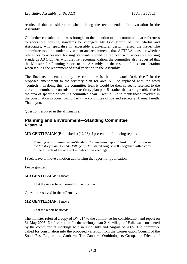<span id="page-29-0"></span>results of that consideration when tabling the recommended final variation in the Assembly.

On further consultation, it was brought to the attention of the committee that references to accessible housing standards be changed. Mr Eric Martin of Eric Martin and Associates, who specialise in accessible architectural design, raised the issue. The committee took this under advisement and recommends that ACTPLA consider whether references to accessible housing standards should be replaced with accessible housing standards AS 1428. As with the first recommendation, the committee also requested that the Minister for Planning report to the Assembly on the results of this consideration when tabling the recommended final variation in the Assembly.

The final recommendation by the committee is that the word "objectives" in the proposed amendment to the territory plan for area A11 be replaced with the word "controls". In doing this, the committee feels it would be then correctly referred to the current unnumbered controls in the territory plan part B1 rather than a single objective in the area of specific policy. As committee chair, I would like to thank those involved in the consultation process, particularly the committee office and secretary, Hanna Jaireth. Thank you.

Question resolved in the affirmative.

### **Planning and Environment—Standing Committee Report 14**

**MR GENTLEMAN** (Brindabella) (12.06): I present the following report:

Planning and Environment—Standing Committee—Report 14—*Draft Variation to the territory plan No 214—Village of Hall,* dated August 2005, together with a copy of the extracts of the relevant minutes of proceedings.

I seek leave to move a motion authorising the report for publication.

Leave granted.

#### **MR GENTLEMAN**: I move:

That the report be authorised for publication.

Question resolved in the affirmative.

#### **MR GENTLEMAN**: I move:

That the report be noted:

The minister referred a copy of DV 214 to the committee for consideration and report on 31 May 2005. Draft variation for the territory plan 214, village of Hall, was considered by the committee at meetings held in June, July and August of 2005. The committee called for consultation into the proposed variation from the Conservation Council of the South East Region and Canberra. The Canberra Ornithologists Group, the Friends of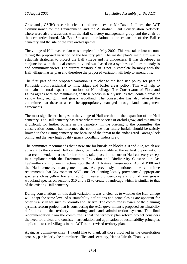Grasslands, CSIRO research scientist and orchid expert Mr David L Jones, the ACT Commissioner for the Environment, and the Australian Plant Conservation Network. There were also discussions with the Hall cemetery management group and the chair of the cemeteries board, Mr Bob Smeaton, in relation to the expansion of the Hall c cemetery and the site of the rare orchid species.

The village of Hall master plan was completed in May 2002. This was taken into account during the proposed variation of the territory plan. The master plan's main aim was to establish strategies to protect the Hall village and its uniqueness. It was developed in conjunction with the local community and was based on a synthesis of current analysis and community views. The current territory plan is not in complete harmony with the Hall village master plan and therefore the proposed variation will help to amend this.

The first part of the proposed variation is to change the land use policy for part of Kinlyside from residential to hills, ridges and buffer areas policy. This will help to maintain the rural aspect and outlook of Hall village. The Conservator of Flora and Fauna agrees with the maintaining of these blocks in Kinlyside, as they contain areas of yellow box, red gum and grassy woodland. The conservator has also advised the committee that these areas can be appropriately managed through land management agreements.

The most significant changes to the village of Hall are that of the expansion of the Hall cemetery. The Hall cemetery has areas where rare species of orchid grow, and this makes it difficult for further burials in the cemetery. In the briefing to the committee, the conservation council has informed the committee that future burials should be strictly limited to the existing cemetery site because of the threat to the endangered Tarengo leek orchid and the very high quality grassy woodland understorey.

The committee recommends that a new site for burials on blocks 310 and 312, which are adjacent to the current Hall cemetery, be made available at the earliest opportunity. It also recommended that no further burials take place in the current Hall cemetery except in compliance with the Environment Protection and Biodiversity Conservation Act 1999—the commonwealth act—and/or the ACT Nature Conservation Act of 1980 and the Hall cemetery management plan. As previously mentioned, the committee recommends that Environment ACT consider planting locally provenanced appropriate species such as yellow box and red gum trees and understorey and ground layer grassy woodland species on sections 310 and 312 to create a landscape which is similar to that of the existing Hall cemetery.

During consultations on this draft variation, it was unclear as to whether the Hall village will adapt the same level of sustainability definitions and principles as are apparent for other rural villages such as Stromlo and Uriarra. The committee is aware of the planning systems reform project that is considering the ACT government's proposed sustainability definitions in the territory's planning and land administration system. The final recommendation from the committee is that the territory plan reform project considers the need for a clear and consistent articulation and application of sustainability principles applicable to rural villages in the ACT in the revised territory plan.

Again, as committee chair, I would like to thank all those involved in the consultation process, particularly the committee office and secretary, Hanna Jaireth. Thank you.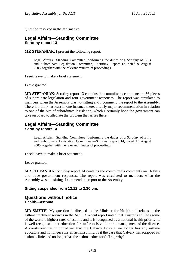<span id="page-31-0"></span>Question resolved in the affirmative.

# **Legal Affairs—Standing Committee Scrutiny report 13**

**MR STEFANIAK**: I present the following report:

Legal Affairs—Standing Committee (performing the duties of a Scrutiny of Bills and Subordinate Legislation Committee)—Scrutiny Report 13*,* dated 9 August 2005, together with the relevant minutes of proceedings.

I seek leave to make a brief statement.

Leave granted.

**MR STEFANIAK**: Scrutiny report 13 contains the committee's comments on 36 pieces of subordinate legislation and four government responses. The report was circulated to members when the Assembly was not sitting and I commend the report to the Assembly. There is I think, at least in one instance there, a fairly major recommendation in relation to one of the bits of subordinate legislation, which I certainly hope the government can take on board to alleviate the problem that arises there.

## **Legal Affairs—Standing Committee Scrutiny report 14**

Legal Affairs—Standing Committee (performing the duties of a Scrutiny of Bills and Subordinate Legislation Committee)—Scrutiny Report 14*,* dated 15 August 2005, together with the relevant minutes of proceedings.

I seek leave to make a brief statement.

Leave granted.

**MR STEFANIAK**: Scrutiny report 14 contains the committee's comments on 16 bills and three government responses. The report was circulated to members when the Assembly was not sitting. I commend the report to the Assembly.

### **Sitting suspended from 12.12 to 2.30 pm.**

### **Questions without notice Health—asthma**

**MR SMYTH**: My question is directed to the Minister for Health and relates to the asthma treatment services in the ACT. A recent report noted that Australia still has some of the world's highest rates of asthma and it is recognised as a national health priority. It is well recognised that education for sufferers is vital in the management of the disease. A constituent has informed me that the Calvary Hospital no longer has any asthma educators and no longer runs an asthma clinic. Is it the case that Calvary has scrapped its asthma clinic and no longer has the asthma educators? If so, why?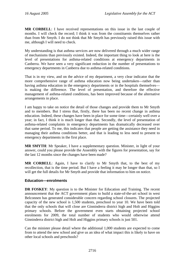<span id="page-32-0"></span>**MR CORBELL**: I have received representations on this issue in the last couple of months. I will check the record; I think it was from the constituents themselves rather than from Mr Smyth. I do not think that Mr Smyth has previously raised this issue with me, although I will need to check.

My understanding is that asthma services are now delivered through a much wider range of mechanisms than previously existed. Indeed, the important thing to look at here is the level of presentations for asthma-related conditions at emergency departments in Canberra. We have seen a very significant reduction in the number of presentations to emergency departments in Canberra due to asthma-related conditions.

That is in my view, and on the advice of my department, a very clear indicator that the more comprehensive range of asthma education now being undertaken—rather than having asthma education in the emergency departments or in the hospitals themselves is making the difference. The level of presentation, and therefore the effective management of asthma-related conditions, has been improved because of the alternative arrangements in place.

I am happy to take on notice the detail of those changes and provide them to Mr Smyth and to members. But I stress that, firstly, there has been no recent change in asthma education. Indeed, these changes have been in place for some time—certainly well over a year; in fact, I think it is much longer than that. Secondly, the level of presentation of asthma-related complaints in emergency departments has dramatically decreased over that same period. To me, this indicates that people are getting the assistance they need in managing their asthma conditions better, and that is leading to less need to present to emergency departments in the first place.

**MR SMYTH**: Mr Speaker, I have a supplementary question. Minister, in light of your answer, could you please provide the Assembly with the figures for presentation, say for the last 12 months since the changes have been made?

**MR CORBELL**: Again, I have to clarify to Mr Smyth that, to the best of my recollection, that is the time period. But I have a feeling it may be longer than that, so I will get the full details for Mr Smyth and provide that information to him on notice.

### **Education—enrolments**

**DR FOSKEY**: My question is to the Minister for Education and Training. The recent announcement that the ACT government plans to build a state-of-the-art school in west Belconnen has generated considerable concern regarding school closures. The projected capacity of the new school is 1,500 students, preschool to year 10. We have been told that the only schools that will close are Ginninderra district high and Holt and Higgins primary schools. Before the government even starts obtaining projected school enrolments for 2009, the total number of students who would otherwise attend Ginninderra district high and Holt and Higgins primary schools is just 501.

Can the minister please detail where the additional 1,000 students are expected to come from to attend the new school and give us an idea of what impact this is likely to have on other local schools and preschools?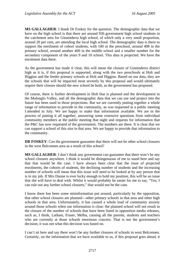**MS GALLAGHER**: I thank Dr Foskey for the question. The demographic data that we have on the high school is that there are around 936 government high school students in the catchment area for Ginninderra high school, of which only a very small proportion, around 20 per cent, are attending the local high school. The demographic data is there to support the enrolment of cohort students, with 100 in the preschool, around 408 in the primary school, around another 400 in the middle school and a smaller number for the secondary component of the years 9 and 10 school. This data is projected. We have the enrolment data there.

As the government has made it clear, this will mean the closure of Ginninderra district high as it is, if this proposal is supported, along with the two preschools at Holt and Higgins and the feeder primary schools at Holt and Higgins. Based on our data, they are the schools that will be impacted most severely by this proposal and would ultimately require their closure should the new school be built, as the government has proposed.

Of course, there is further development in Holt that is planned and the development in the Molonglo Valley, and all the demographic data that we can use and project into the future has been used in those projections. But we are currently putting together a whole range of information to provide to the community, as was requested at a public meeting I attended in July. We are happy to make that information available. We are in the process of putting it all together, answering some extensive questions from individual community members at the public meeting that night and requests for information that the P&C has now requested of the government. The numbers are there. It is clear that we can support a school of this size in that area. We are happy to provide that information to the community.

**DR FOSKEY**: Can the government guarantee that there will not be other school closures in the west Belconnen area as a result of this school?

**MS GALLAGHER**: I don't think any government can guarantee that there won't be any school closures anywhere. I think it would be disingenuous of me to stand here and say that that would be the case. I have always been clear that the issue of projected enrolments, the cohorts of students, the declining number of students and the increasing number of schools will mean that this issue will need to be looked at by any person that is in my job. If Mrs Dunne is ever lucky enough to hold my position, this will be an issue that she will have to deal with. Whilst it would probably be easier for me to say, "Yes, I can rule out any further school closures," that would not be the case.

I know there has been some misinformation put around, particularly by the opposition, that other school closures are planned—other primary schools in that area and other high schools in that area. Unfortunately, it has caused a whole load of community anxiety around those schools when our information is clear: the planned school will not result in the closure of the number of schools that have been listed in opposition media releases, such as, I think, Latham, Fraser, Melba, causing all the parents, students and teachers who are currently at those schools enormous concern. That is not the government's decision; it was not what this decision was based on.

I can't sit here and say there won't be any further closures of schools in west Belconnen. Certainly, on the information that we have available to us, if this proposal goes ahead, it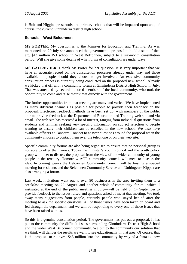<span id="page-34-0"></span>is Holt and Higgins preschools and primary schools that will be impacted upon and, of course, the current Ginninderra district high school.

### **Schools—West Belconnen**

**MS PORTER**: My question is to the Minister for Education and Training. As was mentioned, on 20 July she announced the government's proposal to build a state-of-theart, \$43 million P-3 school in West Belconnen, subject to a six-month consultation period. Will she give some details of what forms of consultation are under way?

**MS GALLAGHER**: I thank Ms Porter for her question. It is very important that we have an accurate record on the consultation processes already under way and those available to people should they choose to get involved. An extensive community consultation process is currently being conducted on the proposed new school. Already we kicked that off with a community forum at Ginninderra District High School in July. That was attended by several hundred members of the local community, who took the opportunity to come and raise their views directly with the government.

The further opportunities from that meeting are many and varied. We have implemented as many different channels as possible for people to provide their feedback on the proposal. Electronic feedback methods have been set up, with members of the public able to provide feedback at the Department of Education and Training web site and via email. The web site has received a lot of interest, ranging from individual questions from students and families seeking very specific information on subject selection to people wanting to ensure their children can be enrolled in the new school. We also have available officers at Canberra Connect to answer questions around the proposal when the community chooses to contact them over the telephone or on their web site.

Specific community forums are also being organised to ensure that no personal group is not able to offer their views. Today the minister's youth council and the youth policy group will meet to discuss the proposal from the view of the wider community of young people in the territory. Tomorrow ACT community councils will meet to discuss the idea. In coming weeks the Belconnen Community Council will be hosting a special meeting for residents and the Belconnen Community Service and Unitingcare Kippax are also arranging a forum.

Last week, invitations went out to over 90 businesses in the area inviting them to a breakfast meeting on 22 August and another whole-of-community forum—which I instigated at the end of the public meeting in July—will be held on 14 September to provide feedback to the issues raised and questions asked of me at that meeting. We took away many suggestions from people, certainly people who stayed behind after the meeting to ask me specific questions. All of those issues have been taken on board and fed through the department, and we will be responding to every one of those issues that have been raised with us.

So this is a genuine consultation period. The government has put out a proposal. It has put to the community the difficult issues surrounding Ginninderra District High School and the wider West Belconnen community. We put to the community our solution that we think will deliver the results we want to see educationally in that area. Of course, that is the proposal to re-invest \$43 million into the community by way of a fantastic new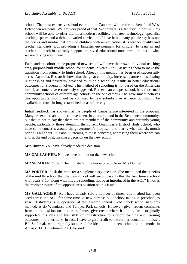school. The most expensive school ever built in Canberra will be for the benefit of West Belconnen residents. We are very proud of that. We think it is a fantastic initiative. This school will be able to offer the most modern facilities, the latest technology, specialist teaching spaces and a rich and varied curriculum. I have heard many people say it is not the bricks and mortar that provide children with an education, it is teacher quality and teacher standards. But providing a fantastic environment for children to learn in and teachers to teach in can only support improved educational outcomes, and that is what we are talking about here.

Each student cohort in the proposed new school will have their own individual teaching area, purpose-built middle school for students in years 6 to 8, assisting them to make the transition from primary to high school. Already this method has been used successfully across Australia. Research shows that the great continuity, increased partnerships, lasting relationships and flexibility provided by middle schooling results in better educational outcomes for students involved. This method of schooling is not based on the American model, as some have erroneously suggested. Rather than a super school, it is four small community schools of different age cohorts on the one campus. The government believes this opportunity should not be confined to new suburbs like Amaroo but should be available to those in long-established areas of the city.

Initial feedback has shown that the people of Canberra are interested in the proposal. Many are excited about the re-investment in education and in the Belconnen community, but that is not to say that there are not members of the community and certainly young people, particularly those attending the current Ginninderra District High School, who have some concerns around the government's proposal, and that is what this six-month period is all about. It is about listening to those concerns, addressing them where we can and, at the end of it, making a decision on the new school.

**Mrs Dunne**: You have already made the decision.

**MS GALLAGHER**: No, we have not, not on the new school.

**MR SPEAKER**: Order! The minister's time has expired. Order, Mrs Dunne!

**MS PORTER**: I ask the minister a supplementary question. She mentioned the benefits of the middle school that the new school will encompass. Is this the first time a school with years P-10, along with middle schooling, has been introduced in the ACT? If not, is the minister aware of the opposition's position on this issue?

**MS GALLAGHER**: As I have already said a number of times, this method has been used across the ACT for some time. A new purpose-built school taking in preschool to year 10 students is in operation at the Amaroo school. Gold Creek school uses this method, as do Wanniassa and Telopea Park schools. However, given recent comments from the opposition on this issue, I must give credit where it is due, for it originally supported this idea and this style of infrastructure to support teaching and learning outcomes in the territory. In fact, I have to give credit to the former education minister, Bill Stefaniak, who originally supported the idea to build a new school on this model in Amaroo. On 13 February 2001, he said: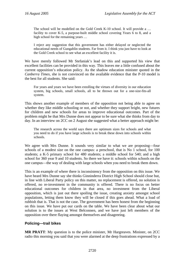The school will be modelled on the Gold Creek K-10 school. It will provide a ... facility to cover K-5, a purpose-built middle school covering Years 6 to 8, and a high school for the remaining years ...

I reject any suggestion that this government has either delayed or neglected the educational needs of Gungahlin students. Far from it. I think you just have to look at the Gold Creek school to see what an excellent facility it is.

We have merely followed Mr Stefaniak's lead on this and supported his view that excellent facilities can be provided in this way. This leaves me a little confused about the current opposition's education policy. As the shadow education minister quoted in the *Canberra Times*, she is not convinced on the available evidence that the P-10 model is the best for all students. She said:

For years and years we have been extolling the virtues of diversity in our education system, big schools, small schools, all to be thrown out for a one-size-fits-all system.

This shows another example of members of the opposition not being able to agree on whether they like middle schooling or not, and whether they support bright, new futures for children and new schools for areas to improve educational outcomes. Part of the problem might be that Mrs Dunne does not appear to be sure what she thinks from day to day. In an interview on 2CC on 2 August she suggested what a better approach might be:

The research across the world says there are optimum sizes for schools and what you need to do if you have large schools is to break these down into schools within schools.

We agree with Mrs Dunne. It sounds very similar to what we are proposing—four schools of a modest size on the one campus: a preschool, that is No 1 school, for 100 students; a K-5 primary school for 480 students; a middle school for 540; and a high school for 360 year 9 and 10 students. So there we have it: schools within schools on the one campus—the way of dealing with large schools when you need to break them down.

This is an example of where there is inconsistency from the opposition on this issue. We have heard Mrs Dunne say she thinks Ginninderra District High School should close but, in line with Liberal Party policy on this matter, no replacement is offered, no solution is offered, no re-investment in the community is offered. There is no focus on better educational outcomes for children in that area, no investment from the Liberal opposition, which is just out there spoiling the issue, creating anxiety amongst school populations, letting them know they will be closed if this goes ahead. What a load of rubbish that is. That is not the case. The government has been honest from the beginning on this issue. We have put our cards on the table. We have been clear about what our solution is to the issues at West Belconnen, and we have just left members of the opposition over there flaying amongst themselves and disagreeing.

#### **Policing—trail bikes**

**MR PRATT**: My question is to the police minister, Mr Hargreaves. Minister, on 2CC radio this morning you said that you were alarmed at the deep frustrations expressed by a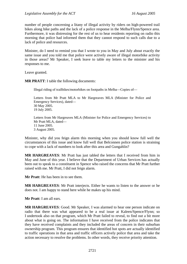number of people concerning a litany of illegal activity by riders on high-powered trail bikes along bike paths and the lack of a police response in the Melba/Flynn/Spence area. Furthermore, it was distressing for the rest of us to hear residents reporting on radio this morning that police had informed them that they cannot respond to such calls due to a lack of police and resources.

Minister, do I need to remind you that I wrote to you in May and July about exactly the same issue and you told me that police were actively aware of illegal motorbike activity in those areas? Mr Speaker, I seek leave to table my letters to the minister and his responses to me.

Leave granted.

**MR PRATT**: I table the following documents:

Illegal riding of trailbikes/motorbikes on footpaths in Melba—Copies of—

Letters from Mr Pratt MLA to Mr Hargreaves MLA (Minister for Police and Emergency Services), dated— 30 May 2005. 19 July 2005.

Letters from Mr Hargreaves MLA (Minister for Police and Emergency Services) to Mr Pratt MLA, dated— 11 June 2005. 3 August 2005.

Minister, why did you feign alarm this morning when you should know full well the circumstances of this issue and know full well that Belconnen police station is straining to cope with a lack of numbers to look after this area and Gungahlin?

**MR HARGREAVES**: Mr Pratt has just tabled the letters that I received from him in May and June of this year. I believe that the Department of Urban Services has actually been out to speak to a constituent in Spence who raised the concerns that Mr Pratt further raised with me. Mr Pratt, I did not feign alarm.

**Mr Pratt**: He has been in to see them.

**MR HARGREAVES**: Mr Pratt interjects. Either he wants to listen to the answer or he does not. I am happy to stand here while he makes up his mind.

**Mr Pratt**: I am all ears.

**MR HARGREAVES**: Good. Mr Speaker, I was alarmed to hear one person indicate on radio that there was what appeared to be a real issue at Kaleen/Spence/Flynn; so I undertook also on that program, which Mr Pratt failed to reveal, to find out a bit more about what is going on. The information I have received from the police indicates that they have received complaints and they included the areas of concern in their suburban ownership program. This program ensures that identified hot spots are actually identified to traffic operations in that area and traffic officers actively police that area and take the action necessary to resolve the problems. In other words, they receive priority attention.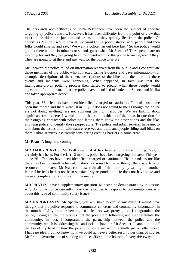The parklands and pathways of north Belconnen have been the subject of specific targeting by police controls. However, it has been difficulty from the point of view that most of the riders are juvenile and are mobile; they quickly flee from the police. Of course, as Mr Pratt would have it, we would fill a police station with people and then folks would ring up and say, "We want a policeman out here fast." So the police would get out there within six minutes or so and, guess what, Mr Speaker? These people are on motorcycles and they are going to sit there and wait for the police to arrive, aren't they! They are going to sit there and just wait for the police to arrive!

Mr Speaker, the police relied on information received from the public and I congratulate those members of the public who contacted Crime Stoppers and gave information—for example, descriptions of the riders, descriptions of the bikes and the time that these events and incidents were happening. What happened, in fact, was that the intelligence-driven policing process then started to predict when these people would appear and I am informed that the police have identified offenders in Spence and Melba and taken appropriate action.

This year, 36 offenders have been identified, charged or cautioned. Four of those have been this month and there were 10 in July. It does not sound to me as though the police are not doing anything, are not applying the right resources. We are talking about significant results here. I would like to thank the residents of the areas in question for their ongoing contact with police and letting them know the descriptions and the like, allowing police to identify those perpetrators. The police and urban services have met to talk about the issues to do with nature reserves and trails and people riding trail bikes on them. Urban services is currently considering erecting barriers in some areas.

**Mr Pratt**: A long time coming.

**MR HARGREAVES**: Mr Pratt says that it has been a long time coming. Yes, it certainly has been. For the last 12 months, police have been targeting that area. This year alone 36 offenders have been identified, charged or cautioned. That sounds to me like there has been a result achieved. It does not sound to me as though there is a lack of resources in the area. Mr Pratt could ascertain all of that merely by writing me another letter if he feels he has not been satisfactorily responded to. He does not have to go and make a complete fool of himself in the media.

**MR PRATT**: I have a supplementary question. Minister, as demonstrated by this issue, why don't the police currently have the resources to respond to community concerns about this type of community safety issue?

**MR HARGREAVES**: Mr Speaker, you will have to excuse my mirth. I would have thought that the police response to community concerns and community information in the month of July in apprehending 10 offenders was pretty good. I congratulate the police, I congratulate the process that the police are following and I congratulate the community. In fact, I congratulate the partnership between the police and the community, which is addressing this antisocial behaviour. Mr Speaker, I cannot think off the top of my head of how the person opposite me would actually get a better result. I have no idea. I do not know how we could achieve a better result other than, of course, Mr Pratt's favourite one of sticking a police officer at the bottom of every driveway.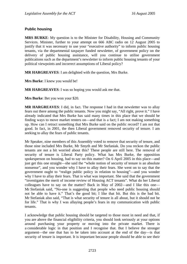#### **Public housing**

**MRS BURKE**: My question is to the Minister for Disability, Housing and Community Services. Minister, further to your attempt on 666 ABC radio on 12 August 2005 to justify that it was necessary to use your "executive authority" to inform public housing tenants, via the departmental taxpayer funded newsletter, of government policy on the delivery of public housing assistance, will you continue to utilise government publications such as the department's newsletter to inform public housing tenants of your political viewpoints and incorrect assumptions of Liberal policy?

**MR HARGREAVES**: I am delighted with the question, Mrs Burke.

**Mrs Burke**: I knew you would be!

**MR HARGREAVES**: I was so hoping you would ask me that.

**Mrs Burke**: Bet you won your \$20.

**MR HARGREAVES**: I did, in fact. The response I had in that newsletter was to allay fears out there among the public tenants. Now you might say, "All right, prove it." I have already indicated that Mrs Burke has said many times in this place that we should be finding ways to move market renters on—and that is a fact; I am not making something up. How can I retract something that Mrs Burke said on the public record? I am not that good. In fact, in 2001, the then Liberal government removed security of tenure. I am seeking to allay the fears of public tenants.

Mr Speaker, nine members of this Assembly voted to remove that security of tenure, and those nine included Mrs Burke, Mr Smyth and Mr Stefaniak. Do you reckon the public tenants are not a bit worried about this? These people are still here. The removal of security of tenure is Liberal Party policy. What has Mrs Burke, the opposition spokesperson on housing, had to say on this matter? On 6 April 2005 in this place—and just get this one straight—she said the "whole notion of security of tenure is an absolute nonsense", and you wonder why I have to allay their fears. She went on to say that the government ought to "realign public policy in relation to housing"—and you wonder why I have to allay their fears. That is what was important. She said that the government "investigates the merit of income review of Housing ACT tenants". What do her Liberal colleagues have to say on the matter? Back in May of 2002—and I like this one— Mr Stefaniak said, "No-one is suggesting that people who need public housing should not be able to have it." That's the good bit; I like that bit. But this is the bad bit. Mr Stefaniak also said, "That is what security of tenure is all about, but it should not be for life." That is why I was allaying people's fears in my communication with public tenants.

I acknowledge that public housing should be targeted to those most in need and that, if you are above the financial eligibility criteria, you should look seriously at your options around purchasing your property or moving into the private market. There is a considerable logic in that position and I recognise that. But I believe the stronger argument—the one that has to be taken into account at the end of the day—is that security of tenure is important. It is important because people should be able to see their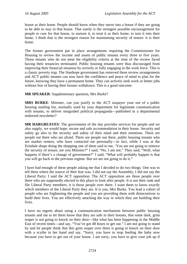house as their home. People should know when they move into a house if they are going to be able to stay in that house. That surely is the strongest possible encouragement for people to care for that house, to nurture it, to treat it as their home, to turn it into their home. I think that is the strongest reason for maintaining security of tenure: it is their home.

The former government put in place arrangements requiring the Commissioner for Housing to review the income and assets of public tenants every three to five years. Those tenants who do not meet the eligibility criteria at the time of the review faced having their tenancies terminated. Public housing tenants were thus discouraged from improving their financial situation by actively or fully engaging in the work force. This is a classic poverty trap. The Stanhope government has removed these review arrangements and ACT public tenants can now have the confidence and peace of mind to plan for the future, knowing they have a permanent home. They can actively seek work or better jobs without fear of having their houses withdrawn. This is a good outcome.

**MR SPEAKER**: Supplementary question, Mrs Burke?

**MRS BURKE**: Minister, can you justify to the ACT taxpayer your use of a public housing mailing list, normally used by your department for legitimate communication with tenants, to deliver misguided political propaganda—published in a departmental endorsed newsletter?

**MR HARGREAVES**: The government of the day provides services for people and we also supply, we would hope, secure and safe accommodation in their house. Security and safety go also to the security and safety of their mind and their emotions. There are people out there who are afraid. There are people out there, public housing tenants who are market renters, who have contacted me personally—in fact, while I was at the Erindale shops doing the shopping one of them said to me, 'You are not going to remove the security of tenure, are you Minister?" I said, "No, I am not." They said, "Well, what happens if there's a change of government?" I said, "What will probably happen is that you will go back to the previous regime. But we are not going to do it."

I have had enough of these people asking me that I decided to do two things. One was to tell them where the source of their fear was. I did not say the Assembly, I did not say the Liberal Party; I said the ACT opposition. The ACT opposition are those people over there who are supposedly elected to this place to look after people. It is not their rank and file Liberal Party members; it is those people over there. I want them to know exactly which members of the Liberal Party they are. It is you, Mrs Burke. You lead a cohort of people who are frightening the people and you are providing them with disincentives to build their lives. You are effectively attacking the way in which they are building their lives.

I have no regrets about using a communication mechanism between public housing tenants and me to let them know that they are safe in their houses, that some dark, grim reaper is not going to knock on their door—like what has been happening in the Middle East of recent times—and say, "You've got 48 hours to get out." I am not going to stand by and let people think that this grim reaper over there is going to knock on their door with a scythe in her hand and say, "Sorry, you have to stop feeding the baby now because you have to get out of your house. I am sorry, you have to give your job up if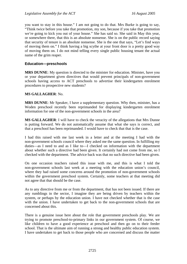you want to stay in this house." I am not going to do that. Mrs Burke is going to say, "Think twice before you take that promotion, my son, because if you take that promotion we're going to kick you out of your house." She has said so. She said in May this year, or somewhere there, that this is an absolute nonsense. She is on the public record saying that security of tenure is an absolute nonsense. She is the one that says, "Let's find ways of moving them on." I think having a big scythe at your front door is a pretty good way of moving them on. I do not mind telling every single public housing tenant the actual name of the grim reaper.

#### **Education—preschools**

**MRS DUNNE**: My question is directed to the minister for education. Minister, have you or your department given directives that would prevent principals of non-government schools having access to ACT preschools to advertise their kindergarten enrolment procedures to prospective new students?

#### **MS GALLAGHER**: No.

**MRS DUNNE**: Mr Speaker, I have a supplementary question. Why then, minister, has a Woden preschool recently been reprimanded for displaying kindergarten enrolment information for one of the non-government schools in the area?

**MS GALLAGHER**: I will have to check the veracity of the allegations that Mrs Dunne is putting forward. We do not automatically assume that what she says is correct, and that a preschool has been reprimanded. I would have to check that that is the case.

I had this raised with me last week in a letter and at the meeting I had with the non-government schools council where they asked me the same question. In fulfilling my duties—as I need to and as I like to—I checked on information with the department about whether such a directive had been given. It certainly had not come from me, so I checked with the department. The advice back was that no such directive had been given.

On one occasion teachers raised this issue with me, and this is what I told the non-government schools last week at a meeting with the education union's council, where they had raised some concerns around the promotion of non-government schools within the government preschool system. Certainly, some teachers at that meeting did not agree that that should be the case.

As to any directive from me or from the department, that has not been issued. If there are any rumblings in the sector, I imagine they are being driven by teachers within the system, or perhaps by the education union. I have not checked whether that is the case with the union. I have undertaken to get back to the non-government schools that are concerned about this.

There is a genuine issue here about the role that government preschools play. We are trying to promote preschool-to-primary links in our government system. Of course, we like children to have a good experience at preschool and then go on to their feeder school. That is the ultimate aim of running a strong and healthy public education system. I have undertaken to get back to those people who are concerned and discuss the matter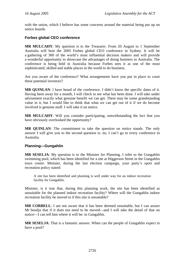with the union, which I believe has some concerns around the material being put up on notice boards.

#### **Forbes global CEO conference**

**MR MULCAHY**: My question is to the Treasurer. From 20 August to 1 September Australia will host the 2005 Forbes global CEO conference in Sydney. It will be a gathering of 300 of the world's most influential decision makers and will provide a wonderful opportunity to showcase the advantages of doing business in Australia. The conference is being held in Australia because Forbes sees it as one of the most sophisticated, skilled and stable places in the world to do business.

Are you aware of the conference? What arrangements have you put in place to court these potential investors?

**MR QUINLAN**: I have heard of the conference. I didn't know the specific dates of it. Having been away for a month, I will check to see what has been done. I will take under advisement exactly what genuine benefit we can get. There may be some grandstanding value in it, but I would like to think that what we can get out of it if we do become involved is genuine stuff. I will take it on notice.

**MR MULCAHY**: Will you consider participating, notwithstanding the fact that you have obviously overlooked the opportunity?

**MR QUINLAN**: The commitment to take the question on notice stands. The only answer I will give you to the second question is: no, I can't go to every conference in Australia.

#### **Planning—Gungahlin**

**MR SESELJA**: My question is to the Minister for Planning. I refer to the Gungahlin swimming pool, which has been identified for a site at Higgerson Street in the Gungahlin town centre. Minister, during the last election campaign, your party's sport and recreation policy stated:

A site has been identified and planning is well under way for an indoor recreation facility for Gungahlin.

Minister, is it true that, during this planning work, the site has been identified as unsuitable for the planned indoor recreation facility? Where will the Gungahlin indoor recreation facility be moved to if this site is unsuitable?

**MR CORBELL**: I am not aware that it has been deemed unsuitable, but I can assure Mr Seselja that if it does not need to be moved—and I will take the detail of that on notice—I can tell him where it will be: in Gungahlin.

**MR SESELJA**: That is a fantastic answer. When can the people of Gungahlin expect to have a pool?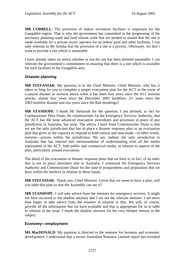**MR CORBELL**: The provision of indoor recreation facilities is important for the Gungahlin region. That is why the government has committed to the progressing of the necessary planning work and land release work that are needed to ensure that the site is made available for a private sector operator for an indoor pool and other facilities. I can only reiterate to Mr Seselja that the provision of a site is a priority. Obviously, we don't want to provide a site which is unsuitable.

I have already taken on notice whether or not the site has been deemed unsuitable. I can reiterate the government's commitment to ensuring that there is a site which is available for such facilities in the Gungahlin area.

#### **Disaster planning**

**MR STEFANIAK**: My question is to the Chief Minister. Chief Minister, why has it taken so long for you to complete a proper evacuation plan for the ACT in the event of a natural disaster or terrorist attack when it has been four years since the 9/11 terrorist attacks, almost four years since the December 2001 bushfires, 2½ years since the 2003 bushfire disaster and two years since the Bali bombings?

**MR STANHOPE**: I thank Mr Stefaniak for the question. I am advised, in fact by Commissioner Peter Dunn, the commissioner for the Emergency Services Authority, that the ACT has the most advanced evacuation procedures and processes in place of any jurisdiction in Australia, bar none. The advice I have from Commissioner Dunn is that we are the only jurisdiction that has in place a disaster response plan or an evacuation plan that gives us the capacity to respond to both natural and man-made—in other words, terrorist—actions within the jurisdiction. We are, indeed, the only jurisdiction in Australia that has entered into memorandums of understanding with all the media represented in the ACT, both public and commercial media, in relation to aspects of the plan, particularly around evacuation.

The detail of the evacuation or disaster response plans that we have is, in fact, of an order that is not in place anywhere else in Australia. I commend the Emergency Services Authority and Commissioner Dunn for the state of preparedness and preparation that we have within the territory in relation to these issues.

**MR STEFANIAK**: Thank you, Chief Minister. Given that we seem to have a plan, will you table that plan so that the Assembly can see it?

**MR STANHOPE**: I will take advice from the minister for emergency services. It might not have occurred to the shadow attorney that I am not the relevant minister. I am more than happy to take advice from the minister in relation to that. We will, of course, provide all the information that we have available and that is appropriate for us to table in relation to the issue. I thank the shadow attorney for his very belated interest in the subject.

#### **Economy—employment**

**MS MacDONALD:** My question is directed to the minister for business and economic development. I understand that a recent Australian Business Limited report has revealed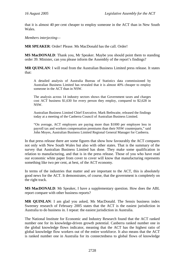that it is almost 40 per cent cheaper to employ someone in the ACT than in New South Wales.

*Members interjecting—* 

**MR SPEAKER**: Order! Please. Ms MacDonald has the call. Order!

**MS MacDONALD**: Thank you, Mr Speaker. Maybe you should point them to standing order 39. Minister, can you please inform the Assembly of the report's findings?

**MR QUINLAN**: I will read from the Australian Business Limited press release. It states that:

A detailed analysis of Australia Bureau of Statistics data commissioned by Australian Business Limited has revealed that it is almost 40% cheaper to employ someone in the ACT than in NSW.

The analysis across 14 industry sectors shows that Government taxes and charges cost ACT business \$1,630 for every person they employ, compared to \$2,628 in NSW.

Australian Business Limited Chief Executive, Mark Bethwaite, released the findings today at a meeting of the Canberra Council of Australian Business Limited.

"On average, ACT employers are paying more than \$1000 per employee less in payroll tax and workers compensation premiums than their NSW counterparts," said John Moyes, Australian Business Limited Regional General Manager for Canberra.

In that press release there are some figures that show how favourably the ACT compares not only with New South Wales but also with other states. That is the summary of the survey that Australian Business Limited has done. They make some qualification in relation to manufacturing, and that is in the press release. Those of you who have read our economic white paper from cover to cover will know that manufacturing represents something like two per cent, at best, of the ACT economy.

In terms of the industries that matter and are important to the ACT, this is absolutely good news for the ACT. It demonstrates, of course, that the government is completely on the right track.

**MS MacDONALD**: Mr Speaker, I have a supplementary question. How does the ABL report compare with other business reports?

**MR QUINLAN**: I am glad you asked, Ms MacDonald. The Sensis business index Sweeney research of February 2005 states that the ACT is the easiest jurisdiction in Australia to do business in. I repeat: the easiest jurisdiction in Australia.

The National Institute for Economic and Industry Research found that the ACT ranked number one for its knowledge-driven growth potential. Canberra ranked number one in the global knowledge flows indicator, meaning that the ACT has the highest ratio of global knowledge flow workers out of the entire workforce. It also means that the ACT is ranked number one in Australia for its connectedness to global flows of knowledge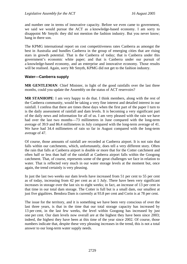and number one in terms of innovative capacity. Before we even came to government, we said we would pursue the ACT as a knowledge-based economy. I am sorry to disappoint Mr Smyth: they did not mention the fashion industry. But you never know; hang in there son.

The KPMG international report on cost competitiveness rates Canberra as amongst the best in Australia and bundles Canberra in the group of emerging cities that are rising stars in growth potential. That is the Canberra of today; that is Canberra under this government's economic white paper; and that is Canberra under our pursuit of a knowledge-based economy, and an enterprise and innovative economy. Those results will be realised. Again, sorry Mr Smyth, KPMG did not get to the fashion industry.

#### **Water—Canberra supply**

**MR GENTLEMAN**: Chief Minister, in light of the good rainfalls over the last three months, could you update the Assembly on the status of ACT reservoirs?

**MR STANHOPE**: I am very happy to do that. I think members, along with the rest of the Canberra community, would be taking a very fine interest and detailed interest in our rainfall. I confess that there are times these days when the first part of the paper I turn to is the daily assessment of rainfall and dam levels. It is becoming a very significant part of the daily news and information for all of us. I am very pleased with the rain we have had over the last two months—73 millimetres in June compared with the long-term average of 39.9 and 86.4 millimetres in July compared with the long-term average of 41. We have had 34.4 millimetres of rain so far in August compared with the long-term average of 47.

Of course, those amounts of rainfall are recorded at Canberra airport. It is not rain that falls within our catchments, which, unfortunately, does tell a very different story. Often the rain that falls at Canberra airport is double or more that for the Cotter catchment and often half or less than half of the rainfall at Canberra airport falls within the Googong catchment. That, of course, represents some of the great challenges we face in relation to water. That is reflected very much in our water storage levels at the moment but, once again, the trend certainly is very pleasing.

In just the last two weeks our dam levels have increased from 51 per cent to 55 per cent as of today, increasing from 42 per cent as at 1 July. There have been very significant increases in storage over the last six to eight weeks; in fact, an increase of 13 per cent in that time in our total dam storage. The Cotter is full but is a small dam, our smallest at just five gigalitres. Bendora Dam is currently at 93.8 per cent and Corin is at 78 per cent.

The issue for the territory, and it is something we have been very conscious of over the last three years, is that in the time that our total storage capacity has increased by 13 per cent, in the last few weeks, the level within Googong has increased by just one per cent. Our dam levels now overall are at the highest they have been since 2003; indeed, the highest they have been at this time of the year since 2002. Of course, those numbers indicate that, despite these very pleasing increases in the trend, this is not a total answer to our long-term water supply needs.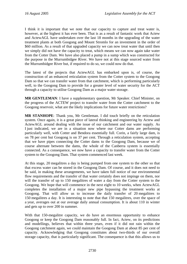I think it is important that we note that our capacity to capture and treat water is, however, at the highest it has ever been. That is as a result of fantastic work that Actew and ActewAGL have undertaken over the last 18 months in the upgrading of the water treatment plants at both Googong and Mount Stromlo for an investment in the order of \$60 million. As a result of that upgraded capacity we can now treat water that until then we simply did not have the capacity to treat, which means we can now again take water from the Cotter Dam. We have also placed a pump in a sump which was constructed for the purpose in the Murrumbidgee River. We have not at this stage sourced water from the Murrumbidgee River but, if required to do so, we could now do that.

The latest of the projects that ActewAGL has embarked upon is, of course, the construction of an enhanced reticulation system from the Cotter system to the Googong Dam so that we can transfer water from that catchment, which is performing particularly well, to the Googong Dam to provide for a greater level of water security for the ACT through a capacity to utilise Googong Dam as a major water storage.

**MR GENTLEMAN**: I have a supplementary question, Mr Speaker. Chief Minister, on the progress of the ACTEW project to transfer water from the Cotter catchment to the Googong reservoir, what are the likely implications for future water restrictions?

**MR STANHOPE**: Thank you, Mr Gentleman. I did touch briefly on the reticulation system. Once again, it is a great piece of lateral thinking and engineering by Actew and ActewAGL around dealing with the issue of our catchment and our water supply. As I just indicated, we are in a situation now where our Cotter dams are performing particularly well, with Cotter and Bendora essentially full. Corin, a fairly large dam, is on 78 per cent but Googong is on 37 per cent. Through a reticulation system, accepting that we have pipes connecting the Cotter dams to the Googong Dam, because we of course alternate between the dams, the whole of the Canberra system is essentially connected. As a consequence, we now have a capacity to transfer water from the Cotter system to the Googong Dam. That system commenced last week.

At this stage, 20 megalitres a day is being pumped from one system to the other so that that excess water can be stored in the Googong Dam. Of course, and it does not need to be said, in making these arrangements, we have taken full notice of our environmental flow requirements and the transfer of that water certainly does not impinge on them, nor will the transfer of up to 150 megalitres of water a day from the Cotter system to the Googong. We hope that will commence in the next eight to 10 weeks, when ActewAGL completes the installation of a major new pipe bypassing the treatment works at Googong. That will allow us to increase the daily transfer of 20 megalitres to 150 megalitres a day. It is interesting to note that that 150 megalitres, over the space of a year, averages out at our average daily annual consumption. It is about 110 in winter and gets up to over 200 in summer.

With that 150-megalitre capacity, we do have an enormous opportunity to enhance Googong or keep the Googong Dam reasonably full. In fact, Actew, on its predictions and modellings, believes that within three years, even if it did not rain within the Googong catchment again, we could maintain the Googong Dam at about 85 per cent of capacity. Acknowledging that Googong constitutes about two-thirds of our overall storage capacity, that is particularly significant. The consequence is that this allows us to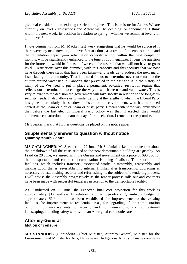give real consideration to existing restriction regimes. This is an issue for Actew. We are currently on level 2 restrictions and Actew will be deciding, or announcing, I think within the next week, its decision in relation to spring—whether we remain at level 2 or go to level 3.

I note comments from Mr Mackay last week suggesting that he would be surprised if there were any need now to go to level 3 restrictions, as a result of the enhanced rain and the reticulation capacity—a reticulation capacity which, within the next couple of months, will be significantly enhanced to the tune of 150 megalitres. It begs the question for the future—it would be fantastic if we could be assured that we will not have to go to level 3 restrictions over this summer, with this capacity and this security that we now have through these steps that have been taken—and leads us to address the next major issue facing the community. That is a need for us to determine never to return to the culture around water use in Canberra that prevailed in the past and is in the history of many of us. We need to put in place a permanent, so-called, restriction regime that reflects our determination to change the way in which we use and value water. This is very relevant to the decision the government will take shortly in relation to the long-term security needs. It also allows us to smile ruefully at the lengths to which the Liberal Party has gone—particularly the shadow minister for the environment, who has marooned herself as the "dam or die" or "dam or bust" party. I recall with some wry amusement that before the last election Liberal Party policy was that, if elected, they would commence construction of a dam the day after the election. I remember the promise.

Mr Speaker, I ask that further questions be placed on the notice paper.

#### **Supplementary answer to question without notice Quamby Youth Centre**

**MS GALLAGHER**: Mr Speaker, on 29 June, Mr Stefaniak asked me a question about the breakdown of all the costs related to the new demountable building at Quamby. As I said on 29 June, we agreed with the Queensland government on a price of \$90,000 for the transportable and contract documentation is being finalised. The relocation of facilities, which includes transport, associated works, disassembly, reassembly and making good, that is, re-establishing internal finishes after transporting, upgrading as necessary, re-establishing security and refurnishing, is the subject of a tendering process. I will advise the Assembly progressively as the tender process rolls out and contracts have been made with successful tenderers in relation to the transportable facility.

As I indicated on 29 June, the expected final cost projection for this work is approximately \$1.6 million. In relation to other upgrades at Quamby, a budget of approximately \$1.9 million has been established for improvements to the existing facilities, for improvements to residential areas, for upgrading of the administration building, for improvements to security and communications, and for external landscaping, including safety works, and an Aboriginal ceremonies area.

## **Attorney-General Motion of censure**

**MR STANHOPE** (Ginninderra—Chief Minister, Attorney-General, Minister for the Environment and Minister for Arts, Heritage and Indigenous Affairs): I made comments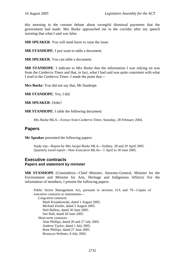this morning in the censure debate about wrongful dismissal payments that the government had made. Mrs Burke approached me in the corridor after my speech insisting that what I said was false.

**MR SPEAKER**: You will need leave to raise the issue.

**MR STANHOPE**: I just want to table a document.

**MR SPEAKER**: You can table a document.

**MR STANHOPE**: I indicate to Mrs Burke that the information I was relying on was from the *Canberra Times* and that, in fact, what I had said was quite consistent with what I read in the *Canberra Times*. I made the point that—

**Mrs Burke**: You did not say that, Mr Stanhope.

**MR STANHOPE**: Yes, I did.

**MR SPEAKER**: Order!

**MR STANHOPE**: I table the following document:

Mrs Burke MLA—Extract from *Canberra Times*, Saturday, 28 February 2004.

#### **Papers**

**Mr Speaker** presented the following papers:

Study trip—Report by Mrs Jacqui Burke MLA—Sydney, 28 and 29 April 2005. Quarterly travel report—Non–Executive MLAs—1 April to 30 June 2005.

#### **Executive contracts Papers and statement by minister**

**MR STANHOPE** (Ginninderra—Chief Minister, Attorney-General, Minister for the Environment and Minister for Arts, Heritage and Indigenous Affairs): For the information of members, I present the following papers:

Public Sector Management Act, pursuant to sections 31A and 79—Copies of executive contracts or instruments— Long-term contracts: Mark Kwiatkowski, dated 1 August 2005. Michael Zissler, dated 3 August 2005. Neil Bulless, dated 30 June 2005. Sue Hall, dated 28 June 2005. Short-term contracts: Alan Phillips, dated 26 and 27 July 2005. Andrew Taylor, dated 1 July 2005. Brett Phillips, dated 27 June 2005. Bronwyn Webster, 8 July 2005.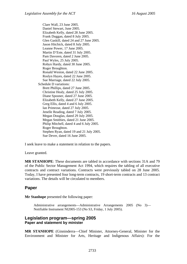Clare Wall, 23 June 2005. Daniel Stewart, June 2005. Elizabeth Kelly, dated 28 June 2005. Frank Duggan, dated 8 July 2005. Glen Gaskill, dated 24 and 27 June 2005. Jason Hitchick, dated 8 July 2005. Leanne Power, 17 June 2005. Martin D'Este, dated 31 July 2005. Pam Davoren, dated 2 June 2005. Paul Wyles, 25 July 2005. Robyn Hardy, dated 30 June 2005. Roger Broughton. Ronald Weston, dated 22 June 2005. Roslyn Hayes, dated 22 June 2005. Sue Marriage, dated 22 July 2005. Schedule D variations: Brett Phillips, dated 27 June 2005. Christine Healy, dated 25 July 2005. Diane Spooner, dated 27 June 2005. Elizabeth Kelly, dated 27 June 2005. Greg Ellis, dated 4 and 6 July 2005. Ian Primrose, dated 27 July 2005. Jenelle Reading, dated 7 July 2005. Megan Douglas, dated 29 July 2005. Megan Smithies, dated 21 June 2005. Philip Mitchell, dated 4 and 6 July 2005. Roger Broughton. Stephen Ryan, dated 19 and 21 July 2005. Sue Dever, dated 16 June 2005.

I seek leave to make a statement in relation to the papers.

Leave granted.

**MR STANHOPE**: These documents are tabled in accordance with sections 31A and 79 of the Public Sector Management Act 1994, which requires the tabling of all executive contracts and contract variations. Contracts were previously tabled on 28 June 2005. Today, I have presented four long-term contracts, 19 short-term contracts and 13 contract variations. The details will be circulated to members.

## **Paper**

**Mr Stanhope** presented the following paper:

Administrative arrangements—Administrative Arrangements 2005 (No 3)— Notifiable Instrument NI2005-153 (No S3, Friday, 1 July 2005).

#### **Legislation program—spring 2005 Paper and statement by minister**

**MR STANHOPE** (Ginninderra—Chief Minister, Attorney-General, Minister for the Environment and Minister for Arts, Heritage and Indigenous Affairs): For the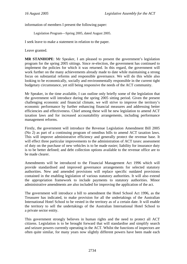information of members I present the following paper:

Legislation Program—Spring 2005, dated August 2005.

I seek leave to make a statement in relation to the paper.

Leave granted.

**MR STANHOPE**: Mr Speaker, I am pleased to present the government's legislation program for the spring 2005 sittings. Since re-election, the government has continued to implement the policies for which it was returned. In this regard, the government will work further on the many achievements already made to date while maintaining a strong focus on substantial reforms and responsible governance. We will do this while also looking to be economically, socially and environmentally responsible in the current tight budgetary circumstance, yet still being responsive the needs of the ACT community.

Mr Speaker, in the time available, I can outline only briefly some of the legislation that the government will introduce during the spring 2005 sitting period. Given the present challenging economic and financial climate, we will strive to improve the territory's economic performance by further enhancing financial measures and addressing better efficiencies and effectiveness. Chief among these will be new legislation to amend ACT taxation laws and for increased accountability arrangements, including performance management reforms.

Firstly, the government will introduce the Revenue Legislation Amendment Bill 2005 (No 2) as part of a continuing program of omnibus bills to amend ACT taxation laws. This will improve administrative efficiency and generally protect the revenue base. It will effect three particular improvements to the administration of ACT taxes: assessment of duty on the purchase of new vehicles is to be made easier; liability for insurance duty is to be better defined; and debt collection options available to the revenue office are to be made clearer.

Amendments will be introduced to the Financial Management Act 1996 which will provide standardised and improved governance arrangements for selected statutory authorities. New and amended provisions will replace specific outdated provisions contained in the enabling legislation of various statutory authorities. It will also extend the appropriation framework to include payments to statutory authorities. Minor administrative amendments are also included for improving the application of the act.

The government will introduce a bill to amendment the Hotel School Act 1996, as the Treasurer has indicated, to make provision for all the undertakings of the Australian International Hotel School to be vested in the territory as of a certain date. It will enable the territory to sell the undertakings of the Australian International Hotel School to a private sector entity.

This government strongly believes in human rights and the need to protect all ACT citizens. Legislation is to be brought forward that will standardise and simplify search and seizure powers currently operating in the ACT. Whilst the functions of inspectors are often quite similar, for many years now slightly different powers have been made each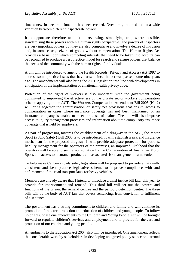time a new inspectorate function has been created. Over time, this had led to a wide variation between different inspectorate powers.

It is opportune therefore to look at reviewing, simplifying and, where possible, standardising these powers within a human rights perspective. The powers of inspectors are very important powers but they are also compulsive and involve a degree of intrusion and, in some cases, seizure of goods without compensation. The Human Rights Act provides a basis upon which competing interests that need to be taken into account can be reconciled to produce a best practice model for search and seizure powers that balance the needs of the community with the human rights of individuals.

A bill will be introduced to amend the Health Records (Privacy and Access) Act 1997 to address some practice issues that have arisen since the act was passed some nine years ago. The amendments will also bring the ACT legislation into line with developments in anticipation of the implementation of a national health privacy code.

Protection of the rights of workers is also important, with the government being committed to improving the effectiveness of the private sector workers compensation scheme applying in the ACT. The Workers Compensation Amendment Bill 2005 (No 2) will bring together the administration of safety net provisions that ensure access to compensation in cases where insurance coverage has not been maintained or an insurance company is unable to meet the costs of claims. The bill will also improve access to injury management processes and information about the compulsory insurance coverage that is held by employers.

As part of progressing towards the establishment of a dragway in the ACT, the Motor Sport (Public Safety) Bill 2005 is to be introduced. It will establish a risk and insurance mechanism for the proposed dragway. It will provide adequate protection for patrons, liability management for the operators of the premises, an improved likelihood that the operators will be able to secure accreditation by the Confederation of Australian Motor Sport, and access to insurance products and associated risk management frameworks.

To help make Canberra roads safer, legislation will be proposed to provide a nationally consistent and best practice legislative scheme to improve compliance with and enforcement of the road transport laws for heavy vehicles.

Members are already aware that I intend to introduce a third justice bill later this year to provide for imprisonment and remand. This third bill will set out the powers and functions of the prison, the remand centres and the periodic detention centre. The three bills will be the body of ACT law that covers sentencing, from conviction to fulfilment of a sentence.

The government has a strong commitment to children and family and will continue its promotion of the care, protection and education of children and young people. To follow up on this, phase one amendments to the Children and Young People Act will be brought forward to regulate children's services and employment and to provide for the care and protection of our children and young people.

Amendments to the Education Act 2004 also will be introduced. One amendment reflects the considerable work by stakeholders in developing an agreed policy stance on parental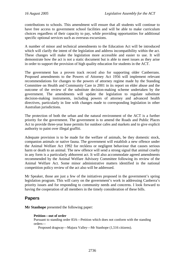contributions to schools. This amendment will ensure that all students will continue to have free access to government school facilities and will be able to make curriculum choices regardless of their capacity to pay, while providing opportunities for additional specific optional services such as overseas excursions.

A number of minor and technical amendments to the Education Act will be introduced which will clarify the intent of the legislation and address incompatibility within the act. These changes will make the legislation more accessible and easier to use. It will demonstrate how the act is not a static document but is able to meet issues as they arise in order to support the provision of high quality education for students in the ACT.

The government has a proven track record also for supporting older Canberrans. Proposed amendments to the Powers of Attorney Act 1956 will implement relevant recommendations for changes to the powers of attorney regime made by the Standing Committee on Health and Community Care in 2001 in its report on elder abuse and the outcome of the review of the substitute decision-making scheme undertaken by the government. The amendments will update the legislation to regulate substitute decision-making instruments, including powers of attorney and advanced health directives, particularly in line with changes made to corresponding legislation in other Australian jurisdictions.

The protection of both the urban and the natural environment of the ACT is a further priority for the government. The government is to amend the Roads and Public Places Act to provide three-year lease permits for outdoor cafes and markets and to give explicit authority to paint over illegal graffiti.

Adequate provision is to be made for the welfare of animals, be they domestic stock, companion animals or native fauna. The government will establish a new offence under the Animal Welfare Act 1992 for reckless or negligent behaviour that causes serious harm or death to an animal. The new offence will send a strong signal that animal cruelty in any form is a particularly abhorrent act. It will also accommodate agreed amendments recommended by the Animal Welfare Advisory Committee following its review of the Animal Welfare Act. Some minor administrative matters identified in the national competition policy review of the act also will be addressed.

Mr Speaker, those are just a few of the initiatives proposed in the government's spring legislation program. This will carry on the government's work in addressing Canberra's priority issues and for responding to community needs and concerns. I look forward to having the cooperation of all members in the timely consideration of these bills.

## **Papers**

**Mr Stanhope** presented the following paper:

```
Petition—out of order
```
Pursuant to standing order 83A—Petition which does not conform with the standing orders—

Proposed dragway—Majura Valley—Mr Stanhope (1,516 citizens).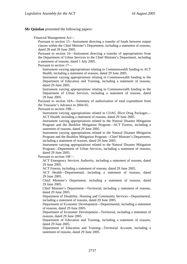**Mr Quinlan** presented the following papers:

Financial Management Act—

Pursuant to section 15—Instrument directing a transfer of funds between output classes within the Chief Minister's Department, including a statement of reasons, dated 28 and 29 June 2005.

Pursuant to section 16—Instrument directing a transfer of appropriations from the Department of Urban Services to the Chief Minister's Department, including a statement of reasons, dated 1 July 2005.

Pursuant to section 17—

Instrument varying appropriations relating to Commonwealth funding to ACT Health, including a statement of reasons, dated 29 June 2005.

Instrument varying appropriations relating to Commonwealth funding to the Department of Education and Training, including a statement of reasons, dated 29 June 2005.

Instrument varying appropriations relating to Commonwealth funding to the Department of Urban Services, including a statement of reasons, dated 29 June 2005.

Pursuant to section 18A—Summary of authorisation of total expenditure from the Treasurer's Advance in 2004-05.

Pursuant to section 19B—

Instrument varying appropriations related to COAG Illicit Drug Packages— ACT Health, including a statement of reasons, dated 29 June 2005.

Instrument varying appropriations related to the Natural Disaster Mitigation Program and the Bushfire Mitigation Program—ACT Forests, including a statement of reasons, dated 29 June 2005.

Instrument varying appropriations related to the Natural Disaster Mitigation Program and the Bushfire Mitigation Program—Chief Minister's Department, including a statement of reasons, dated 29 June 2005.

Instrument varying appropriations related to the Natural Disaster Mitigation Program—Department of Urban Services, including a statement of reasons, dated 29 June 2005.

Pursuant to section 19F—

ACT Emergency Services Authority, including a statement of reasons, dated 29 June 2005.

ACT Forests, including a statement of reasons, dated 29 June 2005.

ACT Health—Departmental, including a statement of reasons, dated 29 June 2005.

Chief Minister's Department, including a statement of reasons, dated 29 June 2005.

Chief Minister's Department—Territorial, including a statement of reasons, dated 29 June 2005.

Department of Disability, Housing and Community Services—Departmental, including a statement of reasons, dated 29 June 2005.

Department of Economic Development—Departmental, including a statement of reasons, dated 29 June 2005.

Department of Economic Development—Territorial, including a statement of reasons, dated 29 June 2005.

Department of Education and Training, including a statement of reasons, dated 29 June 2005.

Department of Education and Training—Territorial Account, including a statement of reasons, dated 29 June 2005.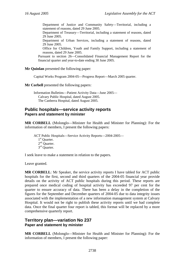Department of Justice and Community Safety—Territorial, including a statement of reasons, dated 29 June 2005.

Department of Treasury—Territorial, including a statement of reasons, dated 29 June 2005.

Department of Urban Services, including a statement of reasons, dated 29 June 2005.

Office for Children, Youth and Family Support, including a statement of reasons, dated 29 June 2005.

Pursuant to section 26—Consolidated Financial Management Report for the financial quarter and year-to-date ending 30 June 2005.

**Mr Quinlan** presented the following paper:

Capital Works Program 2004-05—Progress Report—March 2005 quarter.

**Mr Corbell** presented the following papers:

Information Bulletins—Patient Activity Data—June 2005— Calvary Public Hospital, dated August 2005. The Canberra Hospital, dated August 2005.

#### **Public hospitals—service activity reports Papers and statement by minister**

**MR CORBELL** (Molonglo—Minister for Health and Minister for Planning): For the information of members, I present the following papers:

ACT Public Hospitals—Service Activity Reports—2004-2005— 1<sup>st</sup> Ouarter.  $2<sup>nd</sup>$  Quarter. 3<sup>rd</sup> Ouarter.

I seek leave to make a statement in relation to the papers.

Leave granted.

**MR CORBELL**: Mr Speaker, the service activity reports I have tabled for ACT public hospitals for the first, second and third quarters of the 2004-05 financial year provide details on the activity of ACT public hospitals during this period. These reports are prepared once medical coding of hospital activity has exceeded 97 per cent for the quarter to ensure accuracy of data. There has been a delay in the completion of the figures for the September and December quarters of 2004-05 due to data integrity issues associated with the implementation of a new information management system at Calvary Hospital. It would not be right to publish these activity reports until we had complete data. Once the final quarter four report is tabled, this format will be replaced by a more comprehensive quarterly report.

#### **Territory plan—variation No 237 Paper and statement by minister**

**MR CORBELL** (Molonglo—Minister for Health and Minister for Planning): For the information of members, I present the following paper: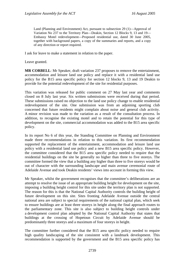Land (Planning and Environment) Act, pursuant to subsection 29 (1)—Approval of Variation No 237 to the Territory Plan—Deakin, Section 12 Blocks 9, 13 and 19— Embassy Motel redevelopment—Proposed residential use, dated 30 June 2005, together with background papers, a copy of the summaries and reports, and a copy of any direction or report required.

I ask for leave to make a statement in relation to the paper.

Leave granted.

**MR CORBELL**: Mr Speaker, draft variation 237 proposes to remove the entertainment, accommodation and leisure land use policy and replace it with a residential land use policy for the B15 area specific policy for section 12 blocks 9, 13 and 19 Deakin to provide for the potential redevelopment of the site for residential purposes.

This variation was released for public comment on 27 May last year and comments closed on 8 July last year. Six written submissions were received during that period. These submissions raised no objection to the land use policy change to enable residential redevelopment of the site. One submission was from an adjoining sporting club concerned that future residents might complain about noise and general club activity. A minor revision was made to the variation as a result of the consultation process. In addition, to recognise the existing motel and to retain the potential for this type of development on the site, commercial accommodation was added to the B15 area specific policy.

In its report No 6 of this year, the Standing Committee on Planning and Environment made three recommendations in relation to this variation. Its first recommendation supported the replacement of the entertainment, accommodation and leisure land use policy with a residential land use policy and a new B15 area specific policy. However, the committee considered that the B15 area specific policy needed to require that the residential buildings on the site be generally no higher than three to five storeys. The committee formed the view that a building any higher than three to five storeys would be out of character with the surrounding landscape and main avenue ceremonial route of Adelaide Avenue and took Deakin residents' views into account in forming this view.

Mr Speaker, whilst the government recognises that the committee's deliberations are an attempt to resolve the issue of an appropriate building height for development on the site, imposing a building height control for this site under the territory plan is not supported. The reason for this is that the National Capital Authority controls the building height of future development on this site. Sites fronting Adelaide Avenue outside the central national area are subject to special requirements of the national capital plan, which seek to ensure buildings are at least three storeys in height along the final approach routes to the parliamentary zone. This site is also subject to building height controls under a development control plan adopted by the National Capital Authority that states that buildings at the crossing of Hopetoun Circuit by Adelaide Avenue should be predominantly three storeys and a maximum of four storeys in height.

The committee further considered that the B15 area specific policy needed to require high quality landscaping of the site consistent with a landmark development. This recommendation is supported by the government and the B15 area specific policy has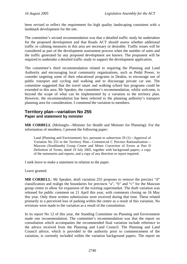been revised to reflect the requirement for high quality landscaping consistent with a landmark development for the site.

The committee's second recommendation was that a detailed traffic study be undertaken for the proposed development and that Roads ACT should assess whether additional traffic or calming measures in this area are necessary or desirable. Traffic issues will be considered as part of the development assessment process when the number of units and the traffic generated by any proposed development are known. The proponent will be required to undertake a detailed traffic study to support the development application.

The committee's third recommendation related to requiring the Planning and Land Authority and encouraging local community organisations, such as Pedal Power, to consider targeting some of their educational programs in Deakin, to encourage use of public transport and cycling and walking and to discourage private car use. The committee suggested that the travel smart and walking school bus programs could be extended to this area. Mr Speaker, the committee's recommendation, whilst welcome, is beyond the scope of what can be implemented by a variation to the territory plan. However, the recommendation has been referred to the planning authority's transport planning area for consideration. I commend the variation to members.

#### **Territory plan—variation No 255 Paper and statement by minister**

**MR CORBELL** (Molonglo—Minister for Health and Minister for Planning): For the information of members, I present the following paper:

Land (Planning and Environment) Act, pursuant to subsection 29 (1)—Approval of Variation No 255 to the Territory Plan—Commercial C Precinct Rationalisation— Mawson (Southlands) Group Centre and Minor Correction of Errors at Part D Definition of Terms, dated 19 July 2005, together with background papers, a copy of the summaries and reports, and a copy of any direction or report required.

I seek leave to make a statement in relation to the paper.

Leave granted.

**MR CORBELL:** Mr Speaker, draft variation 255 proposes to remove the precinct "d" classification and realign the boundaries for precincts "a", "b" and "c" for the Mawson group centre to allow for expansion of the existing supermarket. The draft variation was released for public comment on 21 April this year, with comments closing on 16 May this year. Only three written submissions were received during that time. These related primarily to a perceived loss of parking within the centre as a result of this variation. No revisions were made to the variation as a result of the consultation.

In its report No 12 of this year, the Standing Committee on Planning and Environment made one recommendation. The committee's recommendation was that the report on consultation which accompanies the recommended final variation include reference to the advice received from the Planning and Land Council. The Planning and Land Council advice, which is provided to the authority prior to commencement of the variation, is currently included within the variation background papers. The report on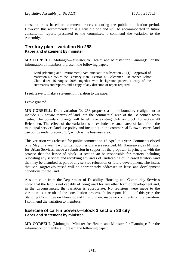consultation is based on comments received during the public notification period. However, this recommendation is a sensible one and will be accommodated in future consultation reports presented to the committee. I commend the variation to the Assembly.

#### **Territory plan—variation No 258 Paper and statement by minister**

**MR CORBELL** (Molonglo—Minister for Health and Minister for Planning): For the information of members, I present the following paper:

Land (Planning and Environment) Act, pursuant to subsection 29 (1)—Approval of Variation No 258 to the Territory Plan—Section 48 Belconnen—Belconnen Labor Club, dated 16 August 2005, together with background papers, a copy of the summaries and reports, and a copy of any direction or report required.

I seek leave to make a statement in relation to the paper.

Leave granted.

**MR CORBELL**: Draft variation No 258 proposes a minor boundary realignment to include 157 square metres of land into the commercial area of the Belconnen town centre. The boundary change will benefit the existing club on block 10 section 48 Belconnen. The effect of the variation is to exclude the small area of land from the municipal services land use policy and include it in the commercial B town centres land use policy under precinct "b", which is the business area.

This variation was released for public comment on 16 April this year. Comments closed on 9 May this year. Two written submissions were received. Mr Hargreaves, as Minister for Urban Services, made a submission in support of the proposal, in principle, with the proviso that the lessee of block 10 section 48 be responsible for matters including relocating any services and rectifying any areas of landscaping of unleased territory land that may be disturbed as part of any service relocation or future development. The issues that Mr Hargreaves raised will be appropriately addressed in lease and development conditions for the land.

A submission from the Department of Disability, Housing and Community Services noted that the land is not capably of being used for any other form of development and, in the circumstances, the variation is appropriate. No revisions were made to the variation as a result of the consultation process. In its report No 11 of this year, the Standing Committee on Planning and Environment made no comments on the variation. I commend the variation to members.

#### **Exercise of call-in powers—block 3 section 30 city Paper and statement by minister**

**MR CORBELL** (Molonglo—Minister for Health and Minister for Planning): For the information of members, I present the following paper: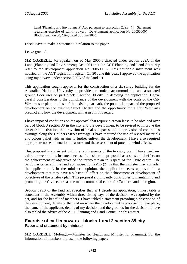Land (Planning and Environment) Act, pursuant to subsection 229B (7)—Statement regarding exercise of call-in powers—Development application No 200500007— Block 3 Section 30, City, dated 30 June 2005.

I seek leave to make a statement in relation to the paper.

Leave granted.

**MR CORBELL**: Mr Speaker, on 30 May 2005 I directed under section 229A of the Land (Planning and Environment) Act 1991 that the ACT Planning and Land Authority refer to me development application No 200500007. This notifiable instrument was notified on the ACT legislation register. On 30 June this year, I approved the application using my powers under section 229B of the land act.

This application sought approval for the construction of a six-storey building for the Australian National University to provide for student accommodation and associated ground floor uses on part block 3 section 30 city. In deciding the application, I gave careful consideration to the compliance of the development with the goals of the City West master plan, the loss of the existing car park, the potential impact of the proposed development on the existing Street Theatre and the opportunity for a City West arts precinct and how the development will assist in this regard.

I have imposed conditions on the approval that require a crown lease to be obtained over part of block 3 section 30 in the city and the development to be revised to improve the street front activation, the provision of breakout spaces and the provision of continuous awnings along the Childers Street frontage. I have required the use of revised materials and colour pallet with an aim to further enliven the development. I have also required appropriate noise attenuation measures and the assessment of potential wind effects.

This proposal is consistent with the requirements of the territory plan. I have used my call-in powers in this instance because I consider the proposal has a substantial effect on the achievement of objectives of the territory plan in respect of the Civic centre. The particular criteria in the land act, subsection 229B (2), is that the minister may consider the application if, in the minister's opinion, the application seeks approval for a development that may have a substantial effect on the achievement or development of objectives of the territory plan. This proposal significantly contributes to maintaining and promoting the Civic centre as the main commercial centre for Canberra and the region.

Section 229B of the land act specifies that, if I decide an application, I must table a statement in the Assembly within three sitting days of the decision. As required by the act, and for the benefit of members, I have tabled a statement providing a description of the development, details of the land on where the development is proposed to take place, the name of the applicant, details of my decision and the grounds for the decision. I have also tabled the advice of the ACT Planning and Land Council on this matter.

## **Exercise of call-in powers—blocks 1 and 2 section 89 city Paper and statement by minister**

**MR CORBELL** (Molonglo—Minister for Health and Minister for Planning): For the information of members, I present the following paper: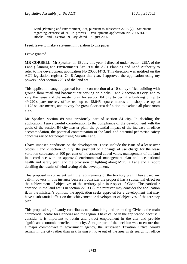Land (Planning and Environment) Act, pursuant to subsection 229B (7)—Statement regarding exercise of call-in powers—Development application No 200501473— Blocks 1 and 2 Section 89, City, dated 8 August 2005.

I seek leave to make a statement in relation to this paper.

Leave granted.

**MR CORBELL**: Mr Speaker, on 18 July this year, I directed under section 229A of the Land (Planning and Environment) Act 1991 the ACT Planning and Land Authority to refer to me development application No 200501473. This direction was notified on the ACT legislation register. On 8 August this year, I approved the application using my powers under section 229B of the land act.

This application sought approval for the construction of a 10-storey office building with ground floor retail and basement car parking on blocks 1 and 2 section 89 city, and to vary the lease and the master plan for section 84 city to permit a building of up to 49,220 square metres, office use up to 48,045 square metres and shop use up to 1,175 square metres, and to vary the gross floor area definition to exclude all plant room area.

Mr Speaker, section 89 was previously part of section 84 city. In deciding the application, I gave careful consideration to the compliance of the development with the goals of the section 84 city master plan, the potential impact of the increase in office accommodation, the potential contamination of the land, and potential pedestrian safety concerns raised for people using Murulla Lane.

I have imposed conditions on the development. These include the issue of a lease over blocks 1 and 2 section 89 city, the payment of a change of use charge for the lease variation calculated at 100 per cent of the assessed added value, management of the land in accordance with an approved environmental management plan and occupational health and safety plan, and the provision of lighting along Murulla Lane and a report detailing the results of wind testing of the development.

This proposal is consistent with the requirements of the territory plan. I have used my call-in powers in this instance because I consider the proposal has a substantial effect on the achievement of objectives of the territory plan in respect of Civic. The particular criterion in the land act is in section 229B (2): the minister may consider the application if, in the minister's opinion, the application seeks approval for a development that may have a substantial effect on the achievement or development of objectives of the territory plan.

This proposal significantly contributes to maintaining and promoting Civic as the main commercial centre for Canberra and the region. I have called in the application because I consider it is important to retain and attract employment in the city and provide significant economic benefits to the city. A major part of the decision was to ensure that a major commonwealth government agency, the Australian Taxation Office, would remain in the city rather than risk having it move out of the area in its search for office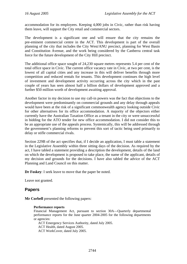accommodation for its employees. Keeping 4,000 jobs in Civic, rather than risk having them leave, will support the City retail and commercial sectors.

The development is a significant one and will ensure that the city remains the pre-eminent commercial centre in the ACT. This development is part of the overall planning of the city that includes the City West/ANU precinct, planning for West Basin and Constitution Avenue, and the work being considered by the Canberra central task force for the future development of the City Hill precinct.

The additional office space sought of 24,230 square metres represents 5.4 per cent of the total office space in Civic. The current office vacancy rate in Civic, at two per cent, is the lowest of all capital cities and any increase in this will deliver benefits through more competition and reduced rentals for tenants. This development continues the high level of investment and development activity occurring across the city which in the past couple of years has seen almost half a billion dollars of development approved and a further \$50 million worth of development awaiting approval.

Another factor in my decision to use my call-in powers was the fact that objections to the development were predominantly on commercial grounds and any delay through appeals would have been at the risk of a significant commonwealth agency looking outside Civic for other alternatives for its office accommodation. A majority of the objectors either currently have the Australian Taxation Office as a tenant in the city or were unsuccessful in bidding for the ATO tender for new office accommodation. I did not consider this to be an appropriate use of the appeals process. Systemically, this will be addressed through the government's planning reforms to prevent this sort of tactic being used primarily to delay or stifle commercial rivals.

Section 229B of the act specifies that, if I decide an application, I must table a statement in the Legislative Assembly within three sitting days of the decision. As required by the act, I have tabled a statement providing a description the development, details of the land on which the development is proposed to take place, the name of the applicant, details of my decision and grounds for the decisions. I have also tabled the advice of the ACT Planning and Land Council on this matter.

**Dr Foskey**: I seek leave to move that the paper be noted.

Leave not granted.

## **Papers**

**Mr Corbell** presented the following papers:

#### **Performance reports**

Financial Management Act, pursuant to section 30A—Quarterly departmental performance reports for the June quarter 2004-2005 for the following departments or agencies:

ACT Emergency Services Authority, dated July 2005. ACT Health, dated August 2005. ACT WorkCover, dated July 2005.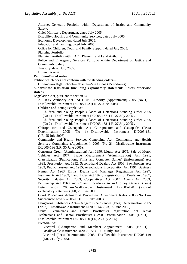Attorney-General's Portfolio within Department of Justice and Community Safety.

Chief Minister's Department, dated July 2005.

Disability, Housing and Community Services, dated July 2005.

Economic Development, dated July 2005.

Education and Training, dated July 2005.

Office for Children, Youth and Family Support, dated July 2005.

Planning Portfolio.

Planning Portfolio within ACT Planning and Land Authority.

Police and Emergency Services Portfolio within Department of Justice and Community Safety.

Treasury, dated July 2005.

Urban Services.

#### **Petition—Out of order**

Petition which does not conform with the standing orders—

Ginninderra High School—Closure—Mrs Dunne (150 citizens)

**Subordinate legislation (including explanatory statements unless otherwise stated)** 

Legislation Act, pursuant to section 64—

ACTION Authority Act—ACTION Authority (Appointment) 2005 (No 1)— Disallowable Instrument DI2005-122 (LR, 27 June 2005).

Children and Young People Act—

Children and Young People (Places of Detention) Standing Order 2005 (No 1)—Disallowable Instrument DI2005-167 (LR, 27 July 2005).

Children and Young People (Places of Detention) Standing Order 2005 (No 2)—Disallowable Instrument DI2005-168 (LR, 27 July 2005).

Chiropractors and Osteopaths Act—Chiropractors and Osteopaths (Fees) Determination 2005 (No 1)—Disallowable Instrument DI2005-151 (LR, 25 July 2005).

Community and Health Services Complaints Act—Community and Health Services Complaints (Appointment) 2005 (No 2)—Disallowable Instrument DI2005-136 (LR, 30 June 2005).

Consumer Credit (Administration) Act 1996, Liquor Act 1975, Sale of Motor Vehicles Act 1977, Trade Measurement (Administration) Act 1991, Classification (Publications, Films and Computer Games) (Enforcement) Act 1995, Prostitution Act 1992, Second-hand Dealers Act 1906, Pawnbrokers Act 1902, Public Trustees Act 1985, Associations Incorporation Act 1991, Business Names Act 1963, Births, Deaths and Marriages Registration Act 1997, Instruments Act 1933, Land Titles Act 1925, Registration of Deeds Act 1957, Security Industry Act 2003, Cooperatives Act 2002, Agents Act 2003, Partnership Act 1963 and Courts Procedures Act—Attorney General (Fees) Determination 2005—Disallowable Instrument DI2005-128 (without explanatory statement) (LR, 29 June 2005).

Court Procedures Act—Court Procedures Amendment Rules 2005 (No 1)— Subordinate Law SL2005-13 (LR, 7 July 2005).

Dangerous Substances Act—Dangerous Substances (Fees) Determination 2005 (No 2)—Disallowable Instrument DI2005-142 (LR, 30 June 2005).

Dental Technicians and Dental Prosthetists Registration Act—Dental Technicians and Dental Prosthetists (Fees) Determination 2005 (No 1)— Disallowable Instrument DI2005-150 (LR, 25 July 2005).

Electoral Act—

Electoral (Chairperson and Member) Appointment 2005 (No 1)— Disallowable Instrument DI2005-156 (LR, 26 July 2005).

Electoral (Fees) Determination 2005—Disallowable Instrument DI2005-149 (LR, 21 July 2005).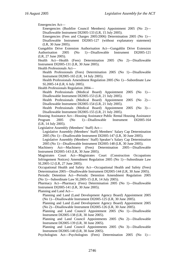Emergencies Act—

Emergencies (Bushfire Council Members) Appointment 2005 (No 2)— Disallowable Instrument DI2005-133 (LR, 15 July 2005).

Emergencies (Fees and Charges 2005/2006) Determination 2005 (No 1)— Disallowable Instrument DI2005-127 (without explanatory statement) (LR, 30 June 2005).

Gungahlin Drive Extension Authorisation Act—Gungahlin Drive Extension Authorisation 2005 (No 1)—Disallowable Instrument DI2005-121 (LR, 27 June 2005).

Health Act—Health (Fees) Determination 2005 (No 2)—Disallowable Instrument DI2005-131 (LR, 30 June 2005).

Health Professionals Act—

Health Professionals (Fees) Determination 2005 (No 1)—Disallowable Instrument DI2005-165 (LR, 14 July 2005).

Health Professionals Amendment Regulation 2005 (No 1)—Subordinate Law SL2005-14 (LR, 6 July 2005).

Health Professionals Regulation 2004—

Health Professionals (Medical Board) Appointment 2005 (No 1)— Disallowable Instrument DI2005-153 (LR, 21 July 2005).

Health Professionals (Medical Board) Appointment 2005 (No 2)— Disallowable Instrument DI2005-154 (LR, 21 July 2005).

Health Professionals (Medical Board) Appointment 2005 (No 3)— Disallowable Instrument DI2005-155 (LR, 21 July 2005).

Housing Assistance Act—Housing Assistance Public Rental Housing Assistance Program 2005 (No 1)—Disallowable Instrument DI2005-164 (LR, 14 July 2005).

Legislative Assembly (Members' Staff) Act—

Legislative Assembly (Members' Staff) Members' Salary Cap Determination 2005 (No 1)—Disallowable Instrument DI2005-147 (LR, 30 June 2005).

Legislative Assembly (Members' Staff) Speaker's Salary Cap Determination 2005 (No 1)—Disallowable Instrument DI2005-148 (LR, 30 June 2005).

Machinery Act—Machinery (Fees) Determination 2005—Disallowable Instrument DI2005-143 (LR, 30 June 2005).

Magistrates Court Act—Magistrates Court (Construction Occupations Infringement Notices) Amendment Regulation 2005 (No 1)—Subordinate Law SL2005-12 (LR, 27 June 2005).

Occupational Health and Safety Act—Occupational Health and Safety (Fees) Determination 2005—Disallowable Instrument DI2005-144 (LR, 30 June 2005).

Periodic Detention Act—Periodic Detention Amendment Regulation 2005 (No 1)—Subordinate Law SL2005-15 (LR, 14 July 2005).

Pharmacy Act—Pharmacy (Fees) Determination 2005 (No 1)—Disallowable Instrument DI2005-141 (LR, 30 June 2005).

Planning and Land Act—

Planning and Land (Land Development Agency Board) Appointment 2005 (No 1)—Disallowable Instrument DI2005-125 (LR, 30 June 2005).

Planning and Land (Land Development Agency Board) Appointment 2005 (No 2)—Disallowable Instrument DI2005-126 (LR, 30 June 2005).

Planning and Land Council Appointment 2005 (No 1)—Disallowable Instrument DI2005-138 (LR, 30 June 2005).

Planning and Land Council Appointments 2005 (No 2)—Disallowable Instrument DI2005-139 (LR, 30 June 2005).

Planning and Land Council Appointments 2005 (No 3)—Disallowable Instrument DI2005-140 (LR, 30 June 2005).

Psychologists Act—Psychologists (Fees) Determination 2005 (No 1)—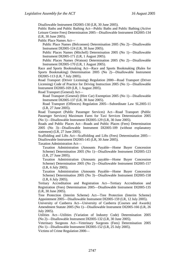Disallowable Instrument DI2005-130 (LR, 30 June 2005).

Public Baths and Public Bathing Act—Public Baths and Public Bathing (Active Leisure Centre Fees) Determination 2005—Disallowable Instrument DI2005-134 (LR, 30 June 2005).

Public Place Names Act—

Public Place Names (Belconnen) Determination 2005 (No 2)—Disallowable Instrument DI2005-124 (LR, 30 June 2005).

Public Places Names (Mitchell) Determination 2005 (No 1)—Disallowable Instrument DI2005-171 (LR, 1 August 2005).

Public Places Names (Watson) Determination 2005 (No 2)—Disallowable Instrument DI2005-170 (LR, 1 August 2005).

Race and Sports Bookmaking Act—Race and Sports Bookmaking (Rules for Sports Bookmaking) Determination 2005 (No 2)—Disallowable Instrument DI2005-113 (LR, 7 July 2005).

Road Transport (Driver Licensing) Regulation 2000—Road Transport (Driver Licensing) Code of Practice for Driving Instruction 2005 (No 1)—Disallowable Instrument DI2005-169 (LR, 1 August 2005).

Road Transport (General) Act—

Road Transport (General) (Hire Car) Exemption 2005 (No 1)—Disallowable Instrument DI2005-137 (LR, 30 June 2005).

Road Transport (Offences) Regulation 2005—Subordinate Law SL2005-11 (LR, 27 June 2005).

Road Transport (Public Passenger Services) Act—Road Transport (Public Passenger Services) Maximum Fares for Taxi Services Determination 2005 (No 1)—Disallowable Instrument DI2005-129 (LR, 30 June 2005).

Roads and Public Places Act—Roads and Public Places (Fees) Determination 2005 (No 3)—Disallowable Instrument DI2005-109 (without explanatory statement) (LR, 27 June 2005).

Scaffolding and Lifts Act—Scaffolding and Lifts (Fees) Determination 2005— Disallowable Instrument DI2005-145 (LR, 30 June 2005).

Taxation Administration Act—

Taxation Administration (Amounts Payable—Home Buyer Concession Scheme) Determination 2005 (No 1)—Disallowable Instrument DI2005-123 (LR, 27 June 2005).

Taxation Administration (Amounts payable—Home Buyer Concession Scheme) Determination 2005 (No 2)—Disallowable Instrument DI2005-157 (LR, 6 July 2005).

Taxation Administration (Amounts Payable—Home Buyer Concession Scheme) Determination 2005 (No 3)—Disallowable Instrument DI2005-158 (LR, 6 July 2005).

Tertiary Accreditation and Registration Act—Tertiary Accreditation and Registration (Fees) Determination 2005—Disallowable Instrument DI2005-135 (LR, 30 June 2005).

Tree Protection (Interim Scheme) Act—Tree Protection (Interim Scheme) Appointment 2005—Disallowable Instrument DI2005-159 (LR, 12 July 2005).

University of Canberra Act—University of Canberra (Courses and Awards) Amendment Statute 2005 (No 1)—Disallowable Instrument DI2005-166 (LR, 26 July 2005).

Utilities Act—Utilities (Variation of Industry Code) Determination 2005 (No 2)—Disallowable Instrument DI2005-132 (LR, 30 June 2005).

Veterinary Surgeons Act—Veterinary Surgeons (Fees) Determination 2005 (No 1)—Disallowable Instrument DI2005-152 (LR, 25 July 2005).

Victims of Crime Regulation 2000—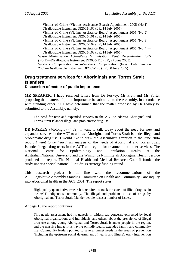Victims of Crime (Victims Assistance Board) Appointment 2005 (No 1)— Disallowable Instrument DI2005-160 (LR, 14 July 2005).

Victims of Crime (Victims Assistance Board) Appointment 2005 (No 2)— Disallowable Instrument DI2005-161 (LR, 14 July 2005).

Victims of Crime (Victims Assistance Board) Appointment 2005 (No 3)— Disallowable Instrument DI2005-162 (LR, 14 July 2005).

Victims of Crime (Victims Assistance Board) Appointment 2005 (No 4)— Disallowable Instrument DI2005-163 (LR, 14 July 2005).

Waste Minimisation Act—Waste Minimisation (Fees) Determination 2005 (No 1)—Disallowable Instrument DI2005-110 (LR, 27 June 2005).

Workers Compensation Act—Workers Compensation (Fees) Determination 2005—Disallowable Instrument DI2005-146 (LR, 30 June 2005).

# **Drug treatment services for Aboriginals and Torres Strait Islanders**

#### **Discussion of matter of public importance**

**MR SPEAKER**: I have received letters from Dr Foskey, Mr Pratt and Ms Porter proposing that matters of public importance be submitted to the Assembly. In accordance with standing order 79, I have determined that the matter proposed by Dr Foskey be submitted to the Assembly, namely:

The need for new and expanded services in the ACT to address Aboriginal and Torres Strait Islander illegal and problematic drug use.

**DR FOSKEY** (Molonglo) (4.09): I want to talk today about the need for new and expanded services in the ACT to address Aboriginal and Torres Strait Islander illegal and problematic drug use. I would like to draw the Assembly's attention to the June 2004 report *I want to be heard,* an analysis of the needs of Aboriginal and Torres Strait Islander illegal drug users in the ACT and region for treatment and other services. The National Centre for Epidemiology and Population Health at the Australian National University and the Winnunga Nimmityjah Aboriginal Health Service produced the report. The National Health and Medical Research Council funded the study under a special national illicit drugs strategy funding round.

This research project is in line with the recommendations of the ACT Legislative Assembly Standing Committee on Health and Community Care inquiry into Aboriginal health in the ACT 2001. The report states:

High quality quantitative research is required to track the extent of illicit drug use in the ACT indigenous community. The illegal and problematic use of drugs by Aboriginal and Torres Strait Islander people raises a number of issues.

At page 18 the report continues:

This needs assessment had its genesis in widespread concerns expressed by local Aboriginal organisations and individuals, and others, about the prevalence of illegal drug use among young Aboriginal and Torres Strait Islander people in the region, and the massive impact it is having on individuals, extended family and community life. Community leaders pointed to several unmet needs in the areas of prevention (including the upstream social determinant of health and illness), early intervention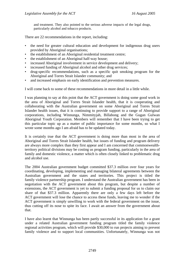and treatment. They also pointed to the serious adverse impacts of the legal drugs, particularly alcohol and tobacco products.

There are 22 recommendations in the report, including:

- the need for greater cultural education and development for indigenous drug users provided by Aboriginal organisations;
- the establishment of an Aboriginal residential treatment centre;
- the establishment of an Aboriginal half-way house;
- increased Aboriginal involvement in service development and delivery;
- increased funding of Aboriginal alcohol and other drug services;
- drug-specific recommendations, such as a specific quit smoking program for the Aboriginal and Torres Strait Islander community; and
- and increased emphasis on early identification and prevention measures.

I will come back to some of these recommendations in more detail in a little while.

I was planning to say at this point that the ACT government is doing some good work in the area of Aboriginal and Torres Strait Islander health, that it is cooperating and collaborating with the Australian government on some Aboriginal and Torres Strait Islander health issues, that it is continuing to provide support to a range of Aboriginal corporations, including Winnunga, Nimmityjah, Billabong and the Gugan Gulwan Aboriginal Youth Corporation. Members will remember that I have been trying to get this particular topic up as a matter of public importance for some months, so what I wrote some months ago I am afraid has to be updated today.

It is certainly true that the ACT government is doing more than most in the area of Aboriginal and Torres Strait Islander health, but issues of funding and program delivery are always more complex than they first appear and I am concerned that commonwealthterritory political divisions may be costing us program funding, particularly in the area of family and domestic violence, a matter which is often closely linked to problematic drug and alcohol use.

The 2004 Australian government budget committed \$37.3 million over four years for coordinating, developing, implementing and managing bilateral agreements between the Australian government and the states and territories. This project is titled the family violence partnership program. I understand the Australian government has been in negotiation with the ACT government about this program, but despite a number of extensions, the ACT government is yet to submit a funding proposal for us to claim our share of that \$37.3 million. Apparently there are only a few days left before the ACT government will lose the chance to access these funds, leaving me to wonder if the ACT government is simply unwilling to work with the federal government on the issue, thus cutting off its nose to spite its face. I await an answer from the government about that.

I have also learnt that Winnunga has been partly successful in its application for a grant under a related Australian government funding program titled the family violence regional activities program, which will provide \$30,000 to run projects aiming to prevent family violence and to support local communities. Unfortunately, Winnunga was not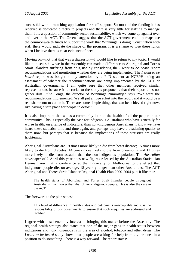successful with a matching application for staff support. So most of the funding it has received is dedicated directly to projects and there is very little for staffing to manage them. It is a question of community sector sustainability, which we come up against over and over in the ACT. The Greens suggest that the ACT government could perhaps use the commonwealth funds to support the work that Winnunga is doing. Consultation with staff there would indicate the shape of the program. It is a shame to lose these funds when I believe there is clear evidence of need.

Moving on—not that that was a digression—I would like to return to my topic. I would like to discuss how we in the Assembly can made a difference to Aboriginal and Torres Strait Islanders suffering from drug use by considering the *I want to be heard* report recommendations and monitoring whether they are being implemented. The *I want to be heard* report was bought to my attention by a PhD student at NCEPH doing an assessment of whether the recommendations are being implemented by the ACT or Australian governments. I am quite sure that other members received similar representations because it is crucial to the study's proponents that their report does not gather dust. Julie Tongs, the director of Winnunga Nimmityjah says, "We want the recommendations implemented. We all put a huge effort into the report and it would be a real shame not to act on it. There are some simple things that can be achieved right now, like having a safe place for people to detox."

It is also important that we as a community look at the health of all the people in our community. This is especially the case for indigenous Australians who have generally far worse health, on a range of indicators, than non-indigenous Australians. I know we have heard these statistics time and time again, and perhaps they have a deadening quality to them now, but perhaps that is because the implications of these statistics are really frightening.

Aboriginal Australians are 19 times more likely to die from heart disease; 15 times more likely to die from diabetes; 14 times more likely to die from pneumonia and 12 times more likely to die from assaults than the non-indigenous population. The *Australian* newspaper of 2 April this year cites new figures released by the Australian Statistician Dennis Trewin at a conference at the University of Melbourne to the effect that indigenous people die, on average, 18 years younger than other Australians. The ACT Aboriginal and Torres Strait Islander Regional Health Plan 2000-2004 puts it like this:

The health status of Aboriginal and Torres Strait Islander people throughout Australia is much lower than that of non-indigenous people. This is also the case in the ACT.

The foreword to the plan states:

This level of difference in health status and outcome is unacceptable and it is the responsibility of our governments to ensure that such inequities are addressed and rectified.

I agree with this; hence my interest in bringing this matter before the Assembly. The regional health strategy also states that one of the major gaps in health status between indigenous and non-indigenous is in the area of alcohol, tobacco and other drugs. The *I want to be heard* study shows that people are asking for help from us, the ones in a position to do something. There is a way forward. The report states: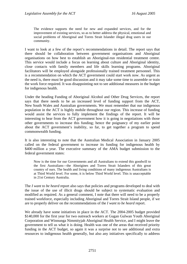The evidence supports the need for new and expanded services, and for the improvement of existing services, so as to better address the physical, emotional and social problems of Aboriginal and Torres Strait Islander illegal drug users in our community.

I want to look at a few of the report's recommendations in detail. The report says that there should be collaboration between government organisations and Aboriginal organisations on how best to establish an Aboriginal-run residential treatment centre. This service would include a focus on learning about culture and Aboriginal identity, close contacts with family members and life skills learning programs. Aboriginal facilitators will be employed alongside professionally trained treatment personnel. This is a recommendation on which the ACT government could start work now. As urgent as the need is, there must be good discussion and it may take some time to assemble or train the work force required. It was disappointing not to see additional measures in the budget for indigenous health.

Under the heading Funding of Aboriginal Alcohol and Other Drug Services, the report says that there needs to be an increased level of funding support from the ACT, New South Wales and Australian governments. We must remember that our indigenous population in the ACT is highly mobile throughout our region. This increase of funding would assist the services to fully implement the findings of the report. It will be interesting to hear from the ACT government how it is going in negotiations with those other governments to increase this funding; hence the poignancy of my earlier point about the ACT government's inability, so far, to get together a program to spend commonwealth funding.

It is also interesting to note that the Australian Medical Association in January 2005 called on the federal government to increase its funding for indigenous health by \$400 million a year. The executive summary of the AMA budget submission to the federal government states:

Now is the time for our Governments and all Australians to extend this goodwill to the first Australians—the Aborigines and Torres Strait Islanders of this great country of ours. The health and living conditions of many indigenous Australians is at Third World level. For some, it is below Third World level. This is unacceptable in 21st Century Australia.

The *I want to be heard* report also says that policies and programs developed to deal with the issue of the use of illicit drugs should be subject to systematic evaluation and modified as required. As a general comment, I note that there will need to be a properly trained workforce, especially including Aboriginal and Torres Strait Island people, if we are to properly deliver on the recommendations of the *I want to be heard* report.

We already have some initiatives in place in the ACT. The 2004-2005 budget provided \$140,000 for the first year for two outreach workers at Gugan Gulwan Youth Aboriginal Corporation and Winnunga Nimmityjah Aboriginal Health Service, and I might leave the government to tell us what it is doing. Health was one of the areas that received priority funding in the ACT budget, so again it was a surprise not to see additional and extra resources to indigenous health generally, but also any initiatives specifically to address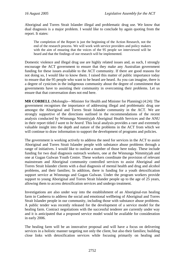Aboriginal and Torres Strait Islander illegal and problematic drug use. We know that dual diagnosis is a major problem. I would like to conclude by again quoting from the report. It states:

The completion of the Report is just the beginning of the Action Research, not the end of the research process. We will work with service providers and policy makers with the aim of ensuring that the voices of the 95 people we interviewed will be heard and that the findings of our research will be implemented.

Domestic violence and illegal drug use are highly related issues and, as such, I strongly encourage the ACT government to ensure that they make any Australian government funding for these issues available to the ACT community. If there are good reasons for not doing so, I would like to know them. I raised this matter of public importance today to ensure that the 95 people who want to be heard are heard. As you can imagine, there is a degree of cynicism in the indigenous community about the degree of commitment that governments have to assisting their community in overcoming their problems. Let us ensure that that conversation does not end here.

**MR CORBELL** (Molonglo—Minister for Health and Minister for Planning) (4:24): The government recognises the importance of addressing illegal and problematic drug use amongst the Aboriginal and Torres Strait Islander community in the ACT. We are strongly supportive of the directions outlined in the recommendations of the recent analysis conducted by Winnunga Nimmityjah Aboriginal Health Services and the ANU in their report titled *I want to be heard*. This local analysis provides a rare and extremely valuable insight into the depth and nature of the problems in the ACT from which we will continue to draw information to support the development of programs and policies.

The government is working actively to address the need for services in the ACT to assist Aboriginal and Torres Strait Islander people with substance abuse problems through a range of initiatives. I would like to outline a number of those here today. These include funding for two dual diagnosis outreach workers, one at the Winnunga Nimmityjah and one at Gugan Gulwan Youth Centre. These workers coordinate the provision of relevant mainstream and Aboriginal community controlled services to assist Aboriginal and Torres Strait Islander clients with a dual diagnosis of mental health and drug and alcohol problems, and their families; In addition, there is funding for a youth detoxification support service at Winnunga and Gugan Gulwan. Under the program workers provide support to young Aboriginal and Torres Strait Islander people up to the age of 25 years, allowing them to access detoxification services and undergo treatment.

Investigations are also under way into the establishment of an Aboriginal-run healing farm in Canberra to address the social and emotional wellbeing of Aboriginal and Torres Strait Islander people in our community, including those with substance abuse problems. A public tender was recently released for the development of a service model for the healing farm. Contract negotiations with the successful tenderer are currently under way and it is anticipated that a proposed service model would be available for consideration in early 2006.

The healing farm will be an innovative proposal and will have a focus on delivering services in a holistic manner targeting not only the client, but also their families; building close links with detoxification services while focusing primarily on healing and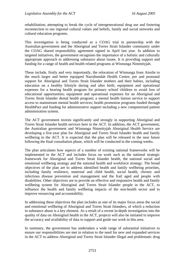rehabilitation; attempting to break the cycle of intergenerational drug use and fostering reconnection to our regional cultural values and beliefs, family and social networks and cultural education programs.

This investigation is being conducted as a COAG trial in partnership with the Australian government and the Aboriginal and Torres Strait Islander community under the COAG shared responsibility agreement signed in April last year. In addition to targeted initiatives, the government recognises the importance of a holistic and culturally appropriate approach to addressing substance abuse issues. It is providing support and funding for a range of health and health related programs at Winnunga Nimmityjah.

These include, firstly and very importantly, the relocation of Winnunga from Ainslie to the much larger and better equipped Narrabundah Health Centre; pre and postnatal support for Aboriginal and Torres Strait Islander mothers and their babies, including education on a healthy lifestyle during and after birth; equipment and operational expenses for a hearing health program for primary school children to avoid loss of educational opportunities; equipment and operational expenses for an Aboriginal and Torres Strait Islander dental health program; a mental health liaison service to support access to mainstream mental health services; health promotion programs funded through HealthPact and funding for administrative support including a new computerised patient administration system.

The ACT government invests significantly and strongly in supporting Aboriginal and Torres Strait Islander health services here in the ACT. In addition, the ACT government, the Australian government and Winnunga Nimmityjah Aboriginal Health Service are developing a five-year plan for Aboriginal and Torres Strait Islander health and family wellbeing in the ACT. It is expected that the plan will be released in the near future following the final consultation phase, which will be conducted in the coming weeks.

The plan articulates how aspects of a number of existing national frameworks will be implemented in the ACT and includes focus on work such as the national strategic framework for Aboriginal and Torres Strait Islander health, the national social and emotional wellbeing strategy and the national health and workforce strategy. The broad objectives of the plan are to address identified health and family wellbeing priorities, including family resilience, maternal and child health, social health, chronic and infectious disease prevention and management and the frail aged and people with disabilities. Other objectives are to provide an effective and responsive health and family wellbeing system for Aboriginal and Torres Strait Islander people in the ACT, to influence the health and family wellbeing impacts of the non-health sector and to improve resourcing and accountability.

In addressing these objectives the plan includes as one of its major focus areas the social and emotional wellbeing of Aboriginal and Torres Strait Islanders, of which a reduction in substance abuse is a key element. As a result of a recent in-depth investigation into the quality of data on Aboriginal health in the ACT, projects will also be initiated to improve the accuracy and availability of data to support and guide our work in this area.

In summary, the government has undertaken a wide range of substantial initiatives to ensure our responsibilities are met in relation to the need for new and expanded services in the ACT to address Aboriginal and Torres Strait Islander illegal and problematic drug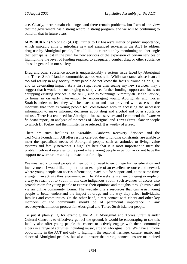use. Clearly, there remain challenges and there remain problems, but I am of the view that the government has a strong record, a strong program, and we will be continuing to build on that in future years.

**MRS BURKE** (Molonglo) (4.30): Further to Dr Foskey's matter of public importance, which amicably aims to introduce new and expanded services in the ACT to address drug use by Aboriginal people, I would like to contribute by mentioning another angle that perhaps is lost in the push for new services or the expansion of certain services or highlighting the level of funding required to adequately combat drug or other substance abuse in general in our society.

Drug and other substance abuse is unquestionably a serious issue faced by Aboriginal and Torres Strait Islander communities across Australia. Whilst substance abuse is an all too sad reality in any society, many people do not know the facts surrounding drug use and its devastating impact. As a first step, rather than seeing any new services, may I suggest that it would be encouraging to simply see further funding support and focus on equipping existing services in the ACT, such as Winnunga Nimmityjah Health Service, to home in on early intervention by encouraging young Aboriginals and Torres Strait Islanders to feel they will be listened to and also provided with access to the mediums that they as young people feel comfortable with in accessing the necessary information to make informed decisions about drug and alcohol and other substance misuse. There is a real need for Aboriginal-focused services and I commend the *I want to be heard* report, an analysis of the needs of Aboriginal and Torres Strait Islander people to which Dr Foskey and the minister have referred. It is worthy of a read.

There are such facilities as Karralika, Canberra Recovery Services and the Ted Noffs Foundation. All offer respite care but, due to funding constraints, are unable to meet the specialised needs of Aboriginal people, such as attitudes to living, value systems and family networks. I highlight here that it is most important to meet the problem before it escalates to the point where young people in particular do not have the support network or the ability to reach out for help.

We must work to meet people at their point of need to encourage further education and involvement. I would like to point out an example of an excellent resource and network where young people can access information, reach out for support and, at the same time, engage in an activity they enjoy—music. The Vibe website is an encouraging example of a way to reach out to youth, in this case indigenous youth. Such avenues of access also provide room for young people to express their opinions and thoughts through music and via an online community forum. The website offers resources that can assist young people to better understand the impact of drugs and the way they affect individuals, families and communities. On the other hand, direct contact with elders and other key members of the community should be of paramount importance in any recovery/rehabilitation process for Aboriginal and Torres Strait Islander people.

To put it plainly, if, for example, the ACT Aboriginal and Torres Strait Islander Cultural Centre is to effectively get off the ground, it would be encouraging to see this facility also offer young people the chance to actively engage with their community elders in a range of activities including music, art and Aboriginal lore. We have a unique opportunity in the ACT not only to highlight the regional heritage, culture, music and dance of Aboriginal peoples, but also to ensure that strong connections are maintained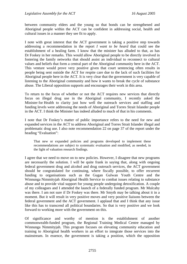between community elders and the young so that bonds can be strengthened and Aboriginal people within the ACT can be confident in addressing social, health and cultural issues in a manner they see fit to apply.

I note with great interest that the ACT government is taking a positive step towards addressing a recommendation in the report *I want to be heard* that could see the establishment of a healing farm. I know that the minister has alluded to that, as has Dr Foskey in her remarks. This would allow Aboriginal people to be directly involved in fostering the family networks that should assist an individual to reconnect to cultural values and beliefs that form a central part of the Aboriginal community here in the ACT. This venture would prove very positive given that court sentencing often results in people being sent outside the ACT for respite care due to the lack of such facilities for Aboriginal people here in the ACT. It is very clear that the government is very capable of listening to the Aboriginal community and how it wants to break the cycle of substance abuse. The Liberal opposition supports and encourages their work in this area.

To return to the focus of whether or not the ACT requires new services that directly focus on illegal drug use in the Aboriginal community, I recently asked the Minister for Health to clarity just how well the outreach services and staffing and funding levels were addressing the needs of Aboriginal and Torres Strait Islander people in the ACT. I think the Minister has indeed alluded to much of that in his comments.

I note that Dr Foskey's matter of public importance refers to the need for new and expanded services in the ACT to address Aboriginal and Torres Strait Islander illegal and problematic drug use. I also note recommendation 22 on page 37 of the report under the heading "Evaluation":

That new or expanded policies and programs developed to implement these recommendations are subject to systematic evaluation and modified, as needed, in the light of valuation research findings.

I agree that we need to move on to new policies. However, I disagree that new programs are necessarily the solution. I will be quite frank in saying that, along with ongoing federal government drug and alcohol and drug outreach services, the ACT government should be congratulated for continuing, where fiscally possible, to offer recurrent funding to organisations such as the Gugan Gulwan Youth Centre and the Winnunga Nimmityjah Aboriginal Health Service to combat issues relating to substance abuse and to provide vital support for young people undergoing detoxification. A couple of my colleagues and I attended the launch of a federally funded program. Mr Mulcahy was there. I am not sure if Dr Foskey was there. Mr Smyth may be talking about it in a moment. But it will result in very positive moves and very positive liaisons between the federal government and the ACT government. I applaud that and I think that any issue like this has to transcend all political boundaries. So that is very positive and we look forward to working more with the government on this.

Of significance and worthy of mention is the establishment of another commonwealth-funded program, the Regional Training Medical Centre managed by Winnunga Nimmityjah. This program focuses on elevating community education and training to Aboriginal health workers in an effort to integrate those services into the mainstream. In essence, the government is taking a position, which the opposition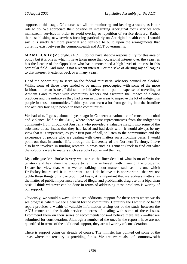supports at this stage. Of course, we will be monitoring and keeping a watch, as is our role to do. We appreciate their position in integrating Aboriginal focus services with mainstream services in order to avoid overlap or repetition of service delivery. Rather than establishing new services focusing particularly on Aboriginal health care, I would say it is surely far more practical and sensible to build upon the arrangements that currently exist between the commonwealth and ACT governments.

**MR MULCAHY** (Molonglo) (4.39): I do not have shadow responsibility for this area of policy but it is one in which I have taken more than occasional interest over the years, as has the Leader of the Opposition who has demonstrated a high level of interest in this particular field. And mine is not a recent interest. For the sake of alerting my colleagues to that interest, it extends back over many years.

I had the opportunity to serve on the federal ministerial advisory council on alcohol. Whilst some of those there tended to be mainly preoccupied with some of the more fashionable urban issues, I did take the initiative, not at public expense, of travelling to Arnhem Land to meet with community leaders and ascertain the impact of alcohol practices and the initiatives they had taken in those areas to improve the lot of indigenous people in those communities. I think you can learn a lot from getting into the frontline and actually talking to people in those communities.

We had also, I guess, about 11 years ago in Canberra a national conference on alcohol and violence, held at the ANU, where there were representatives from the indigenous community from throughout Australia who provided a valuable insight into some of the substance abuse issues that they had faced and had dealt with. It would always be my view that it is imperative, as your first port of call, to listen to the communities and the experience of people who are dealing with these matters on a frontline basis. I would point out that, in another life, through the University of the Northern Territory, I have also been involved in funding research in areas such as Tennant Creek to find out what the solutions were to matters such as alcohol abuse and the like.

My colleague Mrs Burke is very well across the finer detail of what is on offer in the territory and has taken the trouble to familiarise herself with many of the programs. I share her view that, when we are talking about matters such as this one which Dr Foskey has raised, it is important—and I do believe it is appropriate—that we not tackle these things on a party-political basis; it is important that we address matters, as the matter of public importance refers, of illegal and problematic drug use on a bipartisan basis. I think whatever can be done in terms of addressing these problems is worthy of our support.

Obviously, we would always like to see additional support for these areas where we do see progress, where we see a benefit for the community. Certainly the *I want to be heard* report provides a wealth of valuable information arising out of the study between the ANU centre and the health service in terms of dealing with some of these issues. I commend them on their series of recommendations—I believe there are 22—that are submitted for consideration. Although a number of the ones in the report I have are not quantified in terms of the additional support, they are all worthy of consideration.

There is support going on already of course. The minister has pointed out some of the areas where the territory is providing funds. We are aware also of commonwealth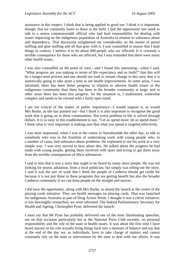assistance in this respect. I think that is being applied to good use. I think it is important, though, that we constantly listen to those in the field. I had the opportunity last week to talk to a senior commonwealth official who had lead responsibility for dealing with issues impacting on the indigenous population of Australia in relation to substance abuse and dependency. That discussion enlightened me considerably on the matter of petrol sniffing and glue sniffing and all that goes with it. I was counselled to ensure that I kept things in context. I believe it to be about 600 people who are affected. It is certainly a terrible consequence for those who are affected, but I was reminded that there were many other health issues.

I was also counselled on the point of view—and I found this interesting—when I said, "What progress are you making in terms of life expectancy and so forth?" that this will be a longer-term process and one should not look to instant change in this area; that it is statistically going to take quite a time to see health improvements. In some areas, I was informed, there has been better progress in relation to adverse health issues in the indigenous community than there has been in the broader community at large; and in other areas there has been less progress. So the situation is, I understand, somewhat complex and needs to be viewed with a fairly open mind.

I am not critical of the matter of public importance—I would support it, as would Mrs Burke, as she has pointed out—but I think it is also important to recognise the good work that is going on in these communities. Not every problem in life is solved through dollars. It is so easy in this establishment to say, "Let us spend more; let us spend more." I think what is very important is making sure that what you spend is targeted effectively.

I was most impressed, when I was at the centre in Narrabundah the other day, to talk to somebody who was in the frontline of undertaking work with young people who, in a number of cases, had substance abuse problems. He explained to me his work in a very simple way. I was very moved to hear about this. He talked about the progress he had made with young people, getting them involved with sport and trying to get them away from the terrible consequences of illicit substances.

I said to him that it was a story that ought to be heard by many more people. He was not looking for praise, adulation, from a local politician, but simply was telling me the story. I said it was the sort of work that I think the people of Canberra should get credit for because it is not just those in these programs that are getting benefit but also the broader Canberra community if we can keep people on the straight and narrow.

I did have the opportunity, along with Mrs Burke, to attend the launch at the centre of the playing cards initiative. They are health messages on playing cards. That was launched for indigenous Australia as part of Drug Action Week. I thought it was a clever initiative; it was thoroughly researched, we were informed. The federal Parliamentary Secretary for Health and Ageing, Christopher Pyne, delivered the launch.

I must say that Mr Pyne has probably delivered one of the most illuminating speeches, not on that occasion particularly but at the National Press Club recently, on personal responsibility and the role of the state in health issues. It was about the first time I have heard anyone in his role actually bring things back into a measure of balance and say that at the end of the day we, as individuals, have to take charge of matters and cannot constantly rely on the state or intervention by the state to deal with our affairs. It was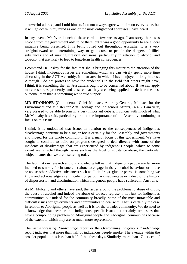a powerful address, and I told him so. I do not always agree with him on every issue, but it will go down in my mind as one of the most enlightened addresses I have heard.

In any event, Mr Pyne launched these cards a few weeks ago. I am sorry there was no-one from the government able to be there, but it was a good opportunity to see a local initiative being presented. It is being rolled out throughout Australia. It is a very straightforward and entertaining way to get across to people the dangers of illicit substances and of making lifestyle decisions, particularly in relation to alcohol and tobacco, that are likely to lead to long-term health consequences.

I commend Dr Foskey for the fact that she is bringing this matter to the attention of the house. I think indigenous issues are something which we can wisely spend more time discussing in the ACT Assembly. It is an area in which I have enjoyed a long interest. Although I do not profess to have the credentials in the field that others might have, I think it is something that all Australians ought to be concerned about. If we can apply more resources prudently and ensure that they are being applied to deliver the best outcome, then that is something we should support.

**MR STANHOPE** (Ginninderra—Chief Minister, Attorney-General, Minister for the Environment and Minister for Arts, Heritage and Indigenous Affairs) (4.48): I am very, very pleased to be able to join in a very important debate. I concur with much of what Mr Mulcahy has said, particularly around the importance of the Assembly continuing to focus on this issue.

I think it is undoubted that issues in relation to the consequences of indigenous disadvantage continue to be a major focus certainly for the Assembly and governments and indeed for the whole community. It is a major focus of this government. We have sought to continue to build on programs designed to deal directly with some of the incidents of disadvantage that are experienced by indigenous people, which to some extent are reflected through issues such as the level of substance abuse, the particular subject matter that we are discussing today.

The fact that our research and our knowledge tell us that indigenous people are far more inclined to smoke, for instance, let alone to engage in risky alcohol behaviour or to use or abuse other addictive substances such as illicit drugs, glue or petrol, is something we know and acknowledge as an incident of particular disadvantage or indeed of the history of dispossession and discrimination which indigenous people have suffered in Australia.

As Mr Mulcahy and others have said, the issues around the problematic abuse of drugs, the abuse of alcohol and indeed the abuse of tobacco represent, not just for indigenous communities but indeed for the community broadly, some of the most intractable and difficult issues for governments and communities to deal with. That is certainly the case in relation to Aboriginal people as well as it is for the broader community. We do need to acknowledge that these are not indigenous-specific issues but certainly are issues that have a compounding problem on Aboriginal people and Aboriginal communities because of the extent to which they are so much more represented.

The last *Addressing disadvantage* report or the *Overcoming indigenous disadvantage* report indicates that more than half of indigenous people smoke. The average within the broader population is less than half of that these days. Similarly, more than 17 per cent of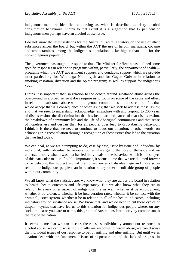indigenous men are identified as having as what is described as risky alcohol consumption behaviours. I think to that extent it is a suggestion that 17 per cent of indigenous men perhaps have an alcohol abuse issue.

I do not know the latest statistics for the Australia Capital Territory on the use of illicit substances across the board, but within the ACT the use of heroin, marijuana, cocaine and amphetamines among the indigenous population is far higher than it is for the non-indigenous population.

The government has sought to respond to that. The Minister for Health has outlined some specific responses in relation to programs within, particularly, the department of health programs which the ACT government supports and conducts; support which we provide most particularly for Winnunga Nimmityjah and for Gugan Gulwan in relation to smoking cessation, diversion and the opiate program; as well as support for indigenous youth.

I think it is important that, in relation to the debate around substance abuse across the board—and in a broad sense it does require us to focus on some of the cause and effect in relation to substance abuse within indigenous communities—it does require of us that we do accept that is a consequence of other issues; that we seek to address those issues; and that we seek to understand, acknowledge, empathise with and respond to 200 years of dispossession, the discrimination that has been part and parcel of that dispossession, the breakdown of community life and the life of Aboriginal communities and that sense of hopelessness and despair that, for all people, does lead to drug-abusing behaviour. I think it is there that we need to continue to focus our attention; in other words, on achieving true reconciliation through a recognition of those issues that led to the situation that we find today.

We can deal, as we are attempting to do, case by case, issue by issue and individual by individual, with individual behaviours; but until we get to the core of the issue and we understand truly what it was that has led individuals to the behaviour which is the subject of this particular matter of public importance, it seems to me that we are doomed forever to be debating this subject around the consequences of disadvantage and more so in relation to indigenous people than in relation to any other identifiable group of people within our community.

We all know what the statistics are; we know what they are across the board in relation to health, health outcomes and life expectancy. But we also know what they are in relation to every other aspect of indigenous life as well, whether it be employment, whether it be violence, whether it be incarceration rates, whether it be contact with the criminal justice system, whether it be in relation to all of the health indicators, including indicators around substance abuse. We know that, and we do need to cut these cycles of despair—cycles that have led us to this situation for indigenous people where, on any social indicator you care to name, this group of Australians fare poorly by comparison to the rest of the nation.

It seems to me that we can discuss these issues individually around our response to alcohol abuse; we can discuss individually our response to heroin abuse; we can discuss the individual issues of our response to petrol sniffing and glue sniffing. But until we as a nation deal with the fundamental issue of dispossession and the lack of progress in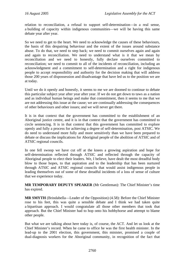relation to reconciliation, a refusal to support self-determination—in a real sense, a building of capacity within indigenous communities—we will be having this same debate year after year.

So we need to get to the heart. We need to acknowledge the causes of these behaviours, the basis of this despairing behaviour and the extent of the issues around substance abuse. To do that, we need to step back; we need to commit ourselves again and again and again to reconciliation. We need to understand what is it that we mean by reconciliation and we need to honestly, fully declare ourselves committed to reconciliation; we need to commit to all of the incidents of reconciliation, including an acknowledgment and a commitment to self-determination and a right for indigenous people to accept responsibility and authority for the decision making that will address those 200 years of dispossession and disadvantage that have led us to the position we are at today.

Until we do it openly and honestly, it seems to me we are doomed to continue to debate this particular subject year after year after year. If we do not get down to taws as a nation and as individual human beings and make that commitment, then it seems to me that we are not addressing this issue at the cause; we are continually addressing the consequences of other behaviours and other issues; and we will never get there.

It is in that context that the government has committed to the establishment of an Aboriginal justice centre, and it is in that context that the government has committed to circle sentencing. It is in that context that this government has committed to explore openly and fully a process for achieving a degree of self-determination, post ATSIC. We do need to understand more fully and more sensitively than we have been prepared to debate or discuss the implications for Aboriginal people of the abolition of ATSIC and of ATSIC regional councils.

In one fell swoop we have cut off at the knees a growing aspiration and hope for self-determination reflected through ATSIC and reflected through the capacity of Aboriginal people to elect their leaders. We, I believe, have dealt the most dreadful body blow to those hopes, to that aspiration and to the leadership that has been nurtured through ATSIC and ATSIC regional councils that would assist indigenous people in leading themselves out of some of these dreadful incidents of a loss of sense of culture that we experience today.

**MR TEMPORARY DEPUTY SPEAKER** (Mr Gentleman): The Chief Minister's time has expired.

**MR SMYTH** (Brindabella—Leader of the Opposition) (4.58): Before the Chief Minister rose to his feet, this was quite a sensible debate and I think we had taken quite a bipartisan approach. I would congratulate all those other members that took that approach. But the Chief Minister had to hop onto his hobbyhorse and attempt to blame other people.

But what we are talking about here today is, of course, the ACT. And let us look at the Chief Minister's record. When he came to office he was the first health minister. In the lead-up to the 2001 election, this government, this minister, promised a couple of dual-diagnosis workers for the Aboriginal community, in recognition of the fact that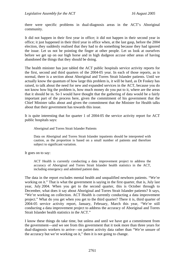there were specific problems in dual-diagnosis areas in the ACT's Aboriginal community.

It did not happen in their first year in office; it did not happen in their second year in office; it just happened in their third year in office when, at the last gasp, before the 2004 election, they suddenly realised that they had to do something because they had ignored the issue. Let us not be pointing the finger at other people. Let us look at ourselves before we get up on our high horse and in high dudgeon accuse other areas of having abandoned the things that they should be doing.

The health minister has just tabled the ACT public hospitals service activity reports for the first, second and third quarters of the 2004-05 year. In each of those reports, as is normal, there is a section about Aboriginal and Torres Strait Islander patients. Until we actually know the quantum of how large this problem is, it will be hard, as Dr Foskey has raised, to talk about the need for new and expanded services in the ACT, because you do not know how big the problem is, how much money do you put to it, where are the areas that it should be in. So I would have thought that the gathering of data would be a fairly important part of the process here, given the commitment of his government that the Chief Minister talks about and given the commitment that the Minister for Health talks about that their government has towards this issue.

It is quite interesting that for quarter 1 of 2004-05 the service activity report for ACT public hospitals says:

Aboriginal and Torres Strait Islander Patients

Data on Aboriginal and Torres Strait Islander inpatients should be interpreted with caution, as the proportion is based on a small number of patients and therefore subject to significant variation.

It goes on to say:

ACT Health is currently conducting a data improvement project to address the accuracy of Aboriginal and Torres Strait Islander health statistics in the ACT, including emergency and admitted patient data.

The data in the report excludes mental health and unqualified newborn patients. "We're working on it." That is what the government is saying in the first quarter, that is, July last year, July 2004. When you get to the second quarter, this is October through to December, what does it say about Aboriginal and Torres Strait Islander patients? It says, "We're working on collection. ACT Health is currently conducting a data improvement project." What do you get when you get to the third quarter? There it is, third quarter of 2004-05 service activity report, January, February, March this year, "We're still conducting a data improvement project to address the accuracy of Aboriginal and Torres Strait Islander health statistics in the ACT."

I know these things do take time, but unless and until we have got a commitment from the government—and we see from this government that it took more than three years for dual-diagnosis workers to arrive—on patient activity data rather than "We're unsure of the accuracy but we're working on it," then it is not going to change.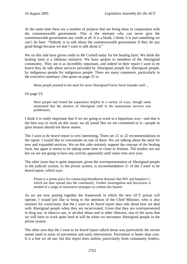At the same time there are a number of projects that are being done in cooperation with the commonwealth government. This is the minister who can never give the commonwealth government any credit at all. It is a blank, I think; it is just something we can't do here. "Nobody is to talk about the commonwealth government if they do any good things because we don't want to talk about it."

We on this side have given credit to Mr Corbell today for the healing farm. We think the healing farm is a fabulous initiative. We have spoken to members of the Aboriginal community. They see it as incredibly important, and indeed in their report *I want to be heard* they do talk about services provided by Aboriginal people for Aboriginal people, by indigenous people for indigenous people. There are many comments, particularly in the executive summary. One quote on page 25 is:

Many people pointed to the need for more Aboriginal/Torres Strait Islander staff ...

On page 23:

Most people had found the experience helpful in a variety of ways, though some mentioned that the absence of Aboriginal staff in the mainstream services was problematic.

I think it is really important that if we are going to work in a bipartisan way—and that is the best way to work on this issue; we all sound like we are committed to it—people in glass houses should not throw stones.

The *I want to be heard* report is very interesting. There are 21 or 22 recommendations in the report. I would like to concentrate on one of them. We are talking about the need for new and expanded services. We on this side certainly support the concept of the healing farm, but again it seems to be taking some time to come to fruition. The tenders are out but we are not going to have any activity apparently until some time next year.

The other issue that is quite important, given the overrepresentation of Aboriginal people in the judicial system, in the prison system, is recommendation 21 of the *I want to be heard* report, which says:

Prison is a prime place for contracting bloodborne diseases like HIV and hepatitis C, which are then spread into the community. Further investigation and discussion is needed of a range of innovative strategies to combat this hazard.

As we are now putting together the framework in which the new ACT prison will operate, I would just like to bring to the attention of the Chief Minister, who is also minister for corrections, that the *I want to be heard* report does talk about how we deal with Aboriginal people when they are incarcerated. Given that they are overrepresented in drug use, in tobacco use, in alcohol abuse and in other illnesses, one of the areas that we will have to work quite hard at will be when we encounter Aboriginal people in the prison system.

The other area that the *I want to be heard* report talked about was particularly the severe unmet need in areas of prevention and early intervention. Prevention is better than cure. It is a line we all use, but this report does outline, particularly from community leaders,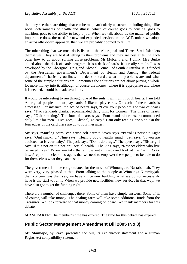that they see there are things that can be met, particularly upstream, including things like social determinants of health and illness, which of course goes to housing, goes to nutrition, goes to the ability to keep a job. When we talk about, as the matter of public importance does, the need for new and expanded services in the ACT, unless we adopt an across-the-board approach, then we are probably doomed to failure.

The other thing that we must do is listen to the Aboriginal and Torres Strait Islanders themselves. They are best at telling us their problems and they are best at telling each other how to go about solving those problems. Mr Mulcahy and, I think, Mrs Burke talked about the deck of cards program. It is a deck of cards. It is really simple. It was developed by the Aboriginal Drug and Alcohol Council of South Australia. It is funded by the Australian government's Department of Health and Ageing, the federal department. It basically outlines, in a deck of cards, what the problems are and what some of the simple solutions are. Sometimes the solutions are not about putting a whole lot more money into it, although of course the money, where it is appropriate and where it is needed, should be made available.

It would be interesting to run through one of the suits. I will run through hearts. I am told Aboriginal people like to play cards. I like to play cards. On each of these cards is a message. For instance, the ace of hearts says, "Love your people." The two of hearts says, "Two standards drinks, recommended daily limit for women." The three of hearts says, "Quit smoking." The four of hearts says, "Four standard drinks, recommended daily limit for men." Five goes, "Alcohol, go easy." I am only reading one side. On the four edges of the card there are up to four messages.

Six says, "Sniffing petrol can cause self harm." Seven says, "Petrol is poison." Eight says, "Quit smoking." Nine says, "Healthy body, healthy mind." Ten says, "If you are addicted, so is your baby." The jack says, "Don't do drugs." The queen says, "Sister girl says 'if it's not on it's not on', sexual health." The king says, "Respect elders who live balanced lives." When you take that simple suit of cards and look at the *I want to be* h*eard* report, the clear message is that we need to empower these people to be able to do for themselves what they can best do.

The government is to be congratulated for the move of Winnunga to Narrabundah. They were very, very pleased at that. From talking to the people at Winnunga Nimmityjah, their concern was that, yes, we have a nice new building; what we do not necessarily have is the staff to run it. When we provide new facilities, new services in that way, we have also got to get the funding right.

There are a number of challenges there. Some of them have simple answers. Some of it, of course, will take money. The healing farm will take some additional funds from the Treasurer. We look forward to that money coming on board. We thank members for this debate.

**MR SPEAKER**: The member's time has expired. The time for this debate has expired.

# **Public Sector Management Amendment Bill 2005 (No 3)**

**Mr Stanhope**, by leave, presented the bill, its explanatory statement and a Human Rights Act compatibility statement.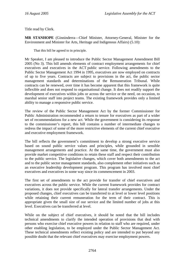Title read by Clerk.

**MR STANHOPE** (Ginninderra—Chief Minister, Attorney-General, Minister for the Environment and Minister for Arts, Heritage and Indigenous Affairs) (5.10):

That this bill be agreed to in principle.

Mr Speaker, I am pleased to introduce the Public Sector Management Amendment Bill 2005 (No 3). This bill amends elements of contract employment arrangements for chief executives and executives in the ACT public service. Following amendments to the Public Sector Management Act 1994 in 1995, executives are now employed on contracts of up to five years. Contracts are subject to provisions in the act, the public sector management standards and determinations of the Remuneration Tribunal. While contracts can be renewed, over time it has become apparent that this framework is quite inflexible and does not respond to organisational change. It does not readily support the development of executives within jobs or across the service or the need, on occasion, to marshal senior staff into project teams. The existing framework provides only a limited ability to manage a responsive public service.

The review of the Public Sector Management Act by the former Commissioner for Public Administration recommended a return to tenure for executives as part of a wider set of recommendations for a new act. While the government is considering its response to the commissioner's report, this bill contains a number of intermediate changes to redress the impact of some of the more restrictive elements of the current chief executive and executive employment framework.

The bill reflects the government's commitment to develop a strong executive service based on sound public service values and principles, while grounded in sensible management arrangements and practice. At the same time, the government must also provide market competitive conditions to retain these staff and respect their contribution to the public service. The legislative changes, which cover both amendments to the act and to the public sector management standards, also complement other initiatives such as an executive leadership development program. This program has involved most chief executives and executives in some way since its commencement in 2003.

The first set of amendments to the act provide for transfer of chief executives and executives across the public service. While the current framework provides for contract variations, it does not provide specifically for lateral transfer arrangements. Under the proposed changes, chief executives can be transferred to at level or lower level positions while retaining their current remuneration for the term of their contract. This is appropriate given the small size of our service and the limited number of jobs at this level. Executives can be transferred at level.

While on the subject of chief executives, it should be noted that the bill includes technical amendments to clarify the intended operation of provisions that deal with persons who exercise chief executive powers in relation to staff who are required, under other enabling legislation, to be employed under the Public Sector Management Act*.*  These technical amendments reflect existing policy and are intended to put beyond any possible doubt that the relevant chief executives may exercise employment powers.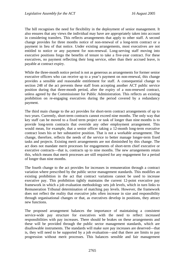The bill recognises the need for flexibility in the deployment of senior management. It also ensures that any views the individual may have are appropriately taken into account in considering transfers. This reflects arrangements that apply to other staff. A second change provides for three months notice of non-renewal of a long-term contract or a payment in lieu of that notice. Under existing arrangements, most executives are not entitled to notice or any payment for non-renewal. Long-serving staff moving into executive positions forgo the benefits of tenure to take a five-year contract. For these executives, no payment reflecting their long service, other than their accrued leave, is payable at contract expiry.

While the three-month notice period is not as generous as arrangements for former senior executive officers who can receive up to a year's payment on non-renewal, this change provides a sensible and reasonable entitlement for staff. A consequential change to section 248 of the act prevents these staff from accepting another ACT public service position during that three-month period, after the expiry of a non-renewed contract, unless agreed by the Commissioner for Public Administration. This reflects an existing prohibition on re-engaging executives during the period covered by a redundancy payment.

The third main change to the act provides for short-term contract arrangements of up to two years. Currently, short-term contracts cannot exceed nine months. The only way that key staff can be moved to a fixed term project or task of longer than nine months is to provide long-term contracts that override any other employment arrangement. This would mean, for example, that a senior officer taking a 12-month long-term executive contract loses his or her substantive position. That is not a workable arrangement. The change, therefore, reflects the needs of the service to better manage longer-term fixed tasks and projects. Existing merit arrangements are not diminished by this change. The act does not mandate merit processes for engagements of short-term chief executive or executive contracts—that is, contracts up to nine months. The new arrangements retain this, which means that merit processes are still required for any engagement for a period of longer than nine months.

The fourth change to the act provides for increases in remuneration through a contract variation where prescribed by the public sector management standards. This modifies an existing prohibition in the act that contract variations cannot be used to increase executive pay. This prohibition tightly maintains the current 12-point executive pay framework in which a job evaluation methodology sets job levels, which in turn links to Remuneration Tribunal determination of matching pay levels. However, the framework does not reflect the reality that executive jobs often increase in size and responsibility through organisational changes or that, as executives develop in positions, they attract new functions.

The proposed arrangement balances the importance of maintaining a consistent service-wide pay structure for executives with the need to reflect increased responsibilities with pay increases. There should be brakes on these arrangements and these will be provided through the public sector management standards, which are disallowable instruments. The standards will make sure pay increases are deserved—that is, they will need to be supported by a job evaluation—and that there are limits to pay progression without merit processes. This balances sensible and fair management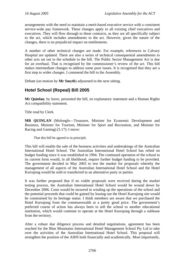arrangements with the need to maintain a merit-based executive service with a consistent service-wide pay framework. These changes apply to all existing chief executives and executives. They will flow through to these contracts, as they are all specifically subject to the act, which includes amendments to the act. However, given the nature of the changes, there is no prejudicial impact on entitlements.

A number of other technical changes are made. For example, references to Calvary Hospital are updated. There are also a series of technical consequential amendments to other acts set out in the schedule to the bill. The Public Sector Management Act is due for an overhaul. That is recognised by the commissioner's review of the act. This bill makes intermediate changes to address some poor issues. It is recognised that they are a first step to wider changes. I commend the bill to the Assembly.

Debate (on motion by **Mr Smyth**) adjourned to the next sitting.

# **Hotel School (Repeal) Bill 2005**

**Mr Quinlan**, by leave, presented the bill, its explanatory statement and a Human Rights Act compatibility statement.

Title read by Clerk.

**MR QUINLAN** (Molonglo—Treasurer, Minister for Economic Development and Business, Minister for Tourism, Minister for Sport and Recreation, and Minister for Racing and Gaming) (5.17): I move:

That this bill be agreed to in principle.

This bill will enable the sale of the business activities and undertakings of the Australian International Hotel School. The Australian International Hotel School has relied on budget funding since it was established in 1994. The continued operation of the school in its current form would, in all likelihood, require further budget funding to be provided. The government decided in May 2003 to test the market for proposals whereby the management of all aspects of the Australian International Hotel School and the Hotel Kurrajong would be sold or transferred to an alternative party or parties.

It was further proposed that if no viable proposals were received during the market testing process, the Australian International Hotel School would be wound down by December 2006. Costs would be incurred in winding up the operations of the school and the potential proceeds that could be gained by leasing out the Hotel Kurrajong site would be constrained by its heritage status. I think members are aware that we purchased the Hotel Kurrajong from the commonwealth at a pretty good price. The government's preferred course of action has always been to sell the school to another educational institution, which would continue to operate at the Hotel Kurrajong through a sublease from the territory.

After a robust due diligence process and detailed negotiations, agreement has been reached for the Blue Mountains International Hotel Management School Pty Ltd to take over the activities of the Australian International Hotel School. This proposal will strengthen the position of the AIHS both financially and academically. Most importantly,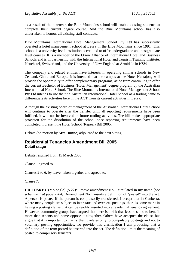as a result of the takeover, the Blue Mountains school will enable existing students to complete their current degree course. And the Blue Mountains school has also undertaken to honour all existing staff contracts.

Blue Mountains International Hotel Management School Pty Ltd has successfully operated a hotel management school at Leura in the Blue Mountains since 1991. This school is a university level institution accredited to offer undergraduate and postgraduate level courses. It is a member of the Orion Alliance of International Hotel and Business Schools and is in partnership with the International Hotel and Tourism Training Institute, Neuchatel, Switzerland, and the University of New England at Armidale in NSW.

The company and related entities have interests in operating similar schools in New Zealand, China and Europe. It is intended that the campus at the Hotel Kurrajong will provide the opportunity to offer complementary programs, aside from continuing to offer the current Bachelor of Business (Hotel Management) degree program by the Australian International Hotel School. The Blue Mountains International Hotel Management School Pty Ltd intends to use the title Australian International Hotel School as a trading name to differentiate its activities here in the ACT from its current activities in Leura.

Although the existing board of management of the Australian International Hotel School will continue to operate after the transfer until all reporting requirements have been fulfilled, it will not be involved in future trading activities. The bill makes appropriate provision for the dissolution of the school once reporting requirements have been completed. I present the Hotel School (Repeal) Bill 2005.

Debate (on motion by **Mrs Dunne**) adjourned to the next sitting.

# **Residential Tenancies Amendment Bill 2005 Detail stage**

Debate resumed from 15 March 2005.

Clause 1 agreed to.

Clauses 2 to 6, by leave, taken together and agreed to.

Clause 7.

**DR FOSKEY** (Molonglo) (5.22): I move amendment No 1 circulated in my name *[see schedule 1 at page 2784].* Amendment No 1 inserts a definition of "posted" into the act. A person is posted if the person is compulsorily transferred. I accept that in Canberra, where many people are subject to interstate and overseas postings, there is some merit in having a posting clause that can be readily inserted into a residential tenancy agreement. However, community groups have argued that there is a risk that lessors stand to benefit more than tenants and some oppose it altogether. Others have accepted the clause but argue that it is important to clarify that it relates only to compulsory postings and not to voluntary posting opportunities. To provide this clarification I am proposing that a definition of the term posted be inserted into the act. The definition limits the meaning of posted to compulsory transfers.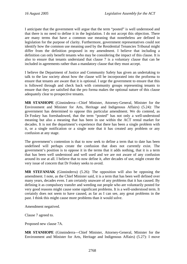I anticipate that the government will argue that the term "posted" is well understood and that there is no need to define it in the legislation. I do not accept this objection. There are many terms that have a common use meaning that nonetheless are defined in legislation for the purpose of clarity. Furthermore, government representatives could not identify how the common use meaning used by the Residential Tenancies Tribunal might differ from the definition proposed in my amendment. I believe that including a definition can only benefit tenants who may be considering the impact of this clause. It is also to ensure that tenants understand that clause 7 is a voluntary clause that can be included in agreements rather than a mandatory clause that they must accept.

I believe the Department of Justice and Community Safety has given an undertaking to talk to the law society about how the clause will be incorporated into the proforma to ensure that tenants are aware that it is optional. I urge the government to ensure that this is followed through and check back with community groups representing tenants to ensure that they are satisfied that the pro forma makes the optional nature of this clause adequately clear to prospective tenants.

**MR STANHOPE** (Ginninderra—Chief Minister, Attorney-General, Minister for the Environment and Minister for Arts, Heritage and Indigenous Affairs) (5.24): The government has determined to oppose this particular amendment. We do contend, as Dr Foskey has foreshadowed, that the term "posted" has not only a well-understood meaning but also a meaning that has been in use within the ACT rental market for decades. It is not the department's experience that there has been a single problem with it, or a single notification or a single note that it has created any problem or any confusion at any stage.

The government's contention is that to now seek to define a term that to date has been undefined will perhaps create the confusion that does not currently exist. The government's position is to oppose it in the terms that it adds nothing, that it is a term that has been well understood and well used and we are not aware of any confusion around its use at all. I believe that to now define it, after decades of use, might create the very issue of concern that Dr Foskey seeks to avoid.

**MR STEFANIAK** (Ginninderra) (5.26): The opposition will also be opposing the amendment. I note, as the Chief Minister said, it is a term that has been well defined over many years, decades even. I am certainly unaware of any problems that it has caused. By defining it as compulsory transfer and weeding out people who are voluntarily posted for very good reasons might cause some significant problems. It is a well-understood term. It certainly does not seem to have caused, as far as I can see, any great problems in the past. I think this might cause more problems than it would solve.

Amendment negatived.

Clause 7 agreed to.

Proposed new clause 7A.

**MR STANHOPE** (Ginninderra—Chief Minister, Attorney-General, Minister for the Environment and Minister for Arts, Heritage and Indigenous Affairs) (5.27): I move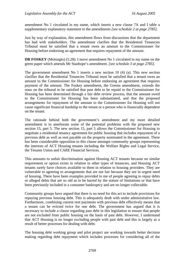amendment No 1 circulated in my name, which inserts a new clause 7A and I table a supplementary explanatory statement to the amendments *[see schedule 2 at page 2785].* 

Just by way of explanation, this amendment flows from discussions that the department has had with stakeholders. The amendment clarifies that the Residential Tenancies Tribunal must be satisfied that a tenant owes an amount to the Commissioner for Housing before endorsing an agreement that requires repayment of the amount.

**DR FOSKEY** (Molonglo) (5.28): I move amendment No 1 circulated in my name on the green paper which amends Mr Stanhope's amendment. *[see schedule 3 at page 2785].* 

The government amendment No 1 inserts a new section 10 (4) (a). This new section clarifies that the Residential Tenancies Tribunal must be satisfied that a tenant owes an amount to the Commissioner for Housing before endorsing an agreement that requires payment of the amount. The Foskey amendment, the Greens amendment, extends the onus on the tribunal to be satisfied that past debt to be repaid to the Commissioner for Housing has been determined through a fair debt review process, that the amount owed to the Commissioner for Housing has been substantiated, and that the proposed arrangements for repayment of the amount to the Commissioner for Housing will not cause significant financial hardship to the tenant or a person who is financially dependent on the tenant.

The rationale behind both the government's amendment and my more detailed amendment is to ameliorate some of the potential problems with the proposed new section 15, part 5. The new section 15, part 5 allows the Commissioner for Housing to negotiate a residential tenancy agreement for public housing that includes repayment of a previous debt as well as rent payable on the property nominated in the agreement. There has been considerable opposition to this clause amongst community groups representing the interests of ACT Housing tenants including the Welfare Rights and Legal Service, the Tenants Union and CARE Financial Services.

This amounts to unfair discrimination against Housing ACT tenants because no similar requirement or option exists in relation to other types of tenancies, and Housing ACT tenants rarely have choices available to them in relation to housing providers. They are vulnerable to agreeing to arrangements that are not fair because they are in urgent need of housing. There have been examples provided to me of people agreeing to repay debts or alleged debts that are so old as to be barred by the statute of limitations or that have been previously included in a consumer bankruptcy and are no longer collectable.

Community groups have argued that there is no need for this act to include provisions for repaying previous housing debt. This is adequately dealt with under administrative law. Furthermore, combining current rent payments with previous debt effectively means that a tenant can be evicted twice for one debt. The government has argued that it is necessary to include a clause regarding past debt in this legislation to ensure that people are not excluded from public housing on the basis of past debt. However, I understand that ACT Housing is no longer excluding people with past debt and this is largely as a result of better processes for dealing with debt.

The housing debt working group and pilot project are working towards better decision making regarding debt repayment which includes processes for considering all of the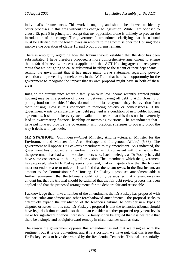individual's circumstances. This work is ongoing and should be allowed to identify better processes in this area without this change to legislation. While I am opposed to clause 15, part 5 in principle, I accept that my opposition alone is unlikely to prevent the introduction of the change. The government's amendment clarifying that the tribunal must be satisfied that the tenant owes an amount to the Commissioner for Housing does improve the operation of clause 15, part 5 but problems remain.

There is ambiguity regarding how the tribunal would establish that the debt has been substantiated. I have therefore proposed a more comprehensive amendment to ensure that a fair debt review process is applied and that ACT Housing agrees to repayment terms that are not going to cause substantial hardship to the tenant or their dependants. I remind the government that it has made many brave statements regarding poverty reduction and preventing homelessness in the ACT and that here is an opportunity for the government to recognise the impact that its own proposal might have in both of these areas.

Imagine the circumstance where a family on very low income recently granted public housing may be in a position of choosing between paying off debt to ACT Housing or putting food on the table. If they do make the debt repayment they risk eviction from their housing. How is this conducive to reducing poverty or homelessness? If the government wants to ensure that past debt payment is a condition of new public housing agreements, it should take every step available to ensure that this does not inadvertently lead to exacerbating financial hardship or increasing evictions. The amendments that I have put forward provide the government with practical strategies to poverty proof the way it deals with past debt.

**MR STANHOPE** (Ginninderra—Chief Minister, Attorney-General, Minister for the Environment and Minister for Arts, Heritage and Indigenous Affairs) (5.33): The government will oppose Dr Foskey's amendment to my amendment. As I indicated, the government has proposed an amendment to clause 10, consistent with discussions that the government has had with the stakeholders who, I acknowledge, as Dr Foskey has, did have some concerns with the original provision. The amendment which the government has proposed, which Dr Foskey seeks to amend, makes it quite clear that the tribunal must not endorse a term unless it is satisfied that the tenant owes, in the first instant, an amount to the Commissioner for Housing. Dr Foskey's proposed amendment adds a further requirement that the tribunal should not only be satisfied that a tenant owes an amount but that the tribunal should be satisfied that the fair debt review process has been applied and that the proposed arrangements for the debt are fair and reasonable.

I acknowledge that—like a number of the amendments that Dr Foskey has proposed with this particular amendment and other foreshadowed amendments—the proposal seeks to effectively expand the jurisdiction of the tenancies tribunal to consider new types of disputes or issues. In this case, Dr Foskey's proposal is that the tenancies tribunal should have its jurisdiction expanded so that it can consider whether proposed repayment levels make for significant financial hardship. Certainly it can be argued that it is desirable that there be a simple and straightforward remedy in circumstances such as that.

The reason the government opposes this amendment is not that we disagree with the sentiment but it is our contention, and it is a position we have put, that this issue that Dr Foskey seeks to have determined by the Residential Tenancies Tribunal—essentially,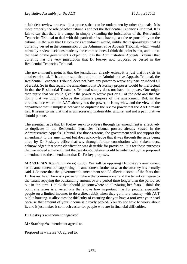a fair debt review process—is a process that can be undertaken by other tribunals. It is more properly the role of other tribunals and not the Residential Tenancies Tribunal. It is fair to say that there is a danger in simply extending the jurisdiction of the Residential Tenancies Tribunal to deal with this particular issue, having cast the responsibility on the tribunal in the way that Dr Foskey's amendment would, unlike the responsibility that is currently vested in the commission or the Administrative Appeals Tribunal, which would normally review decisions made by the commissioner. I think the point is that, and it is at the heart of the government's objection, it is the Administrative Appeals Tribunal that currently has the very jurisdiction that Dr Foskey now proposes be vested in the Residential Tenancies Tribunal.

The government's point is that the jurisdiction already exists; it is just that it exists in another tribunal. It has to be said that, unlike the Administrative Appeals Tribunal, the Residential Tenancies Tribunal does not have any power to waive any part or indeed all of a debt. So in that regard the amendment that Dr Foskey proposes would be ineffectual in that the Residential Tenancies Tribunal simply does not have the power. One might then argue that we could give it the power to waive part or all of the debt and that by doing that we might achieve the ultimate purpose of the amendment. But, in the circumstance where the AAT already has the power, it is my view and the view of the department that it simply is not wise to duplicate the review power that the AAT already has. It seems to me that that is unnecessary, undesirable, unwise, and not a path that we should pursue.

The essential issue that Dr Foskey seeks to address through her amendment is effectively to duplicate in the Residential Tenancies Tribunal powers already vested in the Administrative Appeals Tribunal. For those reasons, the government will not support the amendment to the amendment but does acknowledge that it was through the issue being aired by Dr Foskey's office that we, through further consultation with stakeholders, acknowledged that some clarification was desirable for provision. It is for those purposes that we moved an amendment that we do not believe would be enhanced by the proposed amendment to the amendment that Dr Foskey proposes.

**MR STEFANIAK** (Ginninderra) (5.38): We will be opposing Dr Foskey's amendment to the amendment but supporting the amendment further to what the attorney has actually said. I do note that the government's amendment should alleviate some of the fears that Dr Foskey has. There is a provision where the commissioner and the tenant can agree to the tenant repaying the outstanding amount over a period time longer than the period set out in the term. I think that should go somewhere to alleviating her fears. I think the point she raises is a vexed one that shows how important it is for people, especially people on a limited income, to do a direct debit when they go into a tenancy with ACT public housing. It alleviates the difficulty of ensuring that you have a roof over your head because that amount of your income is already parked. You do not have to worry about it, and it just makes it so much easier for people who are in financial difficulties.

**Dr Foskey's** amendment negatived.

**Mr Stanhope's** amendment agreed to.

Proposed new clause 7A agreed to.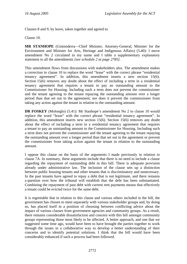Clauses 8 and 9, by leave, taken together and agreed to.

Clause 10.

**MR STANHOPE** (Ginninderra—Chief Minister, Attorney-General, Minister for the Environment and Minister for Arts, Heritage and Indigenous Affairs) (5**.**40): I move amendment No 2 circulated in my name and I table a supplementary explanatory statement to all the amendments *[see schedule 2 at page 2785].* 

This amendment flows from discussions with stakeholders also. The amendment makes a correction in clause 10 to replace the word "lease" with the correct phrase "residential tenancy agreement". In addition, this amendment inserts a new section 15(6). Section 15(6) removes any doubt about the effect of including a term in a residential tenancy agreement that requires a tenant to pay an outstanding amount to the Commissioner for Housing. Including such a term does not prevent the commissioner and the tenant agreeing to the tenant repaying the outstanding amount over a longer period than that set out in the agreement; nor does it prevent the commissioner from taking any action against the tenant in relation to the outstanding amount.

**DR FOSKEY** (Molonglo) (5.41): Mr Stanhope's amendment No 2 to clause 10 would replace the word "lease" with the correct phrase "residential tenancy agreement". In addition, this amendment inserts new section 15(6). Section 15(6) removes any doubt about the effect of including a term in a residential tenancy agreement that requires a tenant to pay an outstanding amount to the Commissioner for Housing. Including such a term does not prevent the commissioner and the tenant agreeing to the tenant repaying the outstanding amount over a longer period than that set out in the agreement or prevent the commissioner from taking action against the tenant in relation to the outstanding amount.

I oppose this clause on the basis of the arguments I made previously in relation to clause 7A. In summary, these arguments include that there is no need to include a clause regarding the repayment of outstanding debt in this bill. There is adequate provision already under administrative law. The inclusion of the clause sets up a distinction between public housing tenants and other tenants that is discriminatory and unnecessary. In the past tenants have agreed to repay a debt that is not legitimate, and there remains a question over how the tribunal will establish that the debt has been substantiated. Combining the repayment of past debt with current rent payments means that effectively a tenant could be evicted twice for the same debt.

It is regrettable that in relation to this clause and various others included in the bill, the government has chosen to meet separately with various stakeholder groups and, by doing so, has placed itself in a position of choosing between conflicting advice about the impact of various clauses from government agencies and community groups. As a result, there remains considerable dissatisfaction and concern with this bill amongst community groups representing those most likely to be affected. A better approach, and one that we suggested some time ago, would have been to have brought the parties together to work through the issues in a collaborative way to develop a better understanding of their concerns and to identify potential solutions. I think that the bill would have been considerably enhanced if such a process had been followed.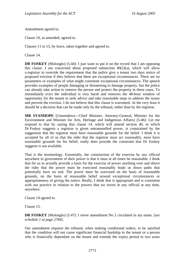Amendment agreed to.

Clause 10, as amended, agreed to.

Clauses 11 to 13, by leave, taken together and agreed to.

Clause 14.

**DR FOSKEY** (Molonglo) (5.44): I just want to put it on the record that I am opposing this clause. I am concerned about proposed subsection  $40(2)(a)$ , which will allow a registrar to override the requirement that the police give a tenant two days notice of proposed eviction if they believe that there are exceptional circumstances. There are no parameters or examples of what might constitute exceptional circumstances. The speech provides examples of people damaging or threatening to damage property, but the police can already take action to remove the person and protect the property in these cases. To immediately evict the individual is very harsh and removes the 48-hour window of opportunity for the tenant to seek advice and take reasonable steps to address the issues and prevent the eviction. I do not believe that this clause is warranted. At the very least it should be a decision that can be made only by the tribunal, rather than by the registrar.

**MR STANHOPE** (Ginninderra—Chief Minister, Attorney-General, Minister for the Environment and Minister for Arts, Heritage and Indigenous Affairs) (5.46): Let me respond to that by saying that clause 14, which will amend section 40, in which Dr Foskey suggests a registrar is given untrammelled power, is constrained by the suggestion that the registrar must have reasonable grounds for the belief. I think it is accepted by all of us that the rider that the registrar must act reasonably, must have reasonable grounds for his belief, really does provide the constraint that Dr Foskey suggests is not available.

That is the terminology. Essentially, the construction of the exercise by any official anywhere in government of their power is that it must at all times be reasonable. I think that for us to actually provide a basis for the exercise of power anything over and above the rider that the power must be exercised reasonably leads us down paths that potentially have no end. The power must be exercised on the basis of reasonable grounds, on the basis of reasonable belief around exceptional circumstances or appropriateness of giving the notice. Really, I think that is appropriate and is consistent with our practice in relation to the powers that we invest in any official at any time, anywhere.

Clause 14 agreed to.

Clause 15.

**DR FOSKEY** (Molonglo) (5.47): I move amendment No 2 circulated in my name. [*see schedule 1 at page 2784].* 

Our amendment requires the tribunal, when making conditional orders, to be satisfied that the condition will not cause significant financial hardship to the tenant or a person who is financially dependant on the tenant and extends the expiry period to two years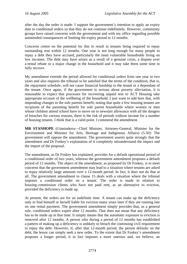after the day the order is made. I support the government's intention to apply an expiry date to conditional orders so that they do not continue indefinitely. However, community groups have raised concerns with the government and with my office regarding possible unintended consequences of limiting the expiry period to 12 months.

Concerns centre on the potential for this to result in tenants being required to repay outstanding rent within 12 months. One year is not long enough for many people to repay a debt they have accrued, particularly the most vulnerable households living on low incomes. The debt may have arisen as a result of a genuine crisis, a dispute over a rental rebate or a major change in the household and it may take them some time to fully recover.

My amendment extends the period allowed for conditional orders from one year to two years and also requires the tribunal to be satisfied that the terms of the condition, that is, the repayment schedule, will not cause financial hardship to the tenant or a dependant of the tenant. Once again, if the government is serious about poverty alleviation, it is reasonable to expect that processes for recovering unpaid rent to ACT Housing take appropriate account of the wellbeing of the household. I just want to add here that, with impending changes to the sole parents benefit, noting that quite a few housing tenants are recipients of the parenting benefit for sole parent households where women or men whose children attend school have to move on to newstart allowance with all the dangers of breaches for various reasons, there is the risk of periods without income for a number of housing tenants. I think that is a valid point. I commend the amendment.

**MR STANHOPE** (Ginninderra—Chief Minister, Attorney-General, Minister for the Environment and Minister for Arts, Heritage and Indigenous Affairs) (5.50): The government will oppose the amendment. The government asserts quite strongly that the amendment and Dr Foskey's explanation of it completely misunderstand the impact and the import of the proposal.

The amendment, as Dr Foskey has explained, provides for a default operational period of a conditional order of two years, whereas the government amendment proposes a default period of 12 months. The object of the amendment, as proposed by Dr Foskey, is to meet concerns that the government amendment may lead to a situation where tenants are asked to repay relatively large amounts over a 12-month period. In fact, it does not do that at all. The government amendment to clause 15 deals with a situation where the tribunal imposes a conditional order on a tenant. The order is made in relation to housing commission clients who have not paid rent, as an alternative to eviction, provided the deficiency is made up.

At present, the orders are for an indefinite time. A tenant can make up the deficiency only to find himself or herself liable for eviction many years later if they are running late on one rental payment. The government amendment simply provides that, as a general rule, conditional orders expire after 12 months. That does not mean that any deficiency has to be made up in that time. It simply means that the automatic exposure to eviction is removed after 12 months. A person who during a period of 12 months has established a pattern of making up a deficiency is unlikely to breach the continuing civil requirement to repay the debt. However, if, after that 12-month period, the person defaults on the debt, the lessor can simply seek a new order. To the extent that Dr Foskey's amendment proposes a longer period, it in fact imposes a more onerous and, we believe, an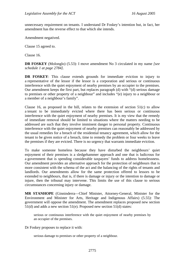unnecessary requirement on tenants. I understand Dr Foskey's intention but, in fact, her amendment has the reverse effect to that which she intends.

Amendment negatived.

Clause 15 agreed to.

Clause 16.

**DR FOSKEY** (Molonglo) (5.53): I move amendment No 3 circulated in my name *[see schedule 1 at page 2784]*.

**DR FOSKEY**: This clause extends grounds for immediate eviction to injury to a representative of the lessor if the lessor is a corporation and serious or continuous interference with the quiet enjoyment of nearby premises by an occupier to the premises. Our amendment keeps the first part, but replaces paragraph (d) with "(d) serious damage to premises or other property of a neighbour" and includes "(e) injury to a neighbour or a member of a neighbour's family".

Clause 16, as proposed in the bill, relates to the extension of section 51(c) to allow a tenant to be immediately evicted where there has been serious or continuous interference with the quiet enjoyment of nearby premises. It is my view that the remedy of immediate removal should be limited to situations where the matters needing to be addressed are such that they involve imminent danger to personal property. Continuous interference with the quiet enjoyment of nearby premises can reasonably be addressed by the usual remedies for a breach of the residential tenancy agreement, which allow for the tenant to be given notice of a breach, time to remedy the problem or four weeks to leave the premises if they are evicted. There is no urgency that warrants immediate eviction.

To make someone homeless because they have disturbed the neighbours' quiet enjoyment of their premises is a sledgehammer approach and one that is ludicrous for a government that is spending considerable taxpayers' funds to address homelessness. Our amendment provides an alternative approach for the protection of neighbours that is more consistent with the schema of the act and the balancing of the rights of tenants and landlords. Our amendments allow for the same protection offered to lessors to be extended to neighbours, that is, if there is damage or injury or the intention to damage or injure, then the tribunal may intervene. This limits the use of this clause to serious circumstances concerning injury or damage.

**MR STANHOPE** (Ginninderra—Chief Minister, Attorney-General, Minister for the Environment and Minister for Arts, Heritage and Indigenous Affairs) (5.55): The government will oppose the amendment. The amendment replaces proposed new section 51(d) and adds a new section 51(e). Proposed new section 51(d) states:

serious or continuous interference with the quiet enjoyment of nearby premises by an occupier of the premises.

Dr Foskey proposes to replace it with:

serious damage to premises or other property of a neighbour.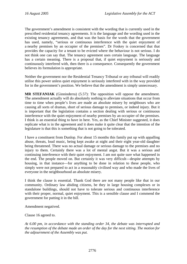The government's amendment is consistent with the wording that is currently used in the prescribed residential tenancy agreements. It is the language and the wording used in the existing tenancy agreements, and that was the basis for the words that the government has used, namely, "serious or continuous interference with the quiet enjoyment of a nearby premises by an occupier of the premises". Dr Foskey is concerned that that provides the capacity for a tenant to be evicted where the behaviour is not serious. I do not think one can say that. The tenancy agreement uses certain language. The language has a certain meaning. There is a proposal that, if quiet enjoyment is seriously and continuously interfered with, then there is a consequence. Consequently the government believes its formulation is appropriate.

Neither the government nor the Residential Tenancy Tribunal or any tribunal will readily utilise this power unless quiet enjoyment is seriously interfered with in the way provided for in the government's position. We believe that the amendment is simply unnecessary.

**MR STEFANIAK** (Ginninderra) (5.57): The opposition will oppose the amendment. The amendment actually will do absolutely nothing to alleviate situations that occur from time to time when people's lives are made an absolute misery by neighbours who are causing all sorts of dramas, short of serious damage to premises, or indeed injury. But it is important that the legislation contains a section dealing with serious or continuous interference with the quiet enjoyment of nearby premises by an occupier of the premises. I think is an essential thing to have in here. Yes, as the Chief Minister suggested, it does replicate what is in the agreement and it does make it quite clear that the intention of the legislature is that this is something that is not going to be tolerated.

I have a constituent from Dunlop. For about 15 months this family put up with appalling abuse, threats, loud music, being kept awake at night and their eight year-old daughter being threatened. There was no actual damage or serious damage to the premises and no injury to them. Certainly there was a lot of mental angst. But it was a serious and continuing interference with their quiet enjoyment. I am not quite sure what happened in the end. The people moved on. But certainly it was very difficult—despite attempts by housing, in that instance—for anything to be done in relation to these people, who simply were not prepared to act in a reasonably civilised way and who made the lives of everyone in the neighbourhood an absolute misery.

I think the clause is essential. Thank God there are not many people like that in our community. Ordinary law abiding citizens, be they in large housing complexes or in standalone buildings, should not have to tolerate serious and continuous interference with their proper, normal, quiet enjoyment. This is a sensible clause and I commend the government for putting it in the bill.

Amendment negatived.

Clause 16 agreed to.

*At 6.00 pm, in accordance with the standing order 34, the debate was interrupted and the resumption of the debate made an order of the day for the next sitting. The motion for the adjournment of the Assembly was put.*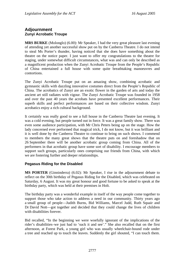# **Adjournment Zunyi Acrobatic Troupe**

**MRS BURKE** (Molonglo) (6.00): Mr Speaker, I had the very great pleasure last evening of attending yet another successful show put on by the Canberra Theatre. I do not intend to steal Ms Porter's thunder, having noticed that she does have something about the theatre on the notice paper. I just want to offer my congratulations to the theatre for staging, under somewhat difficult circumstances, what was and can only be described as a magnificent production when the Zunyi Acrobatic Troupe from the People's Republic of China entertained a full house with some quite breathtaking manoeuvres and contortions.

The Zunyi Acrobatic Troupe put on an amazing show, combining acrobatic and gymnastic skills with dazzling innovative costumes direct from the People's Republic of China. The acrobatics of Zunyi are an exotic flower in the garden of arts and today the ancient art still radiates with vigour. The Zunyi Acrobatic Troupe was founded in 1958 and over the past 40 years the acrobats have presented excellent performances. Their superb skills and perfect performances are based on their collective wisdom. Zunyi acrobatics enjoy a rich cultural background.

It certainly was really good to see a full house in the Canberra Theatre last evening. It was a cold evening, but people turned out in force. It was a great family show. There was even some audience participation, with Mr Chris Peters being up on the stage. How the lady concerned ever performed that magical trick, I do not know, but it was brilliant and it is well done by the Canberra Theatre to continue to bring on such shows. I commend to members the many great shows that the theatre puts on and foreshadow that on 26 September there will be another acrobatic group coming from China. All of the performers in that acrobatic group have some sort of disability. I encourage members to support such groups, particularly ones comprising our friends from China, with which we are fostering further and deeper relationships.

# **Pegasus Riding for the Disabled**

**MS PORTER** (Ginninderra) (6.02): Mr Speaker, I rise in the adjournment debate to reflect on the 30th birthday of Pegasus Riding for the Disabled, which was celebrated on Saturday, 6 August. It was my great honour and good fortune to be asked to speak at the birthday party, which was held at their premises in Holt.

The birthday party was a wonderful example in itself of the way people come together to support those who take action to address a need in our community. Thirty years ago a small group of people—Judith Burns, Bid Williams, Marcel Judd, Ruth Squair and Dr David Nott—got together and decided that they could change the lives of children with disabilities forever.

Bid recalled, "In the beginning we were woefully ignorant of the implications of the rider's disabilities–we just had to 'suck it and see'." She also recalled that on the first afternoon, at Forest Park, a young girl who was usually wheelchair-bound rode under a tree and reached up to touch the leaves. Suddenly the girl shouted, "I can touch them.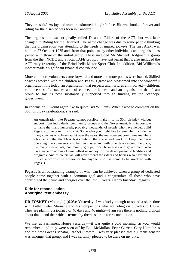They are soft." As joy and tears transformed the girl's face, Bid was hooked forever and riding for the disabled was born in Canberra.

The organisation was originally called Disabled Riders of the ACT, but was later changed to Riding for the Disabled. The name change was due to some people thinking that the organisation was attending to the needs of injured jockeys. The first AGM was held on 27 October 1975 and, from that point, many other individuals and organisations joined with those of the initial group. These included Mr Michael Hodgman, a group from the then NCDC and a local TAFE group. I have just learnt that it also included the ACT rally fraternity of the Brindabella Motor Sport Club. In addition, Bid Williams's mother made a significant financial contribution.

More and more volunteers came forward and more and more ponies were loaned. Skilled coaches worked with the children and Pegasus grew and blossomed into the wonderful organisation it is today, an organisation that respects and nurtures all involved—children, volunteers, staff, coaches and, of course, the horses—and an organisation that, I am proud to say, is now substantially supported through funding by the Stanhope government.

In conclusion, I would again like to quote Bid Williams. When asked to comment on the 30th birthday celebrations, she said:

An organisation like Pegasus cannot possibly make it to its 30th birthday without support from individuals, community groups and the Government. It is impossible to name the many hundreds, probably thousands, of people who have helped build Pegasus to the point it is now at. Some who you might like to remember include the many coaches who have taught over the years, the management committee members who do all the thankless tasks behind the scene and work to keep the place operating, the volunteers who help in classes and with other tasks around the place, the many individuals, community groups, local businesses and government who have made donations of time, effort or money for the development of facilities and programs. And of course we will never forget the riders and horses who have made it such a worthwhile experience for anyone who has come to be involved with Pegasus.

Pegasus is an outstanding example of what can be achieved when a group of dedicated people come together with a common goal and I congratulate all those who have contributed their time and energies over the last 30 years. Happy birthday, Pegasus.

### **Ride for reconciliation Aboriginal tent embassy**

**DR FOSKEY** (Molonglo) (6.05): Yesterday, I was lucky enough to spend a short time with Father Peter Murnane and his companions who are riding on bicycles to Uluru. They are planning a journey of 40 days and 40 nights—I am sure there is nothing biblical about that—and their ride is termed by them as a ride for reconciliation.

We met at Parliament House yesterday—it was quite a cold morning, as you would remember—and they were seen off by Bob McMullan, Peter Garrett, Gary Humphries and the new Greens senator, Rachel Siewert. I was very pleased that a Greens senator was amongst that group, and I was certainly pleased to be there on my bike.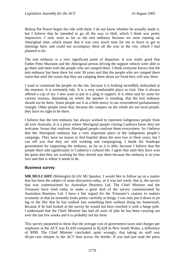Bishop Pat Power began the ride with them. I do not know whether he actually made it, but I believe that he intended to go all the way to Hall, which I think was pretty impressive. I only went as far as the tent embassy because we were running on Aboriginal time, which meant that it was very much time for me to leave to get to meetings here, and could not accompany them all the way to the city, which I had planned to do.

The tent embassy is a very significant point of departure. It was really good that Father Peter Murnane and the Aboriginal person driving the support vehicle were able to go there and meet with the people who are camped there. I think everyone knows that the tent embassy has been there for over 30 years and that the people who are camped there insist that until the issues that they are camping there about are fixed they will stay there.

I want to commend the people on the site, because it is looking incredibly airbrushed at the moment. It is extremely tidy. It is a very comfortable place to visit. One is always offered a cup of tea. I also want to put in a plug in support. It is often said by some for various reasons, depending on where the speaker is standing, that the tent embassy should not be there. Some people see it as a little messy in our overordered parliamentary triangle. Other people insist that, because the campers on the whole are not local people, they have no right to be there.

I believe that the tent embassy has always worked to represent indigenous people from all over Australia. It is a place where Aboriginal people visiting Canberra know they are welcome. Issues that confront Aboriginal people confront them everywhere. So I believe that the Aboriginal embassy has a very important place in the indigenous people's campaign. They have no reason to feel hopeful about the next two or three years, but I can tell you that they are still working and campaigning. I thank the Stanhope government for supporting the embassy, as far as it is able, because I believe that the people there add significantly to Canberra's cultural life. I agree that until they have won the gains that they are working for they should stay there because the embassy is in your face and that is where it needs to be.

## **Business survey**

**MR MULCAHY** (Molonglo) (6.10): Mr Speaker, I would like to follow up on a matter that has been the subject of some discussion today, as it was last week; that is, the survey that was commissioned by Australian Business Ltd. The Chief Minister and the Treasurer have tried today to make a great deal of the survey commissioned by Australian Business Ltd. I have a fair regard for the Treasurer's caution in matters economic in that he normally looks pretty carefully at things. I can only put it down to jet lag or the like that he has walked into something here without doing his homework, because if he had looked at the survey he would not have touched it with a barge pole. I understand that the Chief Minister has had all sorts of jobs he has been carrying out over the last few weeks and it is probably not his forte.

This survey purported to show that the average cost of government taxes and charges per employee in the ACT was \$1,630 compared to \$2,628 in New South Wales, a difference of \$998. The Chief Minister concluded, quite wrongly, that taking on staff was 40 per cent cheaper in the ACT than across the border. If you had just read the press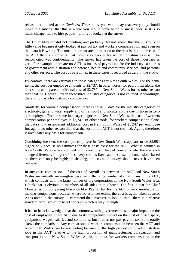release and looked at the *Canberra Times* story you would say that everybody should move to Canberra, that this is where you should come to do business, because it is so much cheaper here to hire people—until you looked at the survey.

The Chief Minister did not mention, and probably did not know, that the survey is of little value because it only looked at payroll tax and workers compensation, and even on that data it is wrong. The most important area in relation to the data is that in the case of the ACT there are some critical industry categories for which no estimates exist. The reason cited was confidentiality. The survey has taken the cost of those industries as zero. For example, there are no ACT estimates of payroll tax for the industry categories of government administration and defence, health and community services, and personal and other services. The cost of payroll tax in these cases is recorded as zero in the study.

By contrast, there are estimates in those categories for New South Wales. For the same items, the cost per employee amounts to \$2,737. In other words, for payroll tax alone, the data show an apparent additional cost of \$2,737 in New South Wales for no other reason than that ACT payroll tax in these three industry categories is not counted. Accordingly, there is no basis for making a comparison.

Similarly, for workers compensation, there is no ACT data for the industry categories of electricity, gas and water supply and of transport and storage, so the cost is taken as zero per employee. For the same industry categories in New South Wales, the cost of workers compensation per employee is \$3,247. In other words, for workers compensation alone, the data show an apparent additional cost in New South Wales of \$3,247 per employee for, again, no other reason than that the cost in the ACT is not counted. Again, therefore, it invalidates any basis for comparison.

Combining the two, the cost per employee in New South Wales appears to be \$5,984 higher only because no estimates for these costs exist for the ACT. What is counted in New South Wales is not counted in this territory. That, of course, is why there is such a huge difference. In light of these very serious flaws and because the conclusions based on them can only be highly misleading, the so-called survey should never have been released.

In any case, comparisons of the cost of payroll tax between the ACT and New South Wales are virtually meaningless because of the large number of small firms in the ACT, which contrasts with the large number of big corporations in the New South Wales area. I think that is obvious to members of all sides in this house. The fact is that the Chief Minister is not comparing like with like. Payroll tax for the ACT is very unreliable for making comparisons because, where no estimate exists, the cost is again taken as zero. As is noted in the survey—I commend the Treasurer to look at this—there is a relative standard error rate of up to 50 per cent, which is way too high.

It has to be acknowledged that the commonwealth government has a major impact on the cost of employees in the ACT due to its competitive impact on the cost of office space, equipment, wages, salaries and conditions, but it does not pay payroll tax; so it totally skews the comparison. Any comparison of workers compensation between the ACT and New South Wales can be misleading because of the high proportion of administrative jobs in the ACT relative to the high proportion of manufacturing, construction and transport jobs in New South Wales. Again, the data for workers compensation in the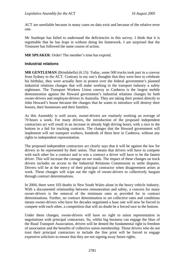ACT are unreliable because in many cases no data exist and because of the relative error rate.

Mr Stanhope has failed to understand the deficiencies in this survey. I think that it is regrettable that he has leapt in without doing his homework. I am surprised that the Treasurer has followed the same course of action.

**MR SPEAKER**: Order! The member's time has expired.

# **Industrial relations**

**MR GENTLEMAN** (Brindabella) (6.15): Today, some 500 trucks took part in a convoy from Sydney to the ACT. Contrary to my son's thoughts that they were here to celebrate his birthday, they were actually here in protest over the federal government's planned industrial relations changes that will make working in the transport industry a safety nightmare. The Transport Workers Union convoy to Canberra is the largest mobile demonstration against the Howard government's industrial relations changes by both owner-drivers and employee-drivers in Australia. They are taking their protest directly to John Howard's house because the changes that he wants to introduce will destroy their houses, their businesses and their families.

As this Assembly is well aware, owner-drivers are routinely working an average of 70 hours a week. For many drivers, the introduction of the proposed independent contractors act will result in an increase in already high driving hours, with a race to the bottom in a bid for trucking contracts. The changes that the Howard government will implement will see transport workers, hundreds of them here in Canberra, without any rights to independent representation.

The proposed independent contractors act clearly says that it will be against the law for drivers to be represented by their union. That means that drivers will have to compete with each other for a contract and to win a contract a driver will have to be the fastest driver. This will increase the carnage on our roads. The impact of these changes on truck drivers includes no access to the Industrial Relations Commission to settle disputes. Drivers will be at the mercy of their principal contractor when disagreement arises at work. These changes will wipe out the right of owner-drivers to collectively bargain through contract determinations.

In 2004, there were 103 deaths in New South Wales alone in the heavy vehicle industry. With a documented relationship between remuneration and safety, a concern for many owner-drivers is the removal of the minimum rates as provided for in contract determinations. Further, no contract determination to set collective rates and conditions means owner-drivers who have for decades negotiated a base rate will now be forced to compete with each other, a competition that will no doubt be a forced race to the bottom.

Under these changes, owner-drivers will have no right to union representation in negotiations with principal contractors. So, whilst big business can engage the likes of the Road Transport Association, drivers will be denied the fundamental right to freedom of association and the benefits of collective union membership. Those drivers who do not trust their principal contractors to include the fine print will be forced to engage expensive solicitors to ensure that they are not signing away future rights.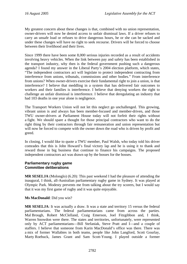My greatest concern about these changes is that, combined with no union representation, owner-drivers will now be denied access to unfair dismissal laws. If a driver refuses to carry an unsafe load or refuses to drive dangerous hours, he or she can be sacked and under these changes will have no right to seek recourse. Drivers will be forced to choose between their livelihood and their lives.

Since 1999 there have been some 8,000 serious injuries recorded as a result of accidents involving heavy vehicles. When the link between pay and safety has been established in the transport industry, why then is the federal government pushing such a dangerous agenda? I found my answer in the Liberal Party's 2004 election platform, which states, "The independent contractors act will legislate to protect independent contracting from interference from unions, tribunals, commissions and other bodies." From interference from unions? When owner-drivers exercise their fundamental right to join a union, is that interference? I believe that meddling in a system that has delivered fair outcomes to workers and their families is interference. I believe that denying workers the right to challenge an unfair dismissal is interference. I believe that deregulating an industry that had 103 deaths in one year alone is negligence.

The Transport Workers Union will not let this neglect go unchallenged. This growing, vibrant union is and always has been member-focused and member-driven, and those TWU owner-drivers at Parliament House today will not forfeit their rights without a fight. We should spare a thought for those principal contractors who want to do the right thing by their contractors through fair remuneration and union representation but will now be forced to compete with the owner down the road who is driven by profit and greed.

In closing, I would like to quote a TWU member, Paul Walsh, who today told his driver comrades that this is John Howard's final victory lap and he is using it to thank and reward those in big business that continue to finance his campaigns. The proposed independent contractors act was drawn up by the bosses for the bosses.

# **Parliamentary rugby game Committee deliberations**

**MR SESELJA** (Molonglo) (6.20): This past weekend I had the pleasure of attending the inaugural, I think, all-Australian parliamentary rugby game in Sydney. It was played at Olympic Park. Modesty prevents me from talking about the try scorers, but I would say that it was my first game of rugby and it was quite enjoyable.

**Ms MacDonald**: Did you win?

**MR SESELJA**: It was actually a draw. It was a state and territory 15 versus the federal parliamentarians. The federal parliamentarians came from across the parties. Mal Brough, Robert McClelland, Craig Emerson, Joel Fitzgibbon and, I think, Warren Snowdon were there. The states and territories, unfortunately, were represented only by ACT parliamentarians—Bill Stefaniak, Steve Pratt and I—and a couple of staffers. I believe that someone from Karin MacDonald's office was there. There was a mix of former Wallabies in both teams, people like John Langford, Scott Gourlay, Marty Roebuck, James Grant and Sam Scott-Young. I played outside a former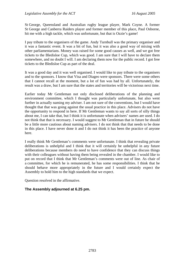St George, Queensland and Australian rugby league player, Mark Coyne. A former St George and Canberra Raiders player and former member of this place, Paul Osborne, hit me with a high tackle, which was unfortunate, but that is Ozzie's game!

I pay tribute to the organisers of the game. Andy Turnbull was the primary organiser and it was a fantastic event. It was a bit of fun, but it was also a good way of mixing with other parliamentarians. Money was raised for some good causes as well, and we got free tickets to the Bledisloe Cup, which was good. I am sure that I will have to declare them somewhere, and no doubt I will. I am declaring them now for the public record. I got free tickets to the Bledisloe Cup as part of the deal.

It was a good day and it was well organised. I would like to pay tribute to the organisers and to the sponsors. I know that Visa and Diageo were sponsors. There were some others that I cannot recall at the moment, but a lot of fun was had by all. Unfortunately, the result was a draw, but I am sure that the states and territories will be victorious next time.

Earlier today Mr Gentleman not only disclosed deliberations of the planning and environment committee, which I thought was particularly unfortunate, but also went further in actually naming my adviser. I am not sure of the conventions, but I would have thought that that was going against the usual practice in this place. Advisers do not have the opportunity to respond in here. If Mr Gentleman wants to say all sorts of silly things about me, I can take that, but I think it is unfortunate when advisers' names are used. I do not think that that is necessary. I would suggest to Mr Gentleman that in future he should be a little more cautious about naming advisers. I do not think that that needs to be done in this place. I have never done it and I do not think it has been the practice of anyone here.

I really think Mr Gentleman's comments were unfortunate. I think that revealing private deliberations is unhelpful and I think that it will certainly be unhelpful in any future deliberations because members do need to have confidence that they can discuss things with their colleagues without having them being revealed in the chamber. I would like to put on record that I think that Mr Gentleman's comments were out of line. As chair of a committee, for which he is remunerated, he has some responsibilities. I think that he should behave more appropriately in the future and I would certainly expect the Assembly to hold him to the high standards that we expect.

Question resolved in the affirmative.

# **The Assembly adjourned at 6.25 pm.**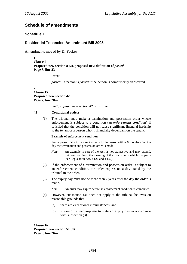# **Schedule of amendments**

# **Schedule 1**

# **Residential Tenancies Amendment Bill 2005**

Amendments moved by Dr Foskey

**1 Clause 7**  Proposed new section 8 (2), proposed new definition of *posted* **Page 3, line 23** 

*insert* 

*posted*—a person is *posted* if the person is compulsorily transferred.

#### **2 Clause 15 Proposed new section 42 Page 7, line 20—**

*omit proposed new section 42, substitute* 

### **42 Conditional orders**

(1) The tribunal may make a termination and possession order whose enforcement is subject to a condition (an *enforcement condition*) if satisfied that the condition will not cause significant financial hardship to the tenant or a person who is financially dependant on the tenant.

#### **Example of enforcement condition**

that a person fails to pay rent arrears to the lessor within 6 months after the day the termination and possession order is made

- *Note* An example is part of the Act, is not exhaustive and may extend, but does not limit, the meaning of the provision in which it appears (see Legislation Act, s 126 and s 132).
- (2) If the enforcement of a termination and possession order is subject to an enforcement condition, the order expires on a day stated by the tribunal in the order.
- (3) The expiry day must not be more than 2 years after the day the order is made.

*Note* An order may expire before an enforcement condition is completed.

- (4) However, subsection (3) does not apply if the tribunal believes on reasonable grounds that—
	- (a) there are exceptional circumstances; and
	- (b) it would be inappropriate to state an expiry day in accordance with subsection (3).

**3 Clause 16 Proposed new section 51 (d) Page 9, line 26—**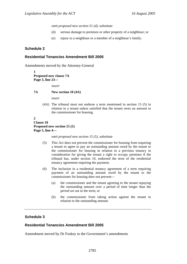*omit proposed new section 51 (d), substitute* 

- (d) serious damage to premises or other property of a neighbour; or
- (e) injury to a neighbour or a member of a neighbour's family.

### **Schedule 2**

### **Residential Tenancies Amendment Bill 2005**

Amendments moved by the Attorney-General

**1 Proposed new clause 7A Page 3, line 23—** 

*insert* 

#### **7A New section 10 (4A)**

*insert* 

(4A) The tribunal must not endorse a term mentioned in section 15 (5) in relation to a tenant unless satisfied that the tenant owes an amount to the commissioner for housing.

### **2 Clause 10 Proposed new section 15 (5) Page 5, line 4—**

#### *omit proposed new section 15 (5), substitute*

- (5) This Act does not prevent the commissioner for housing from requiring a tenant to agree to pay an outstanding amount owed by the tenant to the commissioner for housing in relation to a previous tenancy in consideration for giving the tenant a right to occupy premises if the tribunal has, under section 10, endorsed the term of the residential tenancy agreement requiring the payment.
- (6) The inclusion in a residential tenancy agreement of a term requiring payment of an outstanding amount owed by the tenant to the commissioner for housing does not prevent—
	- (a) the commissioner and the tenant agreeing to the tenant repaying the outstanding amount over a period of time longer than the period set out in the term; or
	- (b) the commissioner from taking action against the tenant in relation to the outstanding amount.

### **Schedule 3**

## **Residential Tenancies Amendment Bill 2005**

Amendment moved by Dr Foskey to the Government's amendments